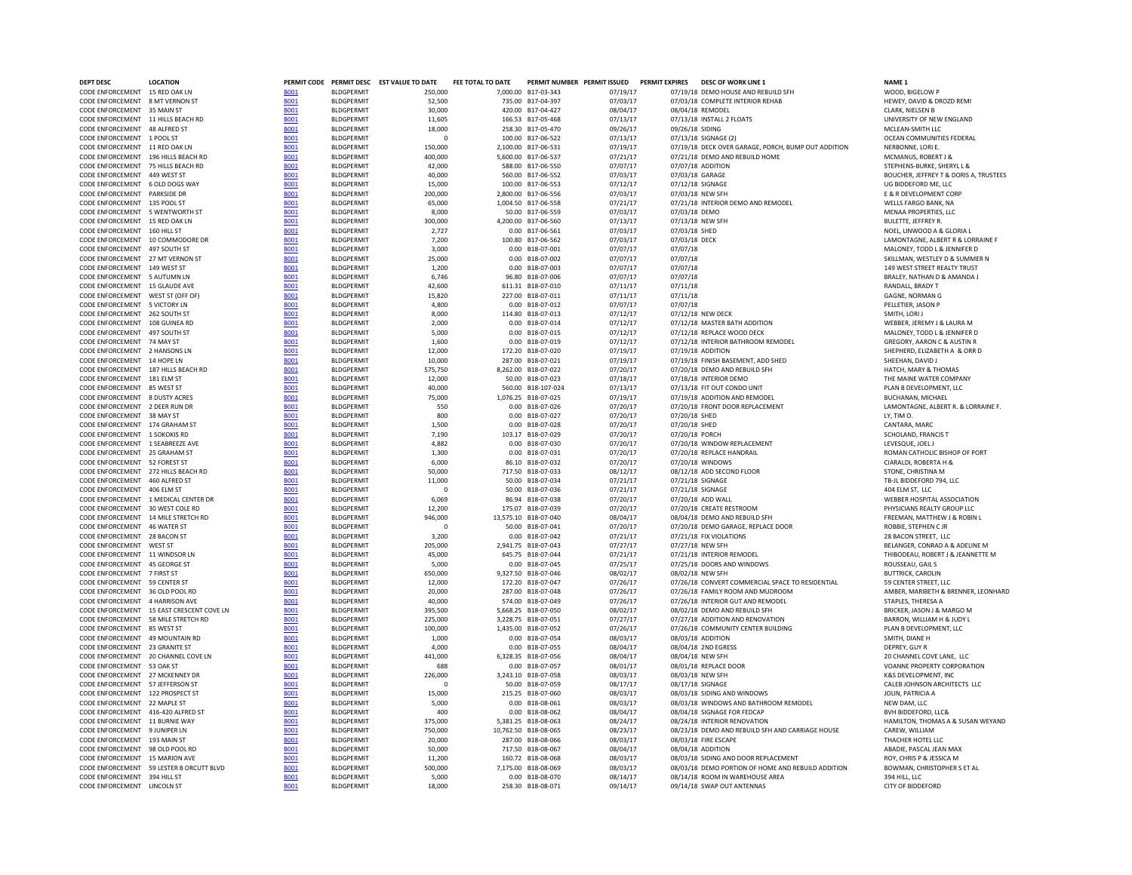| DEPT DESC                                                         | <b>LOCATION</b>                           |                            |                                         | PERMIT CODE PERMIT DESC EST VALUE TO DATE | FEE TOTAL TO DATE |                                          | PERMIT NUMBER PERMIT ISSUED | PERMIT EXPIRES       | DESC OF WORK LINE 1                                       | NAME <sub>1</sub>                                                   |
|-------------------------------------------------------------------|-------------------------------------------|----------------------------|-----------------------------------------|-------------------------------------------|-------------------|------------------------------------------|-----------------------------|----------------------|-----------------------------------------------------------|---------------------------------------------------------------------|
| CODE ENFORCEMENT 15 RED OAK LN                                    |                                           | <b>B001</b>                | <b>BLDGPERMIT</b>                       | 250,000                                   |                   | 7,000.00 B17-03-343                      | 07/19/17                    |                      | 07/19/18 DEMO HOUSE AND REBUILD SFH                       | WOOD, BIGELOW P                                                     |
| CODE ENFORCEMENT 8 MT VERNON ST                                   |                                           | <b>B001</b>                | <b>BLDGPERMIT</b>                       | 52,500                                    |                   | 735.00 B17-04-397                        | 07/03/17                    |                      | 07/03/18 COMPLETE INTERIOR REHAB                          | HEWEY, DAVID & DROZD REMI                                           |
| CODE ENFORCEMENT 35 MAIN ST<br>CODE ENFORCEMENT 11 HILLS BEACH RD |                                           | <b>BOO1</b><br><b>B001</b> | <b>BLDGPERMIT</b><br><b>BLDGPERMIT</b>  | 30,000<br>11,605                          |                   | 420.00 B17-04-427<br>166.53 B17-05-468   | 08/04/17<br>07/13/17        |                      | 08/04/18 REMODEL<br>07/13/18 INSTALL 2 FLOATS             | CLARK, NIELSEN B<br>UNIVERSITY OF NEW ENGLAND                       |
| CODE ENFORCEMENT 48 ALERED ST                                     |                                           | <b>B001</b>                | <b>BI DGPFRMIT</b>                      | 18,000                                    |                   | 258.30 B17-05-470                        | 09/26/17                    | 09/26/18 SIDING      |                                                           | MCI FAN-SMITH I I C                                                 |
| CODE ENFORCEMENT 1 POOL ST                                        |                                           | <b>B001</b>                | <b>BLDGPFRMIT</b>                       | $\Omega$                                  |                   | 100.00 B17-06-522                        | 07/13/17                    |                      | 07/13/18 SIGNAGE (2)                                      | OCEAN COMMUNITIES FEDERAL                                           |
| CODE ENFORCEMENT 11 RED OAK LN                                    |                                           | <b>BO01</b>                | <b>BLDGPERMIT</b>                       | 150,000                                   |                   | 2,100.00 B17-06-531                      | 07/19/17                    |                      | 07/19/18 DECK OVER GARAGE, PORCH, BUMP OUT ADDITION       | NERBONNE, LORI E.                                                   |
| CODE ENFORCEMENT 196 HILLS BEACH RD                               |                                           | <b>BO01</b>                | <b>BLDGPERMIT</b>                       | 400,000                                   |                   | 5.600.00 B17-06-537                      | 07/21/17                    |                      | 07/21/18 DEMO AND REBUILD HOME                            | MCMANUS, ROBERT J 8                                                 |
| CODE ENFORCEMENT 75 HILLS BEACH RD                                |                                           | <b>B001</b>                | <b>BLDGPERMIT</b>                       | 42,000                                    |                   | 588.00 B17-06-550                        | 07/07/17                    |                      | 07/07/18 ADDITION                                         | STEPHENS-BURKE, SHERYL L &                                          |
| CODE ENFORCEMENT 449 WEST ST<br>CODE ENFORCEMENT 6 OLD DOGS WAY   |                                           | <b>BOO1</b><br><b>BO01</b> | <b>BLDGPERMIT</b><br><b>BLDGPERMIT</b>  | 40,000<br>15,000                          |                   | 560.00 B17-06-552<br>100.00 B17-06-553   | 07/03/17<br>07/12/17        |                      | 07/03/18 GARAGE<br>07/12/18 SIGNAGE                       | BOUCHER, JEFFREY T & DORIS A, TRUSTEES<br>UG BIDDEFORD ME, LLC      |
| CODE ENFORCEMENT PARKSIDE DR                                      |                                           | <b>BO01</b>                | <b>BLDGPERMIT</b>                       | 200,000                                   |                   | 2.800.00 B17-06-556                      | 07/03/17                    |                      | 07/03/18 NEW SFH                                          | E & R DEVELOPMENT CORP                                              |
| CODE ENFORCEMENT 135 POOL ST                                      |                                           | <b>BO01</b>                | <b>BLDGPERMIT</b>                       | 65,000                                    |                   | 1.004.50 B17-06-558                      | 07/21/17                    |                      | 07/21/18 INTERIOR DEMO AND REMODEL                        | <b>WELLS FARGO BANK, NA</b>                                         |
| CODE ENFORCEMENT 5 WENTWORTH ST                                   |                                           | <b>BO01</b>                | <b>BLDGPERMIT</b>                       | 8,000                                     |                   | 50.00 B17-06-559                         | 07/03/17                    | 07/03/18 DEMO        |                                                           | MENAA PROPERTIES, LLC                                               |
| CODE ENFORCEMENT 15 RED OAK LN                                    |                                           | <b>B001</b>                | <b>BLDGPERMIT</b>                       | 300,000                                   |                   | 4,200.00 B17-06-560                      | 07/13/17                    |                      | 07/13/18 NEW SFH                                          | BULETTE, JEFFREY R.                                                 |
| CODE ENFORCEMENT 160 HILL ST                                      |                                           | <b>BO01</b>                | <b>BLDGPERMIT</b>                       | 2,727                                     |                   | 0.00 B17-06-561                          | 07/03/17                    | 07/03/18 SHED        |                                                           | NOEL, LINWOOD A & GLORIA L                                          |
| CODE ENFORCEMENT 10 COMMODORE DR                                  |                                           | <b>BO01</b>                | <b>BLDGPERMIT</b>                       | 7,200                                     |                   | 100.80 B17-06-562                        | 07/03/17                    | 07/03/18 DECK        |                                                           | LAMONTAGNE, ALBERT R & LORRAINE F                                   |
| CODE ENFORCEMENT 497 SOUTH ST                                     |                                           | <b>BO01</b>                | <b>BLDGPERMIT</b>                       | 3,000                                     |                   | 0.00 B18-07-001                          | 07/07/17                    | 07/07/18             |                                                           | MALONEY, TODD L & JENNIFER D                                        |
| CODE ENFORCEMENT 27 MT VERNON ST<br>CODE ENFORCEMENT 149 WEST ST  |                                           | <b>B001</b><br><b>BOO1</b> | <b>BLDGPERMIT</b><br><b>BLDGPERMIT</b>  | 25,000<br>1,200                           |                   | 0.00 B18-07-002<br>0.00 B18-07-003       | 07/07/17<br>07/07/17        | 07/07/18<br>07/07/18 |                                                           | SKILLMAN, WESTLEY D & SUMMER N<br>149 WEST STREET REALTY TRUST      |
| CODE ENFORCEMENT 5 AUTUMN IN                                      |                                           | <b>BOO1</b>                | <b>BI DGPFRMIT</b>                      | 6.746                                     |                   | 96.80 B18-07-006                         | 07/07/17                    | 07/07/18             |                                                           | BRALEY, NATHAN D & AMANDA J                                         |
| CODE ENFORCEMENT 15 GLAUDE AVE                                    |                                           | <b>BO01</b>                | <b>BLDGPERMIT</b>                       | 42,600                                    |                   | 611.31 B18-07-010                        | 07/11/17                    | 07/11/18             |                                                           | RANDALL, BRADY T                                                    |
| CODE ENFORCEMENT WEST ST (OFF OF)                                 |                                           | <b>B001</b>                | <b>BLDGPERMIT</b>                       | 15,820                                    |                   | 227.00 B18-07-011                        | 07/11/17                    | 07/11/18             |                                                           | GAGNE, NORMAN G                                                     |
| CODE ENFORCEMENT 5 VICTORY LN                                     |                                           | <b>BO01</b>                | <b>BLDGPERMIT</b>                       | 4.800                                     |                   | 0.00 B18-07-012                          | 07/07/17                    | 07/07/18             |                                                           | PELLETIER, JASON P                                                  |
| CODE ENFORCEMENT 262 SOUTH ST                                     |                                           | <b>B001</b>                | <b>BLDGPERMIT</b>                       | 8,000                                     |                   | 114.80 B18-07-013                        | 07/12/17                    |                      | 07/12/18 NEW DECK                                         | SMITH, LORI J                                                       |
| CODE ENFORCEMENT 108 GUINEA RD                                    |                                           | <b>BO01</b>                | <b>BLDGPERMIT</b>                       | 2.000                                     |                   | 0.00 B18-07-014                          | 07/12/17                    |                      | 07/12/18 MASTER BATH ADDITION                             | WEBBER, JEREMY J & LAURA M                                          |
| CODE ENFORCEMENT 497 SOUTH ST                                     |                                           | <b>B001</b>                | <b>BLDGPERMIT</b>                       | 5.000                                     |                   | 0.00 B18-07-015                          | 07/12/17                    |                      | 07/12/18 REPLACE WOOD DECK                                | MALONEY, TODD L & JENNIFER D                                        |
| CODE ENFORCEMENT 74 MAY ST                                        |                                           | <b>B001</b>                | <b>BI DGPFRMIT</b>                      | 1,600                                     |                   | 0.00 B18-07-019                          | 07/12/17                    |                      | 07/12/18 INTERIOR BATHROOM REMODEL                        | GREGORY, AARON C & AUSTIN R                                         |
| CODE ENFORCEMENT 2 HANSONS LN<br>CODE ENFORCEMENT 14 HOPE LN      |                                           | <b>B001</b><br><b>B001</b> | <b>BLDGPERMIT</b><br><b>BLDGPERMIT</b>  | 12,000<br>10,000                          |                   | 172.20 B18-07-020<br>287.00 B18-07-021   | 07/19/17<br>07/19/17        |                      | 07/19/18 ADDITION<br>07/19/18 FINISH BASEMENT, ADD SHED   | SHEPHERD, ELIZABETH A & ORR D<br>SHEEHAN, DAVID J                   |
| CODE ENFORCEMENT 187 HILLS BEACH RD                               |                                           | <b>BOO1</b>                | <b>BLDGPERMIT</b>                       | 575,750                                   |                   | 8,262.00 B18-07-022                      | 07/20/17                    |                      | 07/20/18 DEMO AND REBUILD SFH                             | HATCH, MARY & THOMAS                                                |
| CODE ENFORCEMENT 181 ELM ST                                       |                                           | <b>B001</b>                | <b>BLDGPERMIT</b>                       | 12,000                                    |                   | 50.00 B18-07-023                         | 07/18/17                    |                      | 07/18/18 INTERIOR DEMO                                    | THE MAINE WATER COMPANY                                             |
| CODE ENFORCEMENT 85 WEST ST                                       |                                           | <b>BO01</b>                | <b>BLDGPERMIT</b>                       | 40,000                                    |                   | 560.00 B18-107-024                       | 07/13/17                    |                      | 07/13/18 FIT OUT CONDO UNIT                               | PLAN B DEVELOPMENT, LLC                                             |
| CODE ENFORCEMENT 8 DUSTY ACRES                                    |                                           | <b>BO01</b>                | <b>BLDGPERMIT</b>                       | 75,000                                    |                   | 1.076.25 B18-07-025                      | 07/19/17                    |                      | 07/19/18 ADDITION AND REMODEL                             | BUCHANAN, MICHAEL                                                   |
| CODE ENFORCEMENT 2 DEER RUN DR                                    |                                           | <b>BOO1</b>                | <b>BLDGPERMIT</b>                       | 550                                       |                   | 0.00 B18-07-026                          | 07/20/17                    |                      | 07/20/18 FRONT DOOR REPLACEMENT                           | LAMONTAGNE, ALBERT R. & LORRAINE F.                                 |
| CODE ENFORCEMENT 38 MAY ST                                        |                                           | <b>B001</b>                | <b>BI DGPFRMIT</b>                      | 800                                       |                   | 0.00 B18-07-027                          | 07/20/17                    | 07/20/18 SHFD        |                                                           | IY. TIMO.                                                           |
| CODE ENFORCEMENT 174 GRAHAM ST                                    |                                           | <b>BO01</b>                | <b>BLDGPERMIT</b>                       | 1,500                                     |                   | 0.00 B18-07-028                          | 07/20/17                    | 07/20/18 SHED        |                                                           | CANTARA, MARC                                                       |
| CODE ENFORCEMENT 1 SOKOKIS RD                                     |                                           | <b>B001</b>                | <b>BLDGPERMIT</b>                       | 7,190                                     |                   | 103.17 B18-07-029                        | 07/20/17                    | 07/20/18 PORCH       |                                                           | SCHOLAND, FRANCIS T                                                 |
| CODE ENFORCEMENT 1 SEABREEZE AVE                                  |                                           | <b>BOO1</b>                | <b>BLDGPERMIT</b>                       | 4.882                                     |                   | 0.00 B18-07-030                          | 07/20/17                    |                      | 07/20/18 WINDOW REPLACEMENT                               | LEVESQUE, JOEL J                                                    |
| CODE ENFORCEMENT 25 GRAHAM ST<br>CODE ENFORCEMENT 52 FOREST ST    |                                           | <b>B001</b><br><b>BO01</b> | <b>BLDGPERMIT</b><br><b>BLDGPERMIT</b>  | 1,300<br>6.000                            |                   | 0.00 B18-07-031<br>86.10 B18-07-032      | 07/20/17<br>07/20/17        |                      | 07/20/18 REPLACE HANDRAIL<br>07/20/18 WINDOWS             | ROMAN CATHOLIC BISHOP OF PORT<br>CIARALDI, ROBERTA H &              |
| CODE ENFORCEMENT 272 HILLS BEACH RD                               |                                           | <b>BO01</b>                | <b>BLDGPERMIT</b>                       | 50,000                                    |                   | 717.50 B18-07-033                        | 08/12/17                    |                      | 08/12/18 ADD SECOND FLOOR                                 | STONE, CHRISTINA M                                                  |
| CODE ENFORCEMENT 460 ALFRED ST                                    |                                           | <b>BO01</b>                | <b>BLDGPERMIT</b>                       | 11,000                                    |                   | 50.00 B18-07-034                         | 07/21/17                    |                      | 07/21/18 SIGNAGE                                          | TR-IL BIDDEFORD 794. LLC                                            |
| CODE ENFORCEMENT 406 ELM ST                                       |                                           | <b>BO01</b>                | <b>BLDGPERMIT</b>                       | $^{\circ}$                                |                   | 50.00 B18-07-036                         | 07/21/17                    |                      | 07/21/18 SIGNAGE                                          | 404 ELM ST. LLC                                                     |
|                                                                   | CODE ENFORCEMENT 1 MEDICAL CENTER DR      | <b>BO01</b>                | <b>BLDGPERMIT</b>                       | 6,069                                     |                   | 86.94 B18-07-038                         | 07/20/17                    |                      | 07/20/18 ADD WALL                                         | WEBBER HOSPITAL ASSOCIATION                                         |
| CODE ENFORCEMENT 30 WEST COLE RD                                  |                                           | <b>BOO1</b>                | <b>BLDGPERMIT</b>                       | 12,200                                    |                   | 175.07 B18-07-039                        | 07/20/17                    |                      | 07/20/18 CREATE RESTROOM                                  | PHYSICIANS REALTY GROUP LLC                                         |
| CODE ENFORCEMENT 14 MILE STRETCH RD                               |                                           | <b>BO01</b>                | <b>BLDGPERMIT</b>                       | 946,000                                   |                   | 13,575.10 B18-07-040                     | 08/04/17                    |                      | 08/04/18 DEMO AND REBUILD SFH                             | FREEMAN, MATTHEW J & ROBIN L                                        |
| CODE ENFORCEMENT 46 WATER ST                                      |                                           | <b>BO01</b>                | <b>BLDGPERMIT</b>                       | $\overline{\mathbf{0}}$                   |                   | 50.00 B18-07-041                         | 07/20/17                    |                      | 07/20/18 DEMO GARAGE, REPLACE DOOR                        | ROBBIE, STEPHEN C JR                                                |
| CODE ENFORCEMENT 28 BACON ST                                      |                                           | <b>BOO1</b>                | <b>BLDGPERMIT</b>                       | 3,200                                     |                   | 0.00 B18-07-042                          | 07/21/17                    |                      | 07/21/18 FIX VIOLATIONS                                   | 28 BACON STREET, LLC                                                |
| CODE ENFORCEMENT WEST ST<br>CODE ENFORCEMENT 11 WINDSOR IN        |                                           | <b>B001</b><br><b>BO01</b> | <b>BLDGPERMIT</b><br><b>BI DGPFRMIT</b> | 205,000<br>45.000                         |                   | 2.941.75 B18-07-043<br>645.75 B18-07-044 | 07/27/17<br>07/21/17        |                      | 07/27/18 NEW SFH<br>07/21/18 INTERIOR REMODEL             | BELANGER, CONRAD A & ADELINE M<br>THIRODFAU, ROBERT J & JFANNETTE M |
| CODE ENFORCEMENT 45 GEORGE ST                                     |                                           | <b>B001</b>                | <b>BLDGPERMIT</b>                       | 5,000                                     |                   | 0.00 B18-07-045                          | 07/25/17                    |                      | 07/25/18 DOORS AND WINDOWS                                | ROUSSEAU, GAIL S                                                    |
| CODE ENFORCEMENT 7 FIRST ST                                       |                                           | <b>B001</b>                | <b>BLDGPERMIT</b>                       | 650,000                                   |                   | 9,327.50 B18-07-046                      | 08/02/17                    |                      | 08/02/18 NFW SFH                                          | <b>BUTTRICK, CAROLIN</b>                                            |
| CODE ENFORCEMENT                                                  | 59 CENTER ST                              | <b>B001</b>                | <b>BLDGPERMIT</b>                       | 12,000                                    |                   | 172.20 B18-07-047                        | 07/26/17                    |                      | 07/26/18 CONVERT COMMERCIAL SPACE TO RESIDENTIAL          | 59 CENTER STREET. LLC                                               |
| CODE ENFORCEMENT 36 OLD POOL RD                                   |                                           | <b>B001</b>                | BLDGPERMIT                              | 20,000                                    |                   | 287.00 B18-07-048                        | 07/26/17                    |                      | 07/26/18 FAMILY ROOM AND MUDROOM                          | AMBER, MARIBETH & BRENNER, LEONHARD                                 |
| CODE ENFORCEMENT 4 HARRISON AVE                                   |                                           | <b>BOO1</b>                | <b>BLDGPERMIT</b>                       | 40,000                                    |                   | 574.00 B18-07-049                        | 07/26/17                    |                      | 07/26/18 INTERIOR GUT AND REMODEL                         | STAPLES, THERESA A                                                  |
|                                                                   | CODE ENFORCEMENT 15 EAST CRESCENT COVE LN | <b>BOO1</b>                | <b>BLDGPERMIT</b>                       | 395,500                                   |                   | 5.668.25 B18-07-050                      | 08/02/17                    |                      | 08/02/18 DEMO AND REBUILD SFH                             | BRICKER, JASON J & MARGO M                                          |
| CODE ENFORCEMENT 58 MILE STRETCH RD                               |                                           | <b>B001</b>                | <b>BI DGPFRMIT</b>                      | 225,000                                   |                   | 3.228.75 B18-07-051                      | 07/27/17                    |                      | 07/27/18 ADDITION AND RENOVATION                          | BARRON, WILLIAM H & IUDY L                                          |
| CODE ENFORCEMENT 85 WEST ST                                       |                                           | <b>B001</b>                | <b>BLDGPERMIT</b>                       | 100,000                                   |                   | 1,435.00 B18-07-052                      | 07/26/17                    |                      | 07/26/18 COMMUNITY CENTER BUILDING                        | PLAN B DEVELOPMENT, LLC                                             |
| CODE ENFORCEMENT 49 MOUNTAIN RD                                   |                                           | <b>B001</b>                | <b>BLDGPERMIT</b><br><b>BLDGPERMIT</b>  | 1,000                                     |                   | 0.00 B18-07-054                          | 08/03/17                    |                      | 08/03/18 ADDITION                                         | SMITH, DIANE H                                                      |
| CODE ENFORCEMENT 23 GRANITE ST                                    | CODE ENFORCEMENT 20 CHANNEL COVE LN       | <b>B001</b><br><b>B001</b> | <b>BLDGPERMIT</b>                       | 4,000<br>441,000                          |                   | 0.00 B18-07-055<br>6,328.35 B18-07-056   | 08/04/17<br>08/04/17        |                      | 08/04/18 2ND EGRESS<br>08/04/18 NEW SFH                   | DEPREY, GUY R<br>20 CHANNEL COVE LANE, LLC                          |
| CODE ENFORCEMENT 53 OAK ST                                        |                                           | <b>B001</b>                | <b>BLDGPERMIT</b>                       | 688                                       |                   | 0.00 B18-07-057                          | 08/01/17                    |                      | 08/01/18 REPLACE DOOR                                     | VOANNE PROPERTY CORPORATION                                         |
| CODE ENFORCEMENT 27 MCKENNEY DR                                   |                                           | <b>BOO1</b>                | <b>BLDGPERMIT</b>                       | 226,000                                   |                   | 3,243.10 B18-07-058                      | 08/03/17                    |                      | 08/03/18 NEW SFH                                          | K&S DEVELOPMENT, INC                                                |
| CODE ENFORCEMENT 57 JEFFERSON ST                                  |                                           | <b>B001</b>                | <b>BLDGPERMIT</b>                       | $\Omega$                                  |                   | 50.00 B18-07-059                         | 08/17/17                    |                      | 08/17/18 SIGNAGE                                          | CALEB JOHNSON ARCHITECTS LLC                                        |
| CODE ENFORCEMENT 122 PROSPECT ST                                  |                                           | <b>BO01</b>                | <b>BLDGPFRMIT</b>                       | 15,000                                    |                   | 215.25 B18-07-060                        | 08/03/17                    |                      | 08/03/18 SIDING AND WINDOWS                               | <b>JOHN, PATRICIA A</b>                                             |
| CODE ENFORCEMENT 22 MAPLE ST                                      |                                           | <b>BO01</b>                | <b>BLDGPFRMIT</b>                       | 5.000                                     |                   | 0.00 B18-08-061                          | 08/03/17                    |                      | 08/03/18 WINDOWS AND BATHROOM REMODEL                     | NFW DAM. LLC                                                        |
| CODE ENFORCEMENT 416-420 ALFRED ST                                |                                           | <b>B001</b>                | <b>BLDGPERMIT</b>                       | 400                                       |                   | 0.00 B18-08-062                          | 08/04/17                    |                      | 08/04/18 SIGNAGE FOR FEDCAP                               | BVH BIDDEFORD, LLC&                                                 |
| CODE ENFORCEMENT 11 BURNIE WAY                                    |                                           | <b>B001</b>                | <b>BLDGPERMIT</b>                       | 375,000                                   |                   | 5.381.25 B18-08-063                      | 08/24/17                    |                      | 08/24/18 INTERIOR RENOVATION                              | HAMILTON, THOMAS A & SUSAN WEYAND                                   |
| CODE ENFORCEMENT 9 JUNIPER LN                                     |                                           | <b>BO01</b>                | <b>BLDGPERMIT</b>                       | 750,000                                   |                   | 10.762.50 B18-08-065                     | 08/23/17                    |                      | 08/23/18 DEMO AND REBUILD SFH AND CARRIAGE HOUSE          | CAREW. WILLIAM                                                      |
| CODE ENFORCEMENT 193 MAIN ST                                      |                                           | <b>BOO1</b>                | <b>BLDGPERMIT</b>                       | 20,000                                    |                   | 287.00 B18-08-066                        | 08/03/17                    |                      | 08/03/18 FIRE ESCAPE                                      | THACHER HOTEL LLC                                                   |
| CODE ENFORCEMENT 98 OLD POOL RD<br>CODE ENFORCEMENT 15 MARION AVE |                                           | <b>BO01</b><br><b>B001</b> | <b>BLDGPERMIT</b><br><b>BLDGPERMIT</b>  | 50,000<br>11,200                          |                   | 717.50 B18-08-067<br>160.72 B18-08-068   | 08/04/17<br>08/03/17        |                      | 08/04/18 ADDITION<br>08/03/18 SIDING AND DOOR REPLACEMENT | ABADIE, PASCAL JEAN MAX<br>ROY, CHRIS P & JESSICA M                 |
|                                                                   | CODE ENFORCEMENT 59 LESTER B ORCUTT BLVD  | <b>BO01</b>                | <b>BLDGPERMIT</b>                       | 500,000                                   |                   | 7.175.00 B18-08-069                      | 08/03/17                    |                      | 08/03/18 DEMO PORTION OF HOME AND REBUILD ADDITION        | BOWMAN, CHRISTOPHER S ET AL                                         |
| CODE ENFORCEMENT 394 HILL ST                                      |                                           | <b>B001</b>                | BLDGPERMIT                              | 5.000                                     |                   | 0.00 B18-08-070                          | 08/14/17                    |                      | 08/14/18 ROOM IN WAREHOUSE AREA                           | 394 HILL, LLC                                                       |
| CODE ENFORCEMENT LINCOLN ST                                       |                                           | <b>B001</b>                | <b>BLDGPERMIT</b>                       | 18,000                                    |                   | 258.30 B18-08-071                        | 09/14/17                    |                      | 09/14/18 SWAP OUT ANTENNAS                                | CITY OF BIDDEFORD                                                   |
|                                                                   |                                           |                            |                                         |                                           |                   |                                          |                             |                      |                                                           |                                                                     |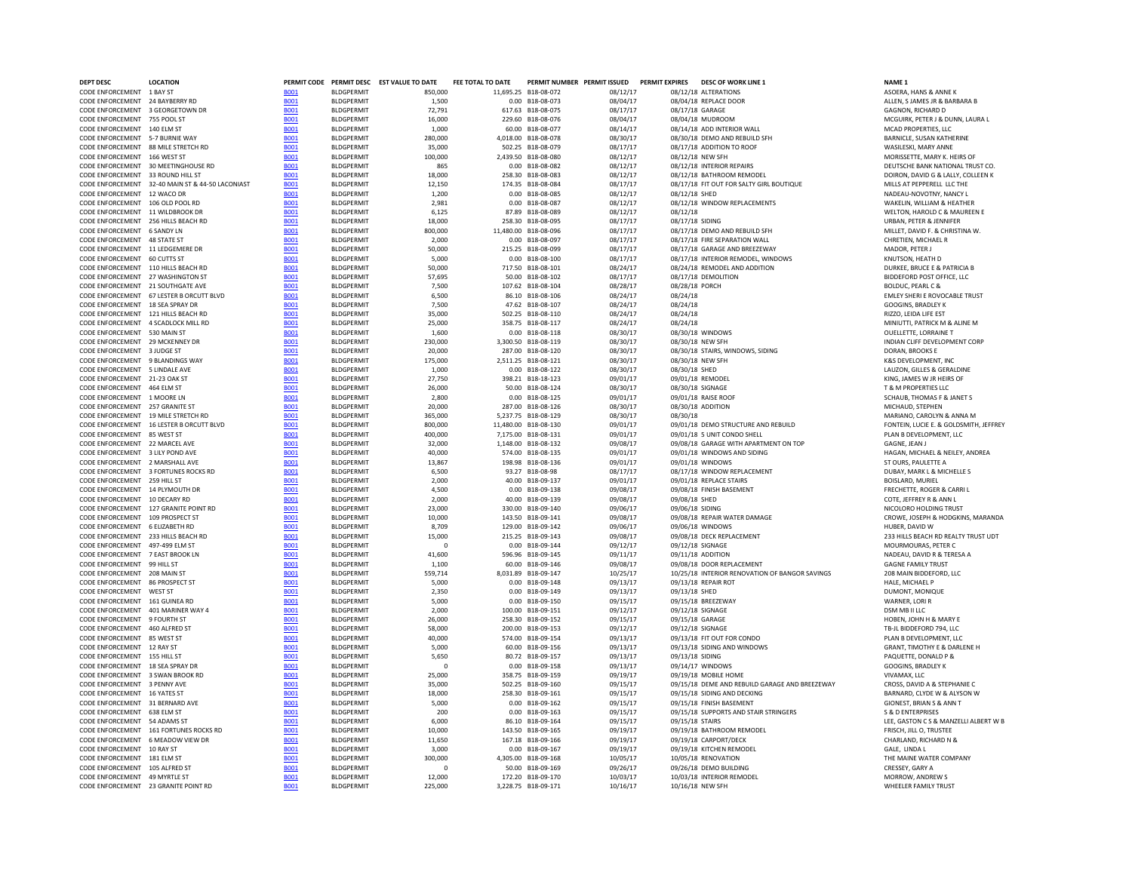| <b>DEPT DESC</b>                                                       | <b>LOCATION</b>                                  |                            |                                        | PERMIT CODE PERMIT DESC EST VALUE TO DATE | FEE TOTAL TO DATE | PERMIT NUMBER PERMIT ISSUED              |                      | <b>PERMIT EXPIRES</b> | <b>DESC OF WORK LINE 1</b>                                 | NAME <sub>1</sub>                                    |
|------------------------------------------------------------------------|--------------------------------------------------|----------------------------|----------------------------------------|-------------------------------------------|-------------------|------------------------------------------|----------------------|-----------------------|------------------------------------------------------------|------------------------------------------------------|
| CODE ENFORCEMENT 1 BAY ST                                              |                                                  | <b>BO01</b>                | <b>BLDGPERMIT</b>                      | 850,000                                   |                   | 11,695.25 B18-08-072                     | 08/12/17             |                       | 08/12/18 ALTERATIONS                                       | ASOERA, HANS & ANNE K                                |
| CODE ENFORCEMENT 24 BAYBERRY RD                                        |                                                  | <b>B001</b>                | <b>BLDGPERMIT</b>                      | 1.500                                     |                   | 0.00 B18-08-073                          | 08/04/17             |                       | 08/04/18 REPLACE DOOR                                      | ALLEN, S JAMES JR & BARBARA B                        |
| CODE ENFORCEMENT 3 GEORGETOWN DR                                       |                                                  | <b>BOO1</b>                | <b>BLDGPERMIT</b>                      | 72,791                                    |                   | 617.63 B18-08-075                        | 08/17/17             |                       | 08/17/18 GARAGE                                            | <b>GAGNON, RICHARD D</b>                             |
| CODE ENFORCEMENT 755 POOL ST                                           |                                                  | <b>BOO1</b>                | <b>BLDGPFRMIT</b>                      | 16,000                                    |                   | 229.60 B18-08-076                        | 08/04/17             |                       | 08/04/18 MUDROOM                                           | MCGUIRK, PETER J & DUNN, LAUR                        |
| CODE ENFORCEMENT 140 ELM ST                                            |                                                  | <b>BO01</b>                | <b>BLDGPERMIT</b>                      | 1,000                                     |                   | 60.00 B18-08-077                         | 08/14/17             |                       | 08/14/18 ADD INTERIOR WALL                                 | MCAD PROPERTIES, LLC                                 |
| CODE ENFORCEMENT 5-7 BURNIE WAY<br>CODE ENFORCEMENT 88 MILE STRETCH RD |                                                  | <b>B001</b>                | <b>BLDGPERMIT</b><br><b>BLDGPERMIT</b> | 280,000<br>35,000                         |                   | 4,018.00 B18-08-078<br>502.25 B18-08-079 | 08/30/17<br>08/17/17 |                       | 08/30/18 DEMO AND REBUILD SFH<br>08/17/18 ADDITION TO ROOF | BARNICLE, SUSAN KATHERINE<br>WASILESKI, MARY ANNE    |
| CODE ENFORCEMENT 166 WEST ST                                           |                                                  | <b>BOO1</b><br><b>B001</b> | <b>BLDGPERMIT</b>                      | 100,000                                   |                   | 2,439.50 B18-08-080                      | 08/12/17             |                       | 08/12/18 NEW SFH                                           | MORISSETTE, MARY K. HEIRS OF                         |
|                                                                        | CODE ENFORCEMENT 30 MEETINGHOUSE RD              | <b>BO01</b>                | <b>BLDGPERMIT</b>                      | 865                                       |                   | 0.00 B18-08-082                          | 08/12/17             |                       | 08/12/18 INTERIOR REPAIRS                                  | DEUTSCHE BANK NATIONAL TRUST                         |
| CODE ENFORCEMENT 33 ROUND HILL ST                                      |                                                  | <b>BOO1</b>                | <b>BLDGPERMIT</b>                      | 18,000                                    |                   | 258.30 B18-08-083                        | 08/12/17             |                       | 08/12/18 BATHROOM REMODEL                                  | DOIRON, DAVID G & LALLY, COLLEI                      |
|                                                                        | CODE ENFORCEMENT 32-40 MAIN ST & 44-50 LACONIAST | <b>BO01</b>                | <b>BLDGPERMIT</b>                      | 12.150                                    |                   | 174.35 B18-08-084                        | 08/17/17             |                       | 08/17/18 FIT OUT FOR SALTY GIRL BOUTIQUE                   | MILLS AT PEPPERELL LLC THE                           |
| CODE ENFORCEMENT 12 WACO DR                                            |                                                  | <b>B001</b>                | <b>BLDGPFRMIT</b>                      | 1.200                                     |                   | 0.00 B18-08-085                          | 08/12/17             | 08/12/18 SHFD         |                                                            | NADFAU-NOVOTNY, NANCY I                              |
| CODE ENFORCEMENT 106 OLD POOL RD                                       |                                                  | <b>BO01</b>                | <b>BLDGPFRMIT</b>                      | 2.981                                     |                   | 0.00 B18-08-087                          | 08/12/17             |                       | 08/12/18 WINDOW REPLACEMENTS                               | WAKFI IN. WILLIAM & HEATHER                          |
| CODE ENFORCEMENT 11 WILDBROOK DR                                       |                                                  | <b>B001</b>                | <b>BLDGPERMIT</b>                      | 6,125                                     |                   | 87.89 B18-08-089                         | 08/12/17             | 08/12/18              |                                                            | WELTON, HAROLD C & MAUREEN                           |
| CODE ENFORCEMENT 256 HILLS BEACH RD                                    |                                                  | <b>BO01</b>                | <b>BLDGPERMIT</b>                      | 18,000                                    |                   | 258.30 B18-08-095                        | 08/17/17             | 08/17/18 SIDING       |                                                            | URBAN, PETER & JENNIFER                              |
| CODE ENFORCEMENT 6 SANDY LN                                            |                                                  | <b>B001</b>                | <b>BLDGPERMIT</b>                      | 800,000                                   |                   | 11,480.00 B18-08-096                     | 08/17/17             |                       | 08/17/18 DEMO AND REBUILD SFH                              | MILLET, DAVID F. & CHRISTINA W.                      |
| CODE ENFORCEMENT 48 STATE ST                                           |                                                  | <b>BOO1</b>                | <b>BLDGPERMIT</b>                      | 2.000                                     |                   | 0.00 B18-08-097                          | 08/17/17             |                       | 08/17/18 FIRE SEPARATION WALL                              | CHRETIEN, MICHAEL R                                  |
| CODE ENFORCEMENT 11 LEDGEMERE DR                                       |                                                  | <b>B001</b>                | <b>BLDGPERMIT</b>                      | 50,000                                    |                   | 215.25 B18-08-099                        | 08/17/17             |                       | 08/17/18 GARAGE AND BREEZEWAY                              | MADOR, PETER J                                       |
| CODE ENFORCEMENT 60 CUTTS ST                                           |                                                  | <b>BO01</b>                | <b>BLDGPERMIT</b>                      | 5.000                                     |                   | 0.00 B18-08-100                          | 08/17/17             |                       | 08/17/18 INTERIOR REMODEL, WINDOWS                         | KNUTSON, HEATH D                                     |
| CODE ENFORCEMENT 110 HILLS BEACH RD                                    |                                                  | <b>BOO1</b>                | <b>BLDGPERMIT</b>                      | 50,000                                    |                   | 717.50 B18-08-101                        | 08/24/17             |                       | 08/24/18 REMODEL AND ADDITION                              | DURKEE, BRUCE E & PATRICIA B                         |
| CODE ENFORCEMENT 27 WASHINGTON ST                                      |                                                  | <b>B001</b>                | <b>BLDGPFRMIT</b>                      | 57.695                                    |                   | 50.00 B18-08-102                         | 08/17/17             |                       | 08/17/18 DFMOLITION                                        | BIDDEFORD POST OFFICE. LLC.                          |
| CODE ENFORCEMENT 21 SOUTHGATE AVE                                      |                                                  | <b>B001</b>                | <b>BLDGPERMIT</b>                      | 7,500                                     |                   | 107.62 B18-08-104                        | 08/28/17             | 08/28/18 PORCH        |                                                            | <b>BOLDUC, PEARL C &amp;</b>                         |
|                                                                        | CODE ENFORCEMENT 67 LESTER B ORCUTT BLVD         | <b>BO01</b>                | <b>BLDGPERMIT</b>                      | 6.500                                     |                   | 86.10 B18-08-106                         | 08/24/17             | 08/24/18              |                                                            | <b>EMLEY SHERI E ROVOCABLE TRUST</b>                 |
| CODE ENFORCEMENT 18 SEA SPRAY DR                                       |                                                  | <b>BO01</b>                | <b>BLDGPERMIT</b>                      | 7.500                                     |                   | 47.62 B18-08-107                         | 08/24/17             | 08/24/18              |                                                            | <b>GOOGINS, BRADLEY K</b>                            |
| CODE ENFORCEMENT 121 HILLS BEACH RD                                    |                                                  | <b>B001</b>                | <b>BLDGPERMIT</b>                      | 35,000                                    |                   | 502.25 B18-08-110                        | 08/24/17             | 08/24/18              |                                                            | RIZZO, LEIDA LIFE EST                                |
| CODE ENFORCEMENT 4 SCADLOCK MILL RD                                    |                                                  | <b>BOO1</b>                | <b>BLDGPERMIT</b>                      | 25,000                                    |                   | 358.75 B18-08-117                        | 08/24/17             | 08/24/18              |                                                            | MINIUTTI, PATRICK M & ALINE M                        |
| CODE ENFORCEMENT 530 MAIN ST                                           |                                                  | <b>B001</b>                | <b>BLDGPERMIT</b>                      | 1.600                                     |                   | 0.00 B18-08-118                          | 08/30/17             |                       | 08/30/18 WINDOWS                                           | OUELLETTE, LORRAINE T                                |
| CODE ENFORCEMENT 29 MCKENNEY DR                                        |                                                  | <b>B001</b><br><b>B001</b> | <b>BLDGPERMIT</b>                      | 230,000                                   |                   | 3.300.50 B18-08-119                      | 08/30/17<br>08/30/17 |                       | 08/30/18 NEW SFH<br>08/30/18 STAIRS, WINDOWS, SIDING       | INDIAN CLIFF DEVELOPMENT CORI                        |
| CODE ENFORCEMENT 3 JUDGE ST<br>CODE ENFORCEMENT 9 BLANDINGS WAY        |                                                  | <b>B001</b>                | <b>BLDGPERMIT</b><br><b>BLDGPERMIT</b> | 20,000<br>175,000                         |                   | 287.00 B18-08-120<br>2,511.25 B18-08-121 | 08/30/17             |                       | 08/30/18 NEW SFH                                           | DORAN, BROOKS E<br>K&S DEVELOPMENT, INC              |
| CODE ENFORCEMENT 5 LINDALE AVE                                         |                                                  | <b>B001</b>                | <b>BLDGPERMIT</b>                      | 1,000                                     |                   | 0.00 B18-08-122                          | 08/30/17             | 08/30/18 SHED         |                                                            | LAUZON, GILLES & GERALDINE                           |
| CODE ENFORCEMENT 21-23 OAK ST                                          |                                                  |                            | <b>BLDGPERMIT</b>                      |                                           |                   | 398.21 B18-18-123                        | 09/01/17             |                       | 09/01/18 REMODEI                                           | KING, JAMES W JR HEIRS OF                            |
| CODE ENFORCEMENT 464 ELM ST                                            |                                                  | <b>BOO1</b><br><b>BO01</b> | <b>BLDGPERMIT</b>                      | 27,750<br>26,000                          |                   | 50.00 B18-08-124                         | 08/30/17             |                       | 08/30/18 SIGNAGE                                           | T & M PROPERTIES LLC                                 |
| CODE ENFORCEMENT 1 MOORE LN                                            |                                                  | <b>B001</b>                | <b>BLDGPERMIT</b>                      | 2,800                                     |                   | 0.00 B18-08-125                          | 09/01/17             |                       | 09/01/18 RAISE ROOF                                        | SCHAUB, THOMAS F & JANET S                           |
| CODE ENFORCEMENT 257 GRANITE ST                                        |                                                  | <b>B001</b>                | <b>BLDGPERMIT</b>                      | 20,000                                    |                   | 287.00 B18-08-126                        | 08/30/17             |                       | 08/30/18 ADDITION                                          | MICHAUD, STEPHEN                                     |
| CODE ENFORCEMENT 19 MILE STRETCH RD                                    |                                                  | <b>B001</b>                | <b>BLDGPERMIT</b>                      | 365,000                                   |                   | 5.237.75 B18-08-129                      | 08/30/17             | 08/30/18              |                                                            | MARIANO, CAROLYN & ANNA M                            |
|                                                                        | CODE ENFORCEMENT 16 LESTER B ORCUTT BLVD         | <b>BO01</b>                | <b>BLDGPERMIT</b>                      | 800,000                                   |                   | 11.480.00 B18-08-130                     | 09/01/17             |                       | 09/01/18 DEMO STRUCTURE AND REBUILD                        | FONTEIN. LUCIE E. & GOLDSMITH.                       |
| CODE ENFORCEMENT 85 WEST ST                                            |                                                  | <b>B001</b>                | <b>BLDGPERMIT</b>                      | 400.000                                   |                   | 7.175.00 B18-08-131                      | 09/01/17             |                       | 09/01/18 5 UNIT CONDO SHELL                                | PLAN B DEVELOPMENT. LLC                              |
| CODE ENFORCEMENT 22 MARCEL AVE                                         |                                                  | <b>BOO1</b>                | <b>BLDGPERMIT</b>                      | 32,000                                    |                   | 1,148.00 B18-08-132                      | 09/08/17             |                       | 09/08/18 GARAGE WITH APARTMENT ON TOP                      | GAGNE, JEAN J                                        |
| CODE ENFORCEMENT 3 LILY POND AVE                                       |                                                  | <b>BO01</b>                | <b>BLDGPERMIT</b>                      | 40,000                                    |                   | 574.00 B18-08-135                        | 09/01/17             |                       | 09/01/18 WINDOWS AND SIDING                                | HAGAN, MICHAEL & NEILEY, ANDR                        |
| CODE ENFORCEMENT 2 MARSHALL AVE                                        |                                                  | <b>B001</b>                | <b>BLDGPERMIT</b>                      | 13,867                                    |                   | 198.98 B18-08-136                        | 09/01/17             |                       | 09/01/18 WINDOWS                                           | ST OURS, PAULETTE A                                  |
|                                                                        | CODE ENFORCEMENT 3 FORTUNES ROCKS RD             | <b>BOO1</b>                | <b>BLDGPERMIT</b>                      | 6,500                                     |                   | 93.27 B18-08-98                          | 08/17/17             |                       | 08/17/18 WINDOW REPLACEMENT                                | DUBAY, MARK L & MICHELLE S                           |
| CODE ENFORCEMENT 259 HILL ST                                           |                                                  | <b>BOO1</b>                | <b>BLDGPERMIT</b>                      | 2.000                                     |                   | 40.00 B18-09-137                         | 09/01/17             |                       | 09/01/18 REPLACE STAIRS                                    | <b>BOISLARD, MURIEL</b>                              |
| CODE ENFORCEMENT 14 PLYMOUTH DR                                        |                                                  | <b>BO01</b>                | <b>BLDGPERMIT</b>                      | 4.500                                     |                   | 0.00 B18-09-138                          | 09/08/17             |                       | 09/08/18 FINISH BASEMENT                                   | FRECHETTE, ROGER & CARRI L                           |
| CODE ENFORCEMENT 10 DECARY RD                                          |                                                  | <b>B001</b>                | <b>BLDGPERMIT</b>                      | 2.000                                     |                   | 40.00 B18-09-139                         | 09/08/17             | 09/08/18 SHED         |                                                            | COTE. IFFFREY R & ANN I                              |
|                                                                        | CODE ENFORCEMENT 127 GRANITE POINT RD            | <b>B001</b>                | <b>BLDGPERMIT</b>                      | 23,000                                    |                   | 330.00 B18-09-140                        | 09/06/17             | 09/06/18 SIDING       |                                                            | NICOLORO HOLDING TRUST                               |
| CODE ENFORCEMENT 109 PROSPECT ST                                       |                                                  | <b>B001</b>                | <b>BLDGPERMIT</b>                      | 10,000                                    |                   | 143.50 B18-09-141                        | 09/08/17             |                       | 09/08/18 REPAIR WATER DAMAGE                               | CROWE, JOSEPH & HODGKINS, MA                         |
| CODE ENFORCEMENT 6 ELIZABETH RD                                        |                                                  | <b>BO01</b>                | <b>BLDGPERMIT</b>                      | 8.709                                     |                   | 129.00 B18-09-142                        | 09/06/17             |                       | 09/06/18 WINDOWS                                           | HUBER, DAVID W                                       |
| CODE ENFORCEMENT 233 HILLS BEACH RD                                    |                                                  | <b>B001</b>                | <b>BLDGPERMIT</b>                      | 15,000                                    |                   | 215.25 B18-09-143                        | 09/08/17             |                       | 09/08/18 DECK REPLACEMENT                                  | 233 HILLS BEACH RD REALTY TRUS                       |
| CODE ENFORCEMENT 497-499 ELM ST                                        |                                                  | <b>B001</b>                | <b>BLDGPERMIT</b>                      |                                           |                   | 0.00 B18-09-144                          | 09/12/17             |                       | 09/12/18 SIGNAGE                                           | MOURMOURAS, PETER C                                  |
| CODE ENFORCEMENT 7 EAST BROOK LN                                       |                                                  | <b>B001</b>                | <b>BLDGPERMIT</b>                      | 41,600                                    |                   | 596.96 B18-09-145                        | 09/11/17             |                       | 09/11/18 ADDITION                                          | NADEAU, DAVID R & TERESA A                           |
| CODE ENFORCEMENT 99 HILL ST                                            |                                                  | <b>BO01</b>                | <b>BLDGPERMIT</b>                      | 1.100                                     |                   | 60.00 B18-09-146                         | 09/08/17             |                       | 09/08/18 DOOR REPLACEMENT                                  | <b>GAGNE FAMILY TRUST</b>                            |
| CODE ENFORCEMENT 208 MAIN ST                                           |                                                  | <b>B001</b>                | <b>BLDGPFRMIT</b>                      | 559,714                                   |                   | 8.031.89 B18-09-147                      | 10/25/17             |                       | 10/25/18 INTERIOR RENOVATION OF BANGOR SAVINGS             | 208 MAIN BIDDEFORD, LLC                              |
| CODE ENFORCEMENT 86 PROSPECT ST                                        |                                                  | <b>BO01</b>                | <b>BLDGPERMIT</b>                      | 5.000                                     |                   | 0.00 B18-09-148                          | 09/13/17             |                       | 09/13/18 REPAIR ROT                                        | HALE. MICHAEL P                                      |
| CODE ENFORCEMENT WEST ST                                               |                                                  | <b>B001</b>                | <b>BLDGPERMIT</b>                      | 2,350                                     | 0.00              | B18-09-149                               | 09/13/17             | 09/13/18 SHED         |                                                            | DUMONT, MONIQUE                                      |
| CODE ENFORCEMENT 161 GUINEA RD                                         |                                                  | <b>BO01</b>                | <b>BLDGPFRMIT</b>                      | 5,000                                     | 0.00              | B18-09-150                               | 09/15/17             |                       | 09/15/18 BREEZEWAY                                         | WARNER, LORI R                                       |
| CODE ENFORCEMENT 401 MARINER WAY 4                                     |                                                  | <b>B001</b>                | <b>BLDGPERMIT</b>                      | 2,000                                     | 100.00            | B18-09-151                               | 09/12/17             |                       | 09/12/18 SIGNAGE                                           | DSM MB II LLC                                        |
| CODE ENFORCEMENT 9 FOURTH ST                                           |                                                  | <b>B001</b>                | <b>BLDGPERMIT</b>                      | 26,000                                    |                   | 258.30 B18-09-152                        | 09/15/17             |                       | 09/15/18 GARAGE                                            | HOBEN, JOHN H & MARY E                               |
| CODE ENFORCEMENT 460 ALFRED ST                                         |                                                  | <b>BO01</b>                | <b>BLDGPERMIT</b>                      | 58,000                                    | 200.00            | B18-09-153                               | 09/12/17             |                       | 09/12/18 SIGNAGE                                           | TB-JL BIDDEFORD 794, LLC                             |
| CODE ENFORCEMENT 85 WEST ST<br>CODE ENFORCEMENT 12 RAY ST              |                                                  | <b>BOO1</b><br><b>B001</b> | <b>BLDGPERMIT</b><br><b>BLDGPFRMIT</b> | 40,000<br>5.000                           |                   | 574.00 B18-09-154<br>60.00 B18-09-156    | 09/13/17<br>09/13/17 |                       | 09/13/18 FIT OUT FOR CONDO<br>09/13/18 SIDING AND WINDOWS  | PLAN B DEVELOPMENT, LLC                              |
| CODE ENFORCEMENT 155 HILL ST                                           |                                                  | <b>B001</b>                | <b>BLDGPERMIT</b>                      | 5,650                                     |                   | 80.72 B18-09-157                         | 09/13/17             | 09/13/18 SIDING       |                                                            | GRANT, TIMOTHY E & DARLENE H<br>PAQUETTE, DONALD P & |
| CODE ENFORCEMENT 18 SEA SPRAY DR                                       |                                                  | <b>B001</b>                | <b>BLDGPERMIT</b>                      |                                           |                   | 0.00 B18-09-158                          | 09/13/17             |                       | 09/14/17 WINDOWS                                           | GOOGINS, BRADLEY K                                   |
| CODE ENFORCEMENT 3 SWAN BROOK RD                                       |                                                  | <b>BOO1</b>                | <b>BLDGPERMIT</b>                      | $\Omega$<br>25,000                        |                   | 358.75 B18-09-159                        | 09/19/17             |                       | 09/19/18 MOBILE HOME                                       | VIVAMAX, LLC                                         |
| CODE ENFORCEMENT 3 PENNY AVE                                           |                                                  | <b>B001</b>                | <b>BLDGPERMIT</b>                      | 35,000                                    |                   | 502.25 B18-09-160                        | 09/15/17             |                       | 09/15/18 DEME AND REBUILD GARAGE AND BREEZEWAY             | CROSS, DAVID A & STEPHANIE C                         |
| CODE ENFORCEMENT 16 YATES ST                                           |                                                  | <b>B001</b>                | <b>BLDGPERMIT</b>                      | 18,000                                    |                   | 258.30 B18-09-161                        | 09/15/17             |                       | 09/15/18 SIDING AND DECKING                                | BARNARD, CLYDE W & ALYSON W                          |
| CODE ENFORCEMENT 31 BERNARD AVE                                        |                                                  | <b>BOO1</b>                | <b>BLDGPERMIT</b>                      | 5,000                                     |                   | 0.00 B18-09-162                          | 09/15/17             |                       | 09/15/18 FINISH BASEMENT                                   | GIONEST, BRIAN S & ANN T                             |
| CODE ENFORCEMENT                                                       | 638 ELM ST                                       | <b>BO01</b>                | <b>BLDGPERMIT</b>                      | 200                                       |                   | 0.00 B18-09-163                          | 09/15/17             |                       | 09/15/18 SUPPORTS AND STAIR STRINGERS                      | <b>S &amp; D ENTERPRISES</b>                         |
| CODE ENFORCEMENT 54 ADAMS ST                                           |                                                  | <b>BOO1</b>                | <b>BLDGPFRMIT</b>                      | 6.000                                     |                   | 86.10 B18-09-164                         | 09/15/17             | 09/15/18 STAIRS       |                                                            | LEE, GASTON C S & MANZELLI ALB                       |
|                                                                        | CODE ENFORCEMENT 161 FORTUNES ROCKS RD           | <b>B001</b>                | <b>BLDGPFRMIT</b>                      | 10.000                                    |                   | 143.50 B18-09-165                        | 09/19/17             |                       | 09/19/18 BATHROOM REMODEL                                  | FRISCH. III I O. TRUSTEF                             |
| CODE ENFORCEMENT 6 MEADOW VIEW DR                                      |                                                  | <b>B001</b>                | <b>BLDGPERMIT</b>                      | 11.650                                    |                   | 167.18 B18-09-166                        | 09/19/17             |                       | 09/19/18 CARPORT/DECK                                      | CHARLAND, RICHARD N &                                |
| CODE ENFORCEMENT 10 RAY ST                                             |                                                  | <b>BO01</b>                | <b>BLDGPERMIT</b>                      | 3,000                                     |                   | 0.00 B18-09-167                          | 09/19/17             |                       | 09/19/18 KITCHEN REMODEL                                   | GALE. LINDA L                                        |
| CODE ENFORCEMENT 181 ELM ST                                            |                                                  | <b>B001</b>                | <b>BLDGPERMIT</b>                      | 300,000                                   |                   | 4,305.00 B18-09-168                      | 10/05/17             |                       | 10/05/18 RENOVATION                                        | THE MAINE WATER COMPANY                              |
| CODE ENFORCEMENT 105 ALFRED ST                                         |                                                  | <b>BO01</b>                | <b>BLDGPERMIT</b>                      |                                           |                   | 50.00 B18-09-169                         | 09/26/17             |                       | 09/26/18 DEMO BUILDING                                     | CRESSEY, GARY A                                      |
| CODE ENFORCEMENT 49 MYRTLE ST                                          |                                                  | <b>B001</b>                | <b>BLDGPERMIT</b>                      | 12,000                                    |                   | 172.20 B18-09-170                        | 10/03/17             |                       | 10/03/18 INTERIOR REMODEL                                  | MORROW, ANDREW S                                     |
| CODE ENFORCEMENT 23 GRANITE POINT RD                                   |                                                  | <b>B001</b>                | <b>BLDGPERMIT</b>                      | 225,000                                   |                   | 3.228.75 B18-09-171                      | 10/16/17             |                       | 10/16/18 NEW SFH                                           | WHEELER FAMILY TRUST                                 |
|                                                                        |                                                  |                            |                                        |                                           |                   |                                          |                      |                       |                                                            |                                                      |

ALLEN, S JAMES JR & BARBARA B<br>GAGNON, RICHARD D MCGUIRK, PETER J & DUNN, LAURA L<br>MCAD PROPERTIES, LLC MORISSETTE, MARY K. HEIRS OF DEUTSCHE BANK NATIONAL TRUST CO. DOIRON, DAVID G & LALLY, COLLEEN K<br>MILLS AT PEPPERELL LLC THE WELTON, HAROLD C & MAUREEN E<br>URBAN, PETER & JENNIFER DURKEE, BRUCE E & PATRICIA B<br>BIDDEFORD POST OFFICE, LLC MINIUTTI, PATRICK M & ALINE M<br>OUELLETTE, LORRAINE T MARIANO, CAROLYN & ANNA M FONTEIN, LUCIE E. & GOLDSMITH, JEFFREY<br>PLAN B DEVELOPMENT, LLC CODE ENGINEER AVE BOOT BOOT BOOT BAGAN, MICHAEL & NEILEY, ANDREARD<br>ST OURS, PAULETTE A CROWE, JOSEPH & HODGKINS, MARANDA<br>HUBER, DAVID W 233 HILLS BEACH RD REALTY TRUST UDT<br>MOURMOURAS, PETER C BARNARD, CLYDE W & ALYSON W<br>GIONEST, BRIAN S & ANN T LEE, GASTON C S & MANZELLI ALBERT W B<br>FRISCH, JILL O, TRUSTEE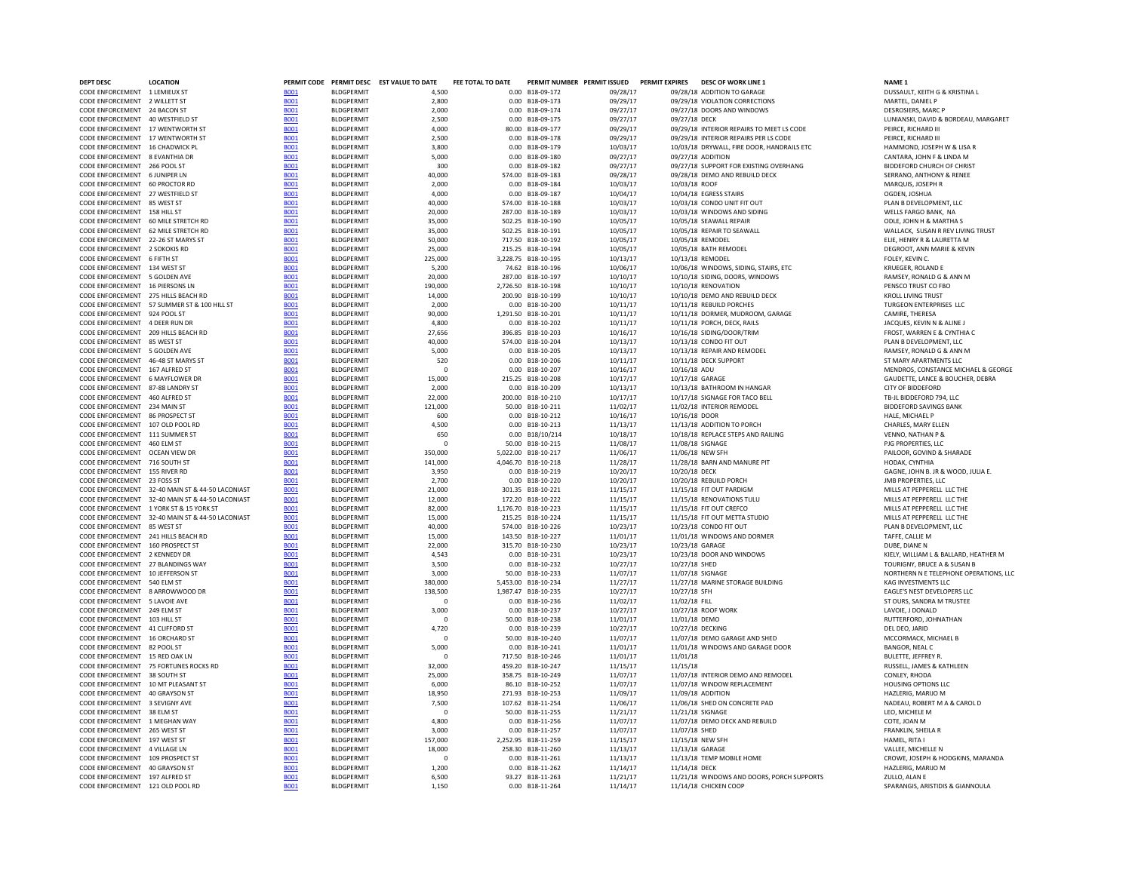| <b>DEPT DESC</b>                                                      | <b>LOCATION</b>                                  |                            |                                        | PERMIT CODE PERMIT DESC EST VALUE TO DATE | FEE TOTAL TO DATE |                                      | PERMIT NUMBER PERMIT ISSUED PERMIT EXPIRES |               | DESC OF WORK LINE 1                                  | NAME <sub>1</sub>                                             |  |
|-----------------------------------------------------------------------|--------------------------------------------------|----------------------------|----------------------------------------|-------------------------------------------|-------------------|--------------------------------------|--------------------------------------------|---------------|------------------------------------------------------|---------------------------------------------------------------|--|
| CODE ENFORCEMENT 1 LEMIEUX ST                                         |                                                  | <b>BO01</b>                | <b>BLDGPERMIT</b>                      | 4,500                                     |                   | 0.00 B18-09-172                      | 09/28/17                                   |               | 09/28/18 ADDITION TO GARAGE                          | DUSSAULT, KEITH G & KRISTINA L                                |  |
| CODE ENFORCEMENT 2 WILLETT ST                                         |                                                  | <b>B001</b>                | <b>BLDGPERMIT</b>                      | 2,800                                     |                   | 0.00 B18-09-173                      | 09/29/17                                   |               | 09/29/18 VIOLATION CORRECTIONS                       | MARTEL, DANIEL P                                              |  |
| CODE ENFORCEMENT 24 BACON ST                                          |                                                  | <b>B001</b>                | <b>BLDGPFRMIT</b>                      | 2,000                                     |                   | 0.00 B18-09-174                      | 09/27/17                                   |               | 09/27/18 DOORS AND WINDOWS                           | DESROSIERS, MARC P                                            |  |
| CODE ENFORCEMENT 40 WESTFIELD ST                                      |                                                  | <b>B001</b>                | <b>BLDGPFRMIT</b>                      | 2.500                                     |                   | 0.00 B18-09-175                      | 09/27/17                                   | 09/27/18 DECK |                                                      | LUNIANSKI, DAVID & BORDEAU, MARGARET                          |  |
| CODE ENFORCEMENT 17 WENTWORTH ST                                      |                                                  | <b>B001</b>                | <b>BLDGPERMIT</b>                      | 4,000                                     |                   | 80.00 B18-09-177                     | 09/29/17                                   |               | 09/29/18 INTERIOR REPAIRS TO MEET LS CODE            | PEIRCE, RICHARD III                                           |  |
| CODE ENFORCEMENT 17 WENTWORTH ST                                      |                                                  | <b>B001</b>                | <b>BLDGPERMIT</b>                      | 2,500                                     |                   | 0.00 B18-09-178                      | 09/29/17                                   |               | 09/29/18 INTERIOR REPAIRS PER LS CODE                | PEIRCE, RICHARD III                                           |  |
| CODE ENFORCEMENT 16 CHADWICK PL                                       |                                                  | <b>BO01</b>                | <b>BLDGPERMIT</b>                      | 3,800                                     |                   | 0.00 B18-09-179                      | 10/03/17                                   |               | 10/03/18 DRYWALL, FIRE DOOR, HANDRAILS ETC           | HAMMOND, JOSEPH W & LISA R                                    |  |
| CODE ENFORCEMENT 8 EVANTHIA DR                                        |                                                  | <b>B001</b>                | <b>BLDGPERMIT</b>                      | 5,000                                     |                   | 0.00 B18-09-180                      | 09/27/17                                   |               | 09/27/18 ADDITION                                    | CANTARA, JOHN F & LINDA M                                     |  |
| CODE ENFORCEMENT 266 POOL ST                                          |                                                  | <b>BO01</b>                | <b>BLDGPERMIT</b>                      | 300                                       |                   | 0.00 B18-09-182                      | 09/27/17                                   |               | 09/27/18 SUPPORT FOR EXISTING OVERHANG               | <b>BIDDEFORD CHURCH OF CHRIST</b>                             |  |
| CODE ENFORCEMENT 6 JUNIPER LN<br>CODE ENFORCEMENT 60 PROCTOR RD       |                                                  | <b>BOO1</b>                | <b>BLDGPERMIT</b><br><b>BLDGPERMIT</b> | 40,000<br>2,000                           |                   | 574.00 B18-09-183<br>0.00 B18-09-184 | 09/28/17<br>10/03/17                       | 10/03/18 ROOF | 09/28/18 DEMO AND REBUILD DECK                       | SERRANO, ANTHONY & RENEE                                      |  |
| CODE ENFORCEMENT 27 WESTFIELD ST                                      |                                                  | <b>BOO1</b><br><b>B001</b> | <b>BLDGPERMIT</b>                      | 4.000                                     |                   | 0.00 B18-09-187                      | 10/04/17                                   |               | 10/04/18 EGRESS STAIRS                               | MARQUIS, JOSEPH R<br>OGDEN, JOSHUA                            |  |
| CODE ENFORCEMENT 85 WEST ST                                           |                                                  | <b>B001</b>                | <b>BLDGPERMIT</b>                      | 40,000                                    |                   | 574.00 B18-10-188                    | 10/03/17                                   |               | 10/03/18 CONDO UNIT FIT OUT                          | PLAN B DEVELOPMENT, LLC                                       |  |
| CODE ENFORCEMENT 158 HILL ST                                          |                                                  | <b>B001</b>                | <b>BLDGPERMIT</b>                      | 20,000                                    |                   | 287.00 B18-10-189                    | 10/03/17                                   |               | 10/03/18 WINDOWS AND SIDING                          | WELLS FARGO BANK. NA                                          |  |
| CODE ENFORCEMENT 60 MILE STRETCH RD                                   |                                                  | <b>B001</b>                | <b>BLDGPERMIT</b>                      | 35,000                                    |                   | 502.25 B18-10-190                    | 10/05/17                                   |               | 10/05/18 SEAWALL REPAIR                              | ODLE, JOHN H & MARTHA S                                       |  |
| CODE ENFORCEMENT 62 MILE STRETCH RD                                   |                                                  | <b>BO01</b>                | <b>BLDGPERMIT</b>                      | 35,000                                    |                   | 502.25 B18-10-191                    | 10/05/17                                   |               | 10/05/18 REPAIR TO SEAWALL                           | WALLACK, SUSAN R REV LIVING TRUST                             |  |
| CODE ENFORCEMENT 22-26 ST MARYS ST                                    |                                                  | <b>BOO1</b>                | <b>BLDGPERMIT</b>                      | 50.000                                    |                   | 717.50 B18-10-192                    | 10/05/17                                   |               | 10/05/18 REMODEL                                     | ELIE. HENRY R & LAURETTA M                                    |  |
| CODE ENFORCEMENT 2 SOKOKIS RD                                         |                                                  | <b>BO01</b>                | <b>BLDGPERMIT</b>                      | 25,000                                    |                   | 215.25 B18-10-194                    | 10/05/17                                   |               | 10/05/18 BATH REMODEL                                | DEGROOT, ANN MARIE & KEVIN                                    |  |
| CODE ENFORCEMENT 6 FIFTH ST                                           |                                                  | <b>B001</b>                | <b>BLDGPERMIT</b>                      | 225,000                                   |                   | 3.228.75 B18-10-195                  | 10/13/17                                   |               | 10/13/18 REMODEL                                     | FOLEY, KEVIN C.                                               |  |
| CODE ENFORCEMENT 134 WEST ST                                          |                                                  | <b>B001</b>                | <b>BLDGPERMIT</b>                      | 5,200                                     |                   | 74.62 B18-10-196                     | 10/06/17                                   |               | 10/06/18 WINDOWS, SIDING, STAIRS, ETC                | KRUEGER, ROLAND E                                             |  |
| CODE ENFORCEMENT 5 GOLDEN AVE                                         |                                                  | <b>BOO1</b>                | <b>BLDGPERMIT</b>                      | 20,000                                    |                   | 287.00 B18-10-197                    | 10/10/17                                   |               | 10/10/18 SIDING, DOORS, WINDOWS                      | RAMSEY, RONALD G & ANN M                                      |  |
| CODE ENFORCEMENT 16 PIERSONS LN                                       |                                                  | <b>B001</b>                | <b>BLDGPERMIT</b>                      | 190,000                                   |                   | 2.726.50 B18-10-198                  | 10/10/17                                   |               | 10/10/18 RENOVATION                                  | PENSCO TRUST CO FBO                                           |  |
| CODE ENFORCEMENT 275 HILLS BEACH RD                                   |                                                  | <b>B001</b>                | <b>BLDGPERMIT</b>                      | 14,000                                    |                   | 200.90 B18-10-199                    | 10/10/17                                   |               | 10/10/18 DEMO AND REBUILD DECK                       | <b>KROLL LIVING TRUST</b>                                     |  |
|                                                                       | CODE ENFORCEMENT 57 SUMMER ST & 100 HILL ST      | <b>B001</b>                | <b>BLDGPERMIT</b>                      | 2,000                                     |                   | 0.00 B18-10-200                      | 10/11/17                                   |               | 10/11/18 REBUILD PORCHES                             | TURGEON ENTERPRISES LLC                                       |  |
| CODE ENFORCEMENT 924 POOL ST                                          |                                                  | <b>BO01</b>                | <b>BLDGPERMIT</b>                      | 90.000                                    |                   | 1.291.50 B18-10-201                  | 10/11/17                                   |               | 10/11/18 DORMER, MUDROOM, GARAGE                     | CAMIRE, THERESA                                               |  |
| CODE ENFORCEMENT 4 DEER RUN DR                                        |                                                  | <b>BO01</b>                | BLDGPERMIT                             | 4,800                                     |                   | 0.00 B18-10-202                      | 10/11/17                                   |               | 10/11/18 PORCH, DECK, RAILS                          | JACQUES, KEVIN N & ALINE J                                    |  |
| CODE ENFORCEMENT 209 HILLS BEACH RD                                   |                                                  | <b>B001</b>                | <b>BLDGPERMIT</b>                      | 27.656                                    |                   | 396.85 B18-10-203                    | 10/16/17                                   |               | 10/16/18 SIDING/DOOR/TRIM                            | FROST, WARREN E & CYNTHIA C                                   |  |
| CODE ENFORCEMENT 85 WEST ST                                           |                                                  | <b>BO01</b>                | <b>BLDGPERMIT</b>                      | 40,000                                    |                   | 574.00 B18-10-204                    | 10/13/17                                   |               | 10/13/18 CONDO FIT OUT                               | PLAN B DEVELOPMENT, LLC                                       |  |
| CODE ENFORCEMENT 5 GOLDEN AVE                                         |                                                  | <b>B001</b>                | <b>BLDGPERMIT</b>                      | 5.000                                     |                   | 0.00 B18-10-205                      | 10/13/17                                   |               | 10/13/18 REPAIR AND REMODEL                          | RAMSEY, RONALD G & ANN M                                      |  |
| CODE ENFORCEMENT 46-48 ST MARYS ST                                    |                                                  | <b>B001</b>                | <b>BLDGPERMIT</b>                      | 520                                       |                   | 0.00 B18-10-206                      | 10/11/17                                   |               | 10/11/18 DECK SUPPORT                                | ST MARY APARTMENTS LLC                                        |  |
| CODE ENFORCEMENT 167 ALERED ST                                        |                                                  | <b>B001</b>                | <b>BLDGPFRMIT</b>                      | $\Omega$                                  |                   | 0.00 B18-10-207                      | 10/16/17                                   | 10/16/18 ADU  |                                                      | MENDROS, CONSTANCE MICHAEL & GEORGE                           |  |
| CODE ENFORCEMENT 6 MAYFLOWER DR                                       |                                                  | <b>B001</b>                | <b>BLDGPERMIT</b>                      | 15,000                                    |                   | 215.25 B18-10-208                    | 10/17/17                                   |               | 10/17/18 GARAGE                                      | GAUDETTE, LANCE & BOUCHER, DEBRA                              |  |
| CODE ENFORCEMENT 87-88 LANDRY ST                                      |                                                  | <b>BO01</b>                | <b>BLDGPERMIT</b>                      | 2,000                                     |                   | 0.00 B18-10-209                      | 10/13/17                                   |               | 10/13/18 BATHROOM IN HANGAR                          | <b>CITY OF BIDDEFORD</b>                                      |  |
| CODE ENFORCEMENT 460 ALFRED ST                                        |                                                  | <b>BO01</b>                | <b>BLDGPERMIT</b>                      | 22,000                                    |                   | 200.00 B18-10-210                    | 10/17/17                                   |               | 10/17/18 SIGNAGE FOR TACO BELL                       | TB-JL BIDDEFORD 794, LLC                                      |  |
| CODE ENFORCEMENT 234 MAIN ST                                          |                                                  | <b>BO01</b>                | <b>BLDGPERMIT</b>                      | 121,000                                   |                   | 50.00 B18-10-211                     | 11/02/17                                   |               | 11/02/18 INTERIOR REMODEL                            | <b>BIDDEFORD SAVINGS BANK</b>                                 |  |
| CODE ENFORCEMENT 86 PROSPECT ST                                       |                                                  | <b>BO01</b>                | <b>BLDGPERMIT</b>                      | 600                                       |                   | 0.00 B18-10-212                      | 10/16/17                                   | 10/16/18 DOOR |                                                      | HALE, MICHAEL P                                               |  |
| CODE ENFORCEMENT 107 OLD POOL RD                                      |                                                  | <b>B001</b>                | <b>BLDGPERMIT</b>                      | 4,500                                     |                   | 0.00 B18-10-213                      | 11/13/17                                   |               | 11/13/18 ADDITION TO PORCH                           | CHARLES, MARY ELLEN                                           |  |
| CODE ENFORCEMENT 111 SUMMER ST                                        |                                                  | <b>BOO1</b>                | <b>BLDGPERMIT</b>                      | 650                                       |                   | 0.00 B18/10/214                      | 10/18/17                                   |               | 10/18/18 REPLACE STEPS AND RAILING                   | VENNO, NATHAN P &                                             |  |
| CODE ENFORCEMENT 460 FLM ST                                           |                                                  | <b>B001</b>                | <b>BLDGPFRMIT</b>                      | $\Omega$                                  |                   | 50.00 B18-10-215                     | 11/08/17                                   |               | 11/08/18 SIGNAGE                                     | PIG PROPERTIES, LLC                                           |  |
| CODE ENFORCEMENT OCEAN VIEW DR                                        |                                                  | <b>B001</b>                | <b>BLDGPERMIT</b>                      | 350,000                                   |                   | 5,022.00 B18-10-217                  | 11/06/17                                   |               | 11/06/18 NEW SFH                                     | PAILOOR, GOVIND & SHARADE                                     |  |
| CODE ENFORCEMENT 716 SOUTH ST                                         |                                                  | <b>BO01</b>                | <b>BLDGPERMIT</b>                      | 141,000                                   |                   | 4,046.70 B18-10-218                  | 11/28/17                                   |               | 11/28/18 BARN AND MANURE PIT                         | HODAK, CYNTHIA                                                |  |
| CODE ENFORCEMENT 155 RIVER RD                                         |                                                  | <b>BOO1</b>                | <b>BLDGPERMIT</b>                      | 3,950                                     |                   | 0.00 B18-10-219                      | 10/20/17                                   | 10/20/18 DECK |                                                      | GAGNE, JOHN B. JR & WOOD, JULIA E.                            |  |
| CODE ENFORCEMENT 23 FOSS ST                                           |                                                  | <b>B001</b>                | <b>BLDGPERMIT</b>                      | 2,700                                     |                   | 0.00 B18-10-220                      | 10/20/17                                   |               | 10/20/18 REBUILD PORCH                               | JMB PROPERTIES, LLC                                           |  |
|                                                                       | CODE ENFORCEMENT 32-40 MAIN ST & 44-50 LACONIAST | <b>BO01</b>                | <b>BLDGPERMIT</b>                      | 21,000                                    |                   | 301.35 B18-10-221                    | 11/15/17                                   |               | 11/15/18 FIT OUT PARDIGM                             | MILLS AT PEPPERELL LLC THE                                    |  |
|                                                                       | CODE ENFORCEMENT 32-40 MAIN ST & 44-50 LACONIAST | <b>BOO1</b>                | <b>BLDGPERMIT</b>                      | 12,000                                    |                   | 172.20 B18-10-222                    | 11/15/17                                   |               | 11/15/18 RENOVATIONS TULU                            | MILLS AT PEPPERELL LLC THE                                    |  |
|                                                                       | CODE ENFORCEMENT 1 YORK ST & 15 YORK ST          | <b>BOO1</b>                | <b>BLDGPERMIT</b>                      | 82,000                                    |                   | 1,176.70 B18-10-223                  | 11/15/17                                   |               | 11/15/18 FIT OUT CREFCO                              | MILLS AT PEPPERELL LLC THE                                    |  |
|                                                                       | CODE ENFORCEMENT 32-40 MAIN ST & 44-50 LACONIAST | <b>B001</b>                | <b>BLDGPERMIT</b>                      | 15,000                                    |                   | 215.25 B18-10-224                    | 11/15/17                                   |               | 11/15/18 FIT OUT METTA STUDIO                        | MILLS AT PEPPERELL LLC THE                                    |  |
| CODE ENFORCEMENT 85 WEST ST                                           |                                                  | <b>B001</b>                | <b>BLDGPERMIT</b>                      | 40,000                                    |                   | 574.00 B18-10-226                    | 10/23/17                                   |               | 10/23/18 CONDO FIT OUT                               | PLAN B DEVELOPMENT, LLC                                       |  |
| CODE ENFORCEMENT 241 HILLS BEACH RD                                   |                                                  | <b>B001</b>                | <b>BLDGPERMIT</b>                      | 15,000                                    |                   | 143.50 B18-10-227                    | 11/01/17                                   |               | 11/01/18 WINDOWS AND DORMER                          | TAFFE, CALLIE M                                               |  |
| CODE ENFORCEMENT 160 PROSPECT ST                                      |                                                  | <b>BO01</b>                | <b>BLDGPERMIT</b>                      | 22,000                                    |                   | 315.70 B18-10-230                    | 10/23/17                                   |               | 10/23/18 GARAGE                                      | DUBE, DIANE N                                                 |  |
| CODE ENFORCEMENT 2 KENNEDY DR                                         |                                                  | <b>B001</b>                | <b>BLDGPERMIT</b>                      | 4,543                                     |                   | 0.00 B18-10-231                      | 10/23/17                                   |               | 10/23/18 DOOR AND WINDOWS                            | KIELY, WILLIAM L & BALLARD, HEATHER M                         |  |
| CODE ENFORCEMENT 27 BLANDINGS WAY<br>CODE ENFORCEMENT 10 JEFFERSON ST |                                                  | <b>BO01</b>                | <b>BLDGPERMIT</b>                      | 3,500                                     |                   | 0.00 B18-10-232<br>50.00 B18-10-233  | 10/27/17                                   | 10/27/18 SHED |                                                      | TOURIGNY, BRUCE A & SUSAN B                                   |  |
| CODE ENFORCEMENT 540 ELM ST                                           |                                                  | <b>BOO1</b><br><b>B001</b> | <b>BLDGPERMIT</b><br><b>BLDGPERMIT</b> | 3,000<br>380,000                          |                   | 5,453.00 B18-10-234                  | 11/07/17<br>11/27/17                       |               | 11/07/18 SIGNAGE<br>11/27/18 MARINE STORAGE BUILDING | NORTHERN N E TELEPHONE OPERATIONS, LLC<br>KAG INVESTMENTS LLC |  |
| CODE ENFORCEMENT 8 ARROWWOOD DR                                       |                                                  | <b>B001</b>                | <b>BLDGPERMIT</b>                      | 138,500                                   |                   | 1,987.47 B18-10-235                  | 10/27/17                                   | 10/27/18 SFH  |                                                      | EAGLE'S NEST DEVELOPERS LLC                                   |  |
| CODE ENFORCEMENT 5 LAVOIE AVE                                         |                                                  | <b>B001</b>                | <b>BLDGPERMIT</b>                      | $\Omega$                                  |                   | 0.00 B18-10-236                      | 11/02/17                                   | 11/02/18 FILL |                                                      | ST OURS, SANDRA M TRUSTEE                                     |  |
| CODE ENFORCEMENT 249 ELM ST                                           |                                                  | <b>B001</b>                | <b>BLDGPERMIT</b>                      | 3,000                                     |                   | 0.00 B18-10-237                      | 10/27/17                                   |               | 10/27/18 ROOF WORK                                   | LAVOIE, J DONALD                                              |  |
| CODE ENFORCEMENT 103 HILL ST                                          |                                                  | <b>BO01</b>                | <b>BLDGPERMIT</b>                      | $\mathbf{0}$                              |                   | 50.00 B18-10-238                     | 11/01/17                                   |               | 11/01/18 DEMO                                        | RUTTERFORD, JOHNATHAN                                         |  |
| CODE ENFORCEMENT 41 CLIFFORD ST                                       |                                                  | <b>BOO1</b>                | <b>BLDGPERMIT</b>                      | 4,720                                     |                   | 0.00 B18-10-239                      | 10/27/17                                   |               | 10/27/18 DECKING                                     | DEL DEO, JARID                                                |  |
| CODE ENFORCEMENT 16 ORCHARD ST                                        |                                                  | <b>BO01</b>                | <b>BLDGPERMIT</b>                      | $\mathbf 0$                               |                   | 50.00 B18-10-240                     | 11/07/17                                   |               | 11/07/18 DEMO GARAGE AND SHED                        | MCCORMACK, MICHAEL B                                          |  |
| CODE ENFORCEMENT 82 POOL ST                                           |                                                  | <b>BO01</b>                | BLDGPERMIT                             | 5,000                                     |                   | 0.00 B18-10-241                      | 11/01/17                                   |               | 11/01/18 WINDOWS AND GARAGE DOOR                     | BANGOR, NEAL C                                                |  |
| CODE ENFORCEMENT 15 RED OAK LN                                        |                                                  | <b>B001</b>                | <b>BLDGPERMIT</b>                      | $\Omega$                                  |                   | 717.50 B18-10-246                    | 11/01/17                                   | 11/01/18      |                                                      | <b>BULETTE, JEFFREY R.</b>                                    |  |
|                                                                       | CODE ENFORCEMENT 75 FORTUNES ROCKS RD            | <b>B001</b>                | <b>BLDGPERMIT</b>                      | 32,000                                    |                   | 459.20 B18-10-247                    | 11/15/17                                   | 11/15/18      |                                                      | RUSSELL, JAMES & KATHLEEN                                     |  |
| CODE ENFORCEMENT 38 SOUTH ST                                          |                                                  | <b>B001</b>                | <b>BLDGPERMIT</b>                      | 25,000                                    |                   | 358.75 B18-10-249                    | 11/07/17                                   |               | 11/07/18 INTERIOR DEMO AND REMODEL                   | CONLEY, RHODA                                                 |  |
| CODE ENFORCEMENT 10 MT PLEASANT ST                                    |                                                  | <b>B001</b>                | <b>BLDGPERMIT</b>                      | 6.000                                     |                   | 86.10 B18-10-252                     | 11/07/17                                   |               | 11/07/18 WINDOW REPLACEMENT                          | <b>HOUSING OPTIONS LLC</b>                                    |  |
| CODE ENFORCEMENT 40 GRAYSON ST                                        |                                                  | <b>BOO1</b>                | <b>BLDGPERMIT</b>                      | 18,950                                    |                   | 271.93 B18-10-253                    | 11/09/17                                   |               | 11/09/18 ADDITION                                    | HAZLERIG, MARIJO M                                            |  |
| CODE ENFORCEMENT 3 SEVIGNY AVE                                        |                                                  | <b>BOO1</b>                | <b>BLDGPERMIT</b>                      | 7,500                                     |                   | 107.62 B18-11-254                    | 11/06/17                                   |               | 11/06/18 SHED ON CONCRETE PAD                        | NADEAU, ROBERT M A & CAROL D                                  |  |
| CODE ENFORCEMENT 38 ELM ST                                            |                                                  | <b>B001</b>                | <b>BLDGPERMIT</b>                      | $\mathbf{0}$                              |                   | 50.00 B18-11-255                     | 11/21/17                                   |               | 11/21/18 SIGNAGE                                     | LEO. MICHELE M                                                |  |
| CODE ENFORCEMENT 1 MEGHAN WAY                                         |                                                  | <b>BO01</b>                | <b>BLDGPERMIT</b>                      | 4,800                                     |                   | 0.00 B18-11-256                      | 11/07/17                                   |               | 11/07/18 DEMO DECK AND REBUILD                       | COTE, JOAN M                                                  |  |
| CODE ENFORCEMENT 265 WEST ST                                          |                                                  | <b>BOO1</b>                | <b>BLDGPERMIT</b>                      | 3,000                                     |                   | 0.00 B18-11-257                      | 11/07/17                                   | 11/07/18 SHED |                                                      | FRANKLIN, SHEILA R                                            |  |
| CODE ENFORCEMENT 197 WEST ST                                          |                                                  | <b>BOO1</b>                | <b>BLDGPERMIT</b>                      | 157.000                                   |                   | 2.252.95 B18-11-259                  | 11/15/17                                   |               | 11/15/18 NEW SFH                                     | HAMEL, RITA I                                                 |  |
| CODE ENFORCEMENT 4 VILLAGE LN                                         |                                                  | <b>B001</b>                | <b>BLDGPERMIT</b>                      | 18,000                                    |                   | 258.30 B18-11-260                    | 11/13/17                                   |               | 11/13/18 GARAGE                                      | VALLEE, MICHELLE N                                            |  |
| CODE ENFORCEMENT 109 PROSPECT ST                                      |                                                  | <b>B001</b>                | <b>BLDGPERMIT</b>                      | $^{\circ}$                                |                   | 0.00 B18-11-261                      | 11/13/17                                   |               | 11/13/18 TEMP MOBILE HOME                            | CROWE, JOSEPH & HODGKINS, MARANDA                             |  |
| CODE ENFORCEMENT 40 GRAYSON ST                                        |                                                  | <b>B001</b>                | <b>BLDGPERMIT</b>                      | 1,200                                     |                   | 0.00 B18-11-262                      | 11/14/17                                   | 11/14/18 DECK |                                                      | HAZLERIG. MARIJO M                                            |  |
| CODE ENFORCEMENT 197 ALFRED ST                                        |                                                  | <b>B001</b>                | <b>BLDGPFRMIT</b>                      | 6,500                                     |                   | 93.27 B18-11-263                     | 11/21/17                                   |               | 11/21/18 WINDOWS AND DOORS, PORCH SUPPORTS           | ZULLO, ALAN E                                                 |  |
| CODE ENFORCEMENT 121 OLD POOL RD                                      |                                                  | <b>BO01</b>                | <b>BLDGPERMIT</b>                      | 1.150                                     |                   | 0.00 B18-11-264                      | 11/14/17                                   |               | 11/14/18 CHICKEN COOP                                | SPARANGIS, ARISTIDIS & GIANNOULA                              |  |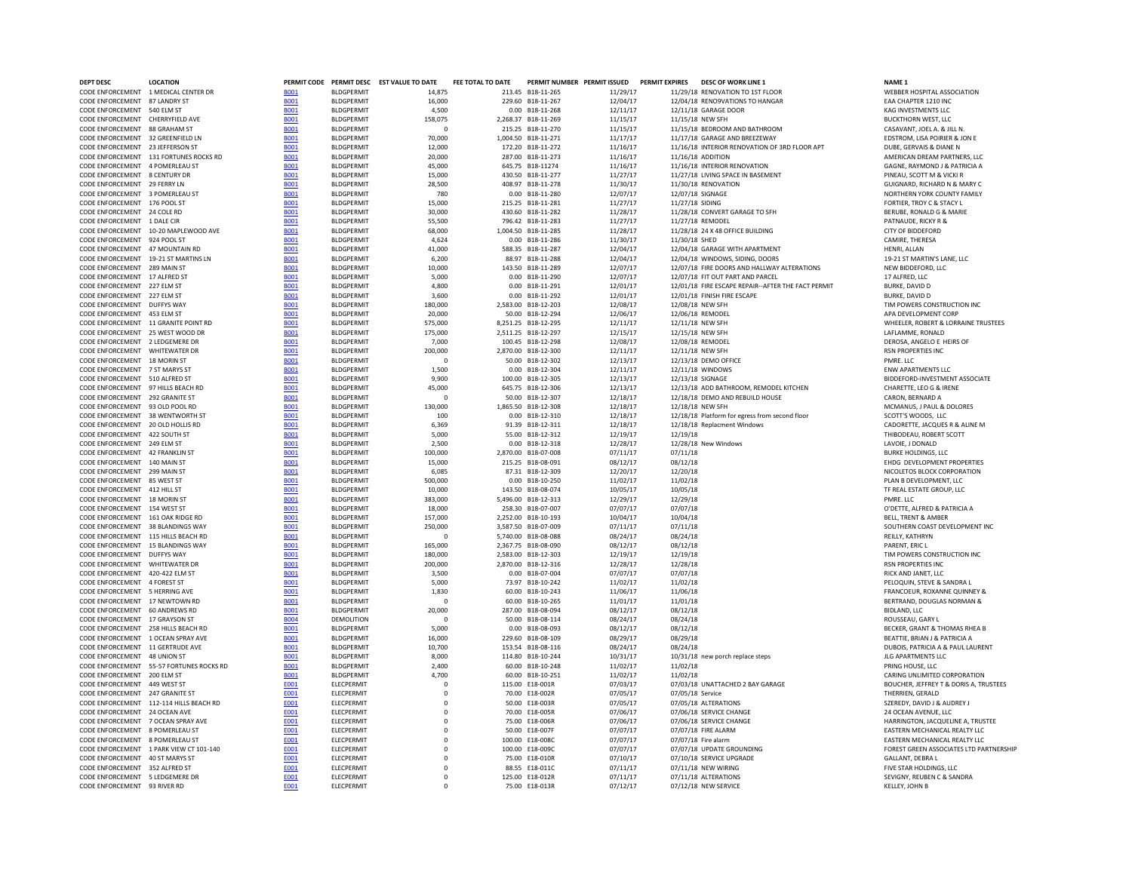| DEPT DESC                                                                 | <b>LOCATION</b>                          |                            |                                        | PERMIT CODE PERMIT DESC EST VALUE TO DATE | FEE TOTAL TO DATE | PERMIT NUMBER PERMIT ISSUED                |                      | <b>PERMIT EXPIRES</b> | <b>DESC OF WORK LINE 1</b>                                         | NAME <sub>1</sub>                                                  |
|---------------------------------------------------------------------------|------------------------------------------|----------------------------|----------------------------------------|-------------------------------------------|-------------------|--------------------------------------------|----------------------|-----------------------|--------------------------------------------------------------------|--------------------------------------------------------------------|
|                                                                           | CODE ENFORCEMENT 1 MEDICAL CENTER DR     | <b>BO01</b>                | <b>BLDGPERMIT</b>                      | 14.875                                    |                   | 213.45 B18-11-265                          | 11/29/17             |                       | 11/29/18 RENOVATION TO 1ST FLOOR                                   | WEBBER HOSPITAL ASSOCIATION                                        |
| CODE ENFORCEMENT 87 LANDRY ST                                             |                                          | <b>BO01</b>                | <b>BLDGPERMIT</b>                      | 16,000                                    |                   | 229.60 B18-11-267                          | 12/04/17             |                       | 12/04/18 RENO9VATIONS TO HANGAR                                    | EAA CHAPTER 1210 INC                                               |
| CODE ENFORCEMENT 540 ELM ST<br>CODE ENFORCEMENT CHERRYFIELD AVE           |                                          | <b>BOO1</b><br><b>B001</b> | <b>BLDGPERMIT</b><br><b>BLDGPERMIT</b> | 4,500<br>158,075                          |                   | 0.00 B18-11-268<br>2,268.37 B18-11-269     | 12/11/17<br>11/15/17 |                       | 12/11/18 GARAGE DOOR<br>11/15/18 NEW SFH                           | KAG INVESTMENTS LLC<br><b>BUCKTHORN WEST, LLC</b>                  |
| CODE ENFORCEMENT 88 GRAHAM ST                                             |                                          | <b>BO01</b>                | <b>BI DGPFRMIT</b>                     | $\Omega$                                  |                   | 215.25 B18-11-270                          | 11/15/17             |                       | 11/15/18 BEDROOM AND BATHROOM                                      | CASAVANT, JOEL A. & JILL N.                                        |
| CODE ENFORCEMENT 32 GREENFIELD IN                                         |                                          | <b>B001</b>                | <b>BI DGPFRMIT</b>                     | 70,000                                    |                   | 1.004.50 B18-11-271                        | 11/17/17             |                       | 11/17/18 GARAGE AND BREEZEWAY                                      | EDSTROM. LISA POIRIER & JON E                                      |
| CODE ENFORCEMENT 23 JEFFERSON ST                                          |                                          | <b>B001</b>                | <b>BLDGPERMIT</b>                      | 12,000                                    |                   | 172.20 B18-11-272                          | 11/16/17             |                       | 11/16/18 INTERIOR RENOVATION OF 3RD FLOOR APT                      | DUBE, GERVAIS & DIANE N                                            |
|                                                                           | CODE ENFORCEMENT 131 FORTUNES ROCKS RD   | <b>B001</b>                | <b>BLDGPERMIT</b>                      | 20,000                                    |                   | 287.00 B18-11-273                          | 11/16/17             |                       | 11/16/18 ADDITION                                                  | AMERICAN DREAM PARTNERS, LLC                                       |
| CODE ENFORCEMENT 4 POMERLEAU ST                                           |                                          | <b>BOO1</b>                | <b>BLDGPERMIT</b>                      | 45,000                                    |                   | 645.75 B18-11274                           | 11/16/17             |                       | 11/16/18 INTERIOR RENOVATION                                       | GAGNE, RAYMOND J & PATRICIA A                                      |
| CODE ENFORCEMENT 8 CENTURY DR<br>CODE ENFORCEMENT 29 FERRY LN             |                                          | <b>B001</b><br><b>BO01</b> | <b>BLDGPERMIT</b><br><b>BLDGPERMIT</b> | 15,000<br>28,500                          |                   | 430.50 B18-11-277<br>408.97 B18-11-278     | 11/27/17<br>11/30/17 |                       | 11/27/18 LIVING SPACE IN BASEMENT<br>11/30/18 RENOVATION           | PINEAU, SCOTT M & VICKI R<br>GUIGNARD, RICHARD N & MARY C          |
| CODE ENFORCEMENT 3 POMERLEAU ST                                           |                                          | <b>BO01</b>                | <b>BLDGPERMIT</b>                      | 780                                       |                   | 0.00 B18-11-280                            | 12/07/17             |                       | 12/07/18 SIGNAGE                                                   | NORTHERN YORK COUNTY FAMILY                                        |
| CODE ENFORCEMENT 176 POOL ST                                              |                                          | <b>BOO1</b>                | <b>BLDGPERMIT</b>                      | 15,000                                    |                   | 215.25 B18-11-281                          | 11/27/17             |                       | 11/27/18 SIDING                                                    | FORTIER, TROY C & STACY L                                          |
| CODE ENFORCEMENT 24 COLE RD                                               |                                          | <b>B001</b>                | <b>BLDGPERMIT</b>                      | 30.000                                    |                   | 430.60 B18-11-282                          | 11/28/17             |                       | 11/28/18 CONVERT GARAGE TO SFH                                     | BERUBE, RONALD G & MARIE                                           |
| CODE ENFORCEMENT 1 DALE CIR                                               |                                          | <b>B001</b>                | <b>BLDGPERMIT</b>                      | 55,500                                    |                   | 796.42 B18-11-283                          | 11/27/17             |                       | 11/27/18 REMODEL                                                   | PATNAUDE, RICKY R &                                                |
|                                                                           | CODE ENFORCEMENT 10-20 MAPLEWOOD AVE     | <b>BO01</b>                | <b>BLDGPERMIT</b>                      | 68,000                                    |                   | 1.004.50 B18-11-285                        | 11/28/17             |                       | 11/28/18 24 X 48 OFFICE BUILDING                                   | CITY OF BIDDEFORD                                                  |
| CODE ENFORCEMENT 924 POOL ST                                              |                                          | <b>BOO1</b>                | <b>BLDGPERMIT</b>                      | 4,624                                     |                   | 0.00 B18-11-286                            | 11/30/17             |                       | 11/30/18 SHED                                                      | CAMIRE, THERESA                                                    |
| CODE ENFORCEMENT 47 MOUNTAIN RD                                           | CODE ENFORCEMENT 19-21 ST MARTINS LN     | <b>B001</b><br><b>BO01</b> | <b>BLDGPERMIT</b><br><b>BLDGPERMIT</b> | 41,000<br>6,200                           |                   | 588.35 B18-11-287<br>88.97 B18-11-288      | 12/04/17<br>12/04/17 |                       | 12/04/18 GARAGE WITH APARTMENT<br>12/04/18 WINDOWS, SIDING, DOORS  | HENRI, ALLAN<br>19-21 ST MARTIN'S LANE, LLC                        |
| CODE ENFORCEMENT 289 MAIN ST                                              |                                          | <b>BOO1</b>                | <b>BLDGPERMIT</b>                      | 10,000                                    |                   | 143.50 B18-11-289                          | 12/07/17             |                       | 12/07/18 FIRE DOORS AND HALLWAY ALTERATIONS                        | NEW BIDDEFORD, LLC                                                 |
| CODE ENFORCEMENT 17 ALFRED ST                                             |                                          | <b>BOO1</b>                | <b>BLDGPERMIT</b>                      | 5.000                                     |                   | 0.00 B18-11-290                            | 12/07/17             |                       | 12/07/18 FIT OUT PART AND PARCEL                                   | 17 ALFRED, LLC                                                     |
| CODE ENFORCEMENT 227 ELM ST                                               |                                          | <b>B001</b>                | <b>BLDGPERMIT</b>                      | 4,800                                     |                   | 0.00 B18-11-291                            | 12/01/17             |                       | 12/01/18 FIRE ESCAPE REPAIR -- AFTER THE FACT PERMIT               | <b>BURKE, DAVID D</b>                                              |
| CODE ENFORCEMENT 227 ELM ST                                               |                                          | <b>B001</b>                | <b>BLDGPERMIT</b>                      | 3,600                                     |                   | 0.00 B18-11-292                            | 12/01/17             |                       | 12/01/18 FINISH FIRE ESCAPE                                        | BURKE, DAVID D                                                     |
| CODE ENFORCEMENT DUFFYS WAY                                               |                                          | <b>B001</b>                | <b>BLDGPERMIT</b>                      | 180,000                                   |                   | 2,583.00 B18-12-203                        | 12/08/17             |                       | 12/08/18 NEW SFH                                                   | TIM POWERS CONSTRUCTION INC                                        |
| CODE ENFORCEMENT                                                          | 453 ELM ST                               | <b>BOO1</b>                | <b>BLDGPERMIT</b>                      | 20,000                                    |                   | 50.00 B18-12-294                           | 12/06/17             |                       | 12/06/18 REMODEL                                                   | APA DEVELOPMENT CORP                                               |
| CODE ENFORCEMENT 25 WEST WOOD DR                                          | CODE ENFORCEMENT 11 GRANITE POINT RD     | <b>BO01</b><br><b>B001</b> | <b>BLDGPERMIT</b><br><b>BLDGPERMIT</b> | 575,000<br>175,000                        |                   | 8,251.25 B18-12-295<br>2,511.25 B18-12-297 | 12/11/17<br>12/15/17 |                       | 12/11/18 NEW SFH<br>12/15/18 NEW SFH                               | WHEELER, ROBERT & LORRAINE TRUSTEES<br>LAFLAMME, RONALD            |
| CODE ENFORCEMENT 2 LEDGEMERE DR                                           |                                          | <b>B001</b>                | <b>BLDGPERMIT</b>                      | 7,000                                     |                   | 100.45 B18-12-298                          | 12/08/17             |                       | 12/08/18 REMODEL                                                   | DEROSA, ANGELO E HEIRS OF                                          |
| CODE ENFORCEMENT WHITEWATER DR                                            |                                          | <b>B001</b>                | <b>BLDGPERMIT</b>                      | 200,000                                   |                   | 2.870.00 B18-12-300                        | 12/11/17             |                       | 12/11/18 NEW SFH                                                   | <b>RSN PROPERTIES INC</b>                                          |
| CODE ENFORCEMENT 18 MORIN ST                                              |                                          | <b>B001</b>                | <b>BLDGPERMIT</b>                      | $\mathbf{0}$                              |                   | 50.00 B18-12-302                           | 12/13/17             |                       | 12/13/18 DEMO OFFICE                                               | PMRE, LLC                                                          |
| CODE ENFORCEMENT 7 ST MARYS ST                                            |                                          | <b>B001</b>                | <b>BLDGPERMIT</b>                      | 1.500                                     |                   | 0.00 B18-12-304                            | 12/11/17             |                       | 12/11/18 WINDOWS                                                   | <b>ENW APARTMENTS LLC</b>                                          |
| CODE ENFORCEMENT 510 ALFRED ST                                            |                                          | <b>BO01</b>                | <b>BLDGPERMIT</b>                      | 9,900                                     |                   | 100.00 B18-12-305                          | 12/13/17             |                       | 12/13/18 SIGNAGE                                                   | BIDDEFORD-INVESTMENT ASSOCIATE                                     |
| CODE ENFORCEMENT 97 HILLS BEACH RD                                        |                                          | <b>BO01</b>                | <b>BLDGPERMIT</b>                      | 45,000                                    |                   | 645.75 B18-12-306                          | 12/13/17             |                       | 12/13/18 ADD BATHROOM, REMODEL KITCHEN                             | CHARETTE, LEO G & IRENE                                            |
| CODE ENFORCEMENT 292 GRANITE ST                                           |                                          | <b>BO01</b>                | <b>BLDGPERMIT</b>                      | $\mathbf{0}$                              |                   | 50.00 B18-12-307                           | 12/18/17             |                       | 12/18/18 DEMO AND REBUILD HOUSE                                    | CARON, BERNARD A                                                   |
| CODE ENFORCEMENT 93 OLD POOL RD<br>CODE ENFORCEMENT 38 WENTWORTH ST       |                                          | <b>BOO1</b><br><b>B001</b> | <b>BLDGPERMIT</b><br><b>BLDGPERMIT</b> | 130,000<br>100                            |                   | 1,865.50 B18-12-308<br>0.00 B18-12-310     | 12/18/17<br>12/18/17 |                       | 12/18/18 NEW SFH<br>12/18/18 Platform for egress from second floor | MCMANUS, J PAUL & DOLORES<br>SCOTT'S WOODS, LLC                    |
| CODE ENFORCEMENT 20 OLD HOLLIS RD                                         |                                          | <b>BOO1</b>                | <b>BI DGPFRMIT</b>                     | 6.369                                     |                   | 91.39 B18-12-311                           | 12/18/17             |                       | 12/18/18 Replacment Windows                                        | CADORETTE, JACQUES R & ALINE M                                     |
| CODE ENFORCEMENT 422 SOUTH ST                                             |                                          | <b>B001</b>                | <b>BI DGPFRMIT</b>                     | 5.000                                     |                   | 55.00 B18-12-312                           | 12/19/17             | 12/19/18              |                                                                    | THIBODEAU, ROBERT SCOTT                                            |
| CODE ENFORCEMENT 249 ELM ST                                               |                                          | <b>B001</b>                | <b>BLDGPERMIT</b>                      | 2,500                                     |                   | 0.00 B18-12-318                            | 12/28/17             |                       | 12/28/18 New Windows                                               | LAVOIE. J DONALD                                                   |
| CODE ENFORCEMENT 42 FRANKLIN ST                                           |                                          | <b>B001</b>                | <b>BLDGPERMIT</b>                      | 100,000                                   |                   | 2.870.00 B18-07-008                        | 07/11/17             | 07/11/18              |                                                                    | <b>BURKE HOLDINGS, LLC</b>                                         |
| CODE ENFORCEMENT 140 MAIN ST                                              |                                          | <b>BOO1</b>                | <b>BLDGPERMIT</b>                      | 15,000                                    |                   | 215.25 B18-08-091                          | 08/12/17             | 08/12/18              |                                                                    | EHDG DEVELOPMENT PROPERTIES                                        |
| CODE ENFORCEMENT 299 MAIN ST                                              |                                          | <b>B001</b>                | <b>BLDGPERMIT</b>                      | 6,085                                     |                   | 87.31 B18-12-309                           | 12/20/17             | 12/20/18              |                                                                    | NICOLETOS BLOCK CORPORATION                                        |
| CODE ENFORCEMENT 85 WEST ST<br>CODE ENFORCEMENT 412 HILL ST               |                                          | <b>BO01</b><br><b>BO01</b> | <b>BLDGPERMIT</b><br><b>BLDGPERMIT</b> | 500,000<br>10,000                         |                   | 0.00 B18-10-250<br>143.50 B18-08-074       | 11/02/17<br>10/05/17 | 11/02/18<br>10/05/18  |                                                                    | PLAN B DEVELOPMENT. LLC<br>TF REAL ESTATE GROUP, LLC               |
| CODE ENFORCEMENT 18 MORIN ST                                              |                                          | <b>BOO1</b>                | <b>BLDGPERMIT</b>                      | 383,000                                   |                   | 5.496.00 B18-12-313                        | 12/29/17             | 12/29/18              |                                                                    | PMRE. LLC                                                          |
| CODE ENFORCEMENT 154 WEST ST                                              |                                          | <b>B001</b>                | <b>BLDGPERMIT</b>                      | 18.000                                    |                   | 258.30 B18-07-007                          | 07/07/17             | 07/07/18              |                                                                    | O'DETTE, ALFRED & PATRICIA A                                       |
| CODE ENFORCEMENT 161 OAK RIDGE RD                                         |                                          | <b>B001</b>                | <b>BLDGPERMIT</b>                      | 157,000                                   |                   | 2,252.00 B18-10-193                        | 10/04/17             | 10/04/18              |                                                                    | BELL, TRENT & AMBER                                                |
| CODE ENFORCEMENT 38 BLANDINGS WAY                                         |                                          | <b>BO01</b>                | <b>BLDGPERMIT</b>                      | 250,000                                   |                   | 3,587.50 B18-07-009                        | 07/11/17             | 07/11/18              |                                                                    | SOUTHERN COAST DEVELOPMENT INC                                     |
| CODE ENFORCEMENT 115 HILLS BEACH RD                                       |                                          | <b>BOO1</b>                | <b>BLDGPERMIT</b>                      | $\mathbf 0$                               |                   | 5,740.00 B18-08-088                        | 08/24/17             | 08/24/18              |                                                                    | REILLY, KATHRYN                                                    |
| CODE ENFORCEMENT 15 BLANDINGS WAY                                         |                                          | <b>B001</b>                | <b>BLDGPERMIT</b>                      | 165,000                                   |                   | 2,367.75 B18-08-090                        | 08/12/17             | 08/12/18              |                                                                    | PARENT, ERIC L                                                     |
| CODE ENFORCEMENT DUFFYS WAY<br>CODE ENFORCEMENT WHITEWATER DR             |                                          | <b>BOO1</b><br><b>B001</b> | <b>BLDGPERMIT</b>                      | 180,000                                   |                   | 2.583.00 B18-12-303<br>2.870.00 B18-12-316 | 12/19/17             | 12/19/18              |                                                                    | TIM POWERS CONSTRUCTION INC                                        |
| CODE ENFORCEMENT 420-422 ELM ST                                           |                                          | <b>BO01</b>                | <b>BLDGPERMIT</b><br><b>BLDGPERMIT</b> | 200,000<br>3.500                          |                   | 0.00 B18-07-004                            | 12/28/17<br>07/07/17 | 12/28/18<br>07/07/18  |                                                                    | RSN PROPERTIES INC<br>RICK AND JANET. LLC                          |
| CODE ENFORCEMENT 4 FOREST ST                                              |                                          | <b>B001</b>                | <b>BLDGPERMIT</b>                      | 5.000                                     |                   | 73.97 B18-10-242                           | 11/02/17             | 11/02/18              |                                                                    | PELOQUIN, STEVE & SANDRA L                                         |
| CODE ENFORCEMENT 5 HERRING AVE                                            |                                          | <b>B001</b>                | <b>BLDGPERMIT</b>                      | 1,830                                     |                   | 60.00 B18-10-243                           | 11/06/17             | 11/06/18              |                                                                    | FRANCOEUR, ROXANNE QUINNEY &                                       |
| CODE ENFORCEMENT 17 NEWTOWN RD                                            |                                          | <b>B001</b>                | <b>BLDGPERMIT</b>                      | $\Omega$                                  |                   | 60.00 B18-10-265                           | 11/01/17             | 11/01/18              |                                                                    | BERTRAND, DOUGLAS NORMAN &                                         |
| CODE ENFORCEMENT                                                          | 60 ANDREWS RD                            | <b>BO01</b>                | <b>BLDGPERMIT</b>                      | 20,000                                    |                   | 287.00 B18-08-094                          | 08/12/17             | 08/12/18              |                                                                    | <b>BIDLAND, LLC</b>                                                |
| CODE ENFORCEMENT 17 GRAYSON ST                                            |                                          | <b>B004</b>                | DEMOLITION                             | 0                                         |                   | 50.00 B18-08-114                           | 08/24/17             | 08/24/18              |                                                                    | ROUSSEAU, GARY L                                                   |
| CODE ENFORCEMENT 258 HILLS BEACH RD<br>CODE ENFORCEMENT 1 OCEAN SPRAY AVE |                                          | <b>B001</b>                | <b>BLDGPERMIT</b>                      | 5,000                                     |                   | 0.00 B18-08-093                            | 08/12/17             | 08/12/18              |                                                                    | BECKER, GRANT & THOMAS RHEA B                                      |
| CODE ENFORCEMENT 11 GERTRUDE AVE                                          |                                          | <b>B001</b><br><b>B001</b> | <b>BLDGPERMIT</b><br><b>BLDGPERMIT</b> | 16,000<br>10,700                          |                   | 229.60 B18-08-109<br>153.54 B18-08-116     | 08/29/17<br>08/24/17 | 08/29/18<br>08/24/18  |                                                                    | BEATTIE, BRIAN J & PATRICIA A<br>DUBOIS, PATRICIA A & PAUL LAURENT |
| CODE ENFORCEMENT 48 UNION ST                                              |                                          | <b>B001</b>                | <b>BLDGPERMIT</b>                      | 8,000                                     |                   | 114.80 B18-10-244                          | 10/31/17             |                       | 10/31/18 new porch replace steps                                   | JLG APARTMENTS LLC                                                 |
|                                                                           | CODE ENFORCEMENT 55-57 FORTUNES ROCKS RD | <b>B001</b>                | <b>BLDGPERMIT</b>                      | 2,400                                     |                   | 60.00 B18-10-248                           | 11/02/17             | 11/02/18              |                                                                    | PRING HOUSE, LLC                                                   |
| CODE ENFORCEMENT 200 FLM ST                                               |                                          | <b>BO01</b>                | <b>BLDGPERMIT</b>                      | 4,700                                     |                   | 60.00 B18-10-251                           | 11/02/17             | 11/02/18              |                                                                    | CARING UNLIMITED CORPORATION                                       |
| CODE ENFORCEMENT 449 WEST ST                                              |                                          | E001                       | <b>ELECPERMIT</b>                      | $\circ$                                   |                   | 115.00 E18-001R                            | 07/03/17             |                       | 07/03/18 UNATTACHED 2 BAY GARAGE                                   | BOUCHER, JEFFREY T & DORIS A, TRUSTEES                             |
| CODE ENFORCEMENT 247 GRANITE ST                                           |                                          | E001                       | ELECPERMIT                             | $\mathbf 0$                               |                   | 70.00 E18-002R                             | 07/05/17             |                       | 07/05/18 Service                                                   | THERRIEN, GERALD                                                   |
|                                                                           | CODE ENFORCEMENT 112-114 HILLS BEACH RD  | E001                       | ELECPERMIT                             | $\mathsf{O}$                              |                   | 50.00 E18-003R                             | 07/05/17             |                       | 07/05/18 ALTERATIONS                                               | SZEREDY, DAVID J & AUDREY J                                        |
| CODE ENFORCEMENT 24 OCEAN AVE<br>CODE ENFORCEMENT 7 OCEAN SPRAY AVE       |                                          | E001<br>E001               | <b>ELECPERMIT</b><br><b>FLECPERMIT</b> | $^{\circ}$<br>$\Omega$                    |                   | 70.00 E18-005F<br>75.00 F18-006R           | 07/06/17<br>07/06/17 |                       | 07/06/18 SERVICE CHANGE<br>07/06/18 SERVICE CHANGE                 | 24 OCEAN AVENUE, LLC<br>HARRINGTON, JACQUELINE A, TRUSTEE          |
| CODE ENFORCEMENT 8 POMERLEAU ST                                           |                                          | E001                       | <b>FLECPERMIT</b>                      | $\Omega$                                  |                   | 50.00 F18-007F                             | 07/07/17             |                       | 07/07/18 FIRE ALARM                                                | <b>FASTERN MECHANICAL REALTY LLC</b>                               |
| CODE ENFORCEMENT 8 POMERLEAU ST                                           |                                          | E001                       | <b>ELECPERMIT</b>                      | $\mathbf 0$                               |                   | 100.00 E18-008C                            | 07/07/17             |                       | 07/07/18 Fire alarm                                                | EASTERN MECHANICAL REALTY LLC                                      |
|                                                                           | CODE ENFORCEMENT 1 PARK VIEW CT 101-140  | E001                       | ELECPERMIT                             | $\mathbf 0$                               |                   | 100.00 E18-009C                            | 07/07/17             |                       | 07/07/18 UPDATE GROUNDING                                          | FOREST GREEN ASSOCIATES LTD PARTNERSHIP                            |
| CODE ENFORCEMENT 40 ST MARYS ST                                           |                                          | E001                       | ELECPERMIT                             | $\mathsf{O}$                              |                   | 75.00 E18-010R                             | 07/10/17             |                       | 07/10/18 SERVICE UPGRADE                                           | <b>GALLANT, DEBRA L</b>                                            |
| CODE ENFORCEMENT 352 ALFRED ST                                            |                                          | E001                       | ELECPERMIT                             | $\mathbf 0$                               |                   | 88.55 E18-011C                             | 07/11/17             |                       | 07/11/18 NEW WIRING                                                | FIVE STAR HOLDINGS, LLC                                            |
| CODE ENFORCEMENT 5 LEDGEMERE DR                                           |                                          | E001                       | <b>ELECPERMIT</b>                      | $\mathbf 0$                               |                   | 125.00 E18-012R                            | 07/11/17             |                       | 07/11/18 ALTERATIONS                                               | SEVIGNY, REUBEN C & SANDRA                                         |
| CODE ENFORCEMENT 93 RIVER RD                                              |                                          | <b>F001</b>                | ELECPERMIT                             | $\Omega$                                  |                   | 75.00 E18-013R                             | 07/12/17             |                       | 07/12/18 NEW SERVICE                                               | KELLEY, JOHN B                                                     |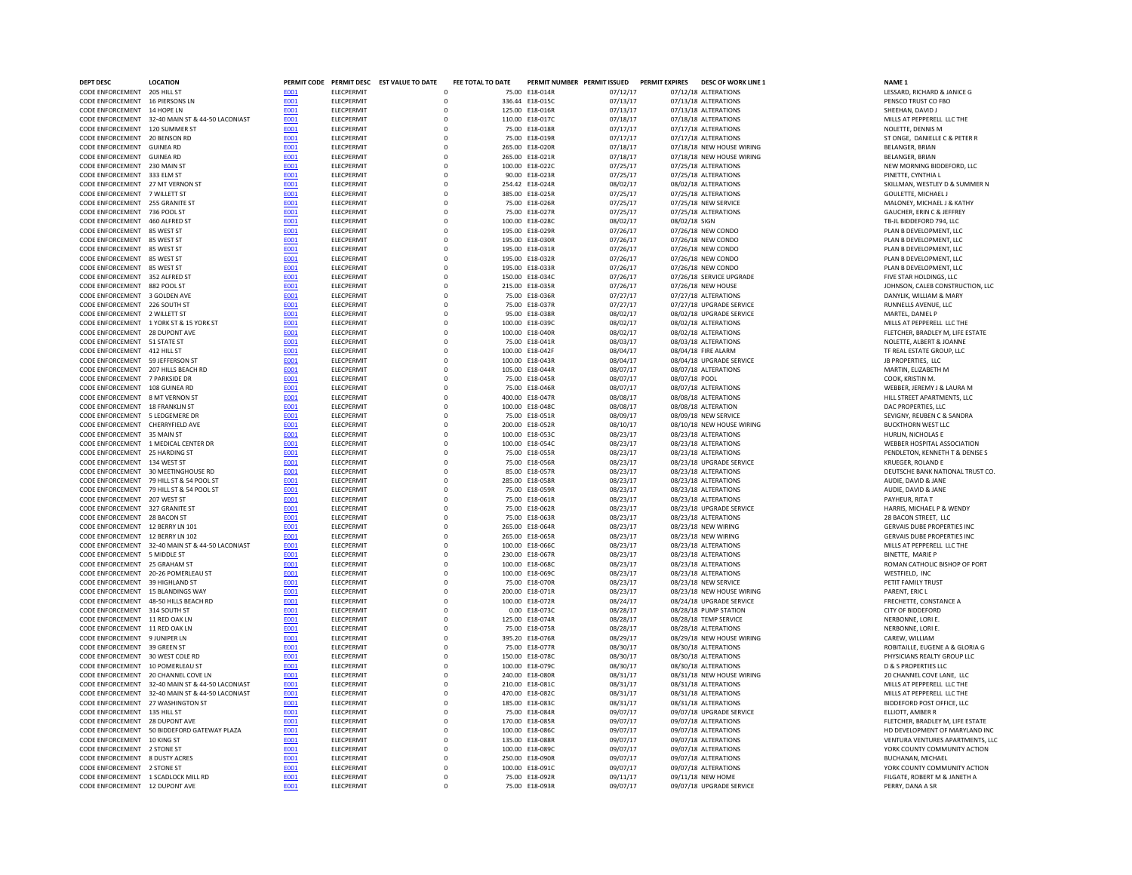| <b>DEPT DESC</b>                      | <b>LOCATION</b>                                  |                     |                   | PERMIT CODE PERMIT DESC EST VALUE TO DATE | FEE TOTAL TO DATE |                 | PERMIT NUMBER PERMIT ISSUED PERMIT EXPIRES |               | <b>DESC OF WORK LINE 1</b> | NAME <sub>1</sub>                 |
|---------------------------------------|--------------------------------------------------|---------------------|-------------------|-------------------------------------------|-------------------|-----------------|--------------------------------------------|---------------|----------------------------|-----------------------------------|
| CODE ENFORCEMENT                      | 205 HILL ST                                      | E001                | <b>ELECPERMIT</b> |                                           |                   | 75.00 E18-014R  | 07/12/17                                   |               | 07/12/18 ALTERATIONS       | LESSARD, RICHARD & JANICE G       |
| CODE ENFORCEMENT 16 PIERSONS LN       |                                                  | <b>E001</b>         | ELECPERMIT        | $\mathbf 0$                               |                   | 336.44 E18-015C | 07/13/17                                   |               | 07/13/18 ALTERATIONS       | PENSCO TRUST CO FBO               |
| CODE ENFORCEMENT 14 HOPE LN           |                                                  | E001                | ELECPERMIT        |                                           | $\mathbf 0$       | 125.00 E18-016R | 07/13/17                                   |               | 07/13/18 ALTERATIONS       | SHEEHAN, DAVID J                  |
|                                       | CODE ENFORCEMENT 32-40 MAIN ST & 44-50 LACONIAST | E001                | ELECPERMIT        |                                           | 0                 | 110.00 E18-017C | 07/18/17                                   |               | 07/18/18 ALTERATIONS       | MILLS AT PEPPERELL LLC THE        |
| CODE ENFORCEMENT 120 SUMMER ST        |                                                  | E001                | <b>ELECPERMIT</b> |                                           | 0                 | 75.00 E18-018R  | 07/17/17                                   |               | 07/17/18 ALTERATIONS       | NOLETTE, DENNIS M                 |
| CODE ENFORCEMENT 20 BENSON RD         |                                                  | <b>E001</b>         | <b>ELECPERMIT</b> |                                           | $\Omega$          | 75.00 E18-019R  | 07/17/17                                   |               | 07/17/18 ALTERATIONS       | ST ONGE, DANIELLE C & PETER R     |
| CODE ENFORCEMENT GUINEA RD            |                                                  | E001                | <b>ELECPERMIT</b> |                                           | $\Omega$          | 265.00 E18-020R | 07/18/17                                   |               | 07/18/18 NEW HOUSE WIRING  | <b>BELANGER, BRIAN</b>            |
| CODE ENFORCEMENT GUINEA RD            |                                                  | E001                | <b>ELECPERMIT</b> |                                           | 0                 | 265.00 E18-021R | 07/18/17                                   |               | 07/18/18 NEW HOUSE WIRING  | <b>BELANGER, BRIAN</b>            |
| CODE ENFORCEMENT 230 MAIN ST          |                                                  | E001                | ELECPERMIT        | $\Omega$                                  |                   | 100.00 E18-022C | 07/25/17                                   |               | 07/25/18 ALTERATIONS       | NEW MORNING BIDDEFORD, LLC        |
| CODE ENFORCEMENT 333 ELM ST           |                                                  | E001                | ELECPERMIT        | $\Omega$                                  |                   | 90.00 E18-023R  | 07/25/17                                   |               | 07/25/18 ALTERATIONS       | PINETTE, CYNTHIA L                |
| CODE ENFORCEMENT 27 MT VERNON ST      |                                                  | E001                | <b>ELECPERMIT</b> | $\mathbf 0$                               |                   | 254.42 E18-024R | 08/02/17                                   |               | 08/02/18 ALTERATIONS       | SKILLMAN, WESTLEY D & SUMMER N    |
| CODE ENFORCEMENT 7 WILLETT ST         |                                                  | E001                | ELECPERMIT        | $\mathbf 0$                               |                   | 385.00 E18-025R | 07/25/17                                   |               | 07/25/18 ALTERATIONS       | GOULETTE, MICHAEL J               |
| CODE ENFORCEMENT 255 GRANITE ST       |                                                  | <b>E001</b>         | ELECPERMIT        | $\circ$                                   |                   | 75.00 E18-026R  | 07/25/17                                   |               | 07/25/18 NEW SERVICE       | MALONEY, MICHAEL J & KATHY        |
| CODE ENFORCEMENT 736 POOL ST          |                                                  | E001                | <b>ELECPERMIT</b> |                                           | $\Omega$          | 75.00 E18-027R  | 07/25/17                                   |               | 07/25/18 ALTERATIONS       | GAUCHER, ERIN C & JEFFREY         |
| CODE ENFORCEMENT 460 ALFRED ST        |                                                  | E001                | <b>ELECPERMIT</b> |                                           | $\Omega$          | 100.00 E18-028C | 08/02/17                                   | 08/02/18 SIGN |                            | TB-JL BIDDEFORD 794, LLC          |
| CODE ENFORCEMENT 85 WEST ST           |                                                  | E001                | <b>ELECPERMIT</b> |                                           | $\mathbf 0$       | 195.00 E18-029R | 07/26/17                                   |               | 07/26/18 NEW CONDO         | PLAN B DEVELOPMENT, LLC           |
| CODE ENFORCEMENT 85 WEST ST           |                                                  | <b>E001</b>         | <b>FLECPERMIT</b> |                                           | $\Omega$          | 195.00 F18-030R | 07/26/17                                   |               | 07/26/18 NEW CONDO         | PLAN B DEVELOPMENT. LLC           |
| CODE ENFORCEMENT                      | 85 WEST ST                                       | E001                | ELECPERMIT        |                                           | $\Omega$          | 195.00 E18-031R | 07/26/17                                   |               | 07/26/18 NEW CONDO         | PLAN B DEVELOPMENT, LLC           |
| CODE ENFORCEMENT                      | 85 WEST ST                                       | E001                | <b>ELECPERMIT</b> | $\mathbf 0$                               |                   | 195.00 E18-032R | 07/26/17                                   |               | 07/26/18 NEW CONDO         | PLAN B DEVELOPMENT, LLC           |
| CODE ENFORCEMENT                      | 85 WEST ST                                       | <b>E001</b>         | <b>ELECPERMIT</b> | $\mathbf 0$                               |                   | 195.00 E18-033R | 07/26/17                                   |               | 07/26/18 NEW CONDO         | PLAN B DEVELOPMENT, LLC           |
| CODE ENFORCEMENT 352 ALFRED ST        |                                                  | <b>E001</b>         | ELECPERMIT        | $\mathbf 0$                               |                   | 150.00 E18-034C | 07/26/17                                   |               | 07/26/18 SERVICE UPGRADE   | FIVE STAR HOLDINGS, LLC           |
| CODE ENFORCEMENT                      | 882 POOL ST                                      | E001                | <b>ELECPERMIT</b> |                                           | $\mathbf 0$       | 215.00 E18-035R | 07/26/17                                   |               | 07/26/18 NEW HOUSE         | JOHNSON, CALEB CONSTRUCTION, LL   |
| CODE ENFORCEMENT 3 GOLDEN AVE         |                                                  | E001                | <b>ELECPERMIT</b> |                                           | 0                 | 75.00 E18-036R  | 07/27/17                                   |               | 07/27/18 ALTERATIONS       | DANYLIK, WILLIAM & MARY           |
| CODE ENFORCEMENT 226 SOUTH ST         |                                                  | E001                | ELECPERMIT        |                                           | 0                 | 75.00 E18-037R  | 07/27/17                                   |               | 07/27/18 UPGRADE SERVICE   | RUNNELLS AVENUE, LLC              |
| CODE ENFORCEMENT                      | 2 WILLETT ST                                     | E001                | ELECPERMIT        |                                           | $\Omega$          | 95.00 F18-038R  | 08/02/17                                   |               | 08/02/18 UPGRADE SERVICE   | MARTEL, DANIEL P                  |
|                                       | CODE ENFORCEMENT 1 YORK ST & 15 YORK ST          | E001                | ELECPERMIT        | $\circ$                                   |                   | 100.00 E18-039C | 08/02/17                                   |               | 08/02/18 ALTERATIONS       | MILLS AT PEPPERELL LLC THE        |
| CODE ENFORCEMENT 28 DUPONT AVE        |                                                  | E001                | ELECPERMIT        | $\circ$                                   |                   | 100.00 E18-040R | 08/02/17                                   |               | 08/02/18 ALTERATIONS       | FLETCHER, BRADLEY M, LIFE ESTATE  |
| CODE ENFORCEMENT 51 STATE ST          |                                                  | <b>E001</b>         | ELECPERMIT        | $\circ$                                   |                   | 75.00 E18-041R  | 08/03/17                                   |               | 08/03/18 ALTERATIONS       | NOLETTE, ALBERT & JOANNE          |
| CODE ENFORCEMENT 412 HILL ST          |                                                  | E001                | ELECPERMIT        | $\mathbf 0$                               |                   | 100.00 E18-042F | 08/04/17                                   |               | 08/04/18 FIRE ALARM        | TF REAL ESTATE GROUP, LLC         |
| CODE ENFORCEMENT 59 JEFFERSON ST      |                                                  | E001                | ELECPERMIT        |                                           | $\mathbf 0$       | 100.00 E18-043R | 08/04/17                                   |               | 08/04/18 UPGRADE SERVICE   | JB PROPERTIES, LLC                |
| CODE ENFORCEMENT 207 HILLS BEACH RD   |                                                  | <b>E001</b>         | ELECPERMIT        |                                           | $\mathbf 0$       | 105.00 E18-044R | 08/07/17                                   |               | 08/07/18 ALTERATIONS       | MARTIN, ELIZABETH M               |
| CODE ENFORCEMENT 7 PARKSIDE DR        |                                                  | E001                | <b>ELECPERMIT</b> |                                           | $\Omega$          | 75.00 E18-045R  | 08/07/17                                   | 08/07/18 POOL |                            | COOK, KRISTIN M                   |
| CODE ENFORCEMENT 108 GUINEA RD        |                                                  | E001                | <b>FIFCPFRMIT</b> |                                           | $\Omega$          | 75.00 F18-046R  | 08/07/17                                   |               | 08/07/18 ALTERATIONS       | WEBBER, JEREMY J & LAURA M        |
| CODE ENFORCEMENT 8 MT VERNON ST       |                                                  | E001                | <b>ELECPERMIT</b> |                                           | $\mathbf 0$       | 400.00 E18-047R | 08/08/17                                   |               | 08/08/18 ALTERATIONS       | HILL STREET APARTMENTS, LLC       |
| CODE ENFORCEMENT 18 FRANKLIN ST       |                                                  | E001                | <b>ELECPERMIT</b> |                                           | $\mathbf 0$       | 100.00 E18-048C | 08/08/17                                   |               | 08/08/18 ALTERATION        | DAC PROPERTIES, LLC               |
| CODE ENFORCEMENT 5 LEDGEMERE DR       |                                                  | E001                | ELECPERMIT        |                                           | $\Omega$          | 75.00 E18-051R  | 08/09/17                                   |               | 08/09/18 NEW SERVICE       | SEVIGNY, REUBEN C & SANDRA        |
| CODE ENFORCEMENT CHERRYFIELD AVE      |                                                  | E001                | <b>ELECPERMIT</b> | $\mathbf 0$                               |                   | 200.00 E18-052R | 08/10/17                                   |               | 08/10/18 NEW HOUSE WIRING  | <b>BUCKTHORN WEST LLC</b>         |
| CODE ENFORCEMENT 35 MAIN ST           |                                                  | E001                | <b>ELECPERMIT</b> | $\mathbf 0$                               |                   | 100.00 E18-053C | 08/23/17                                   |               | 08/23/18 ALTERATIONS       | HURLIN, NICHOLAS E                |
| CODE ENFORCEMENT 1 MEDICAL CENTER DR  |                                                  | <b>E001</b>         | ELECPERMIT        |                                           | 0                 | 100.00 E18-054C | 08/23/17                                   |               | 08/23/18 ALTERATIONS       | WEBBER HOSPITAL ASSOCIATION       |
| CODE ENFORCEMENT 25 HARDING ST        |                                                  |                     | <b>ELECPERMIT</b> |                                           | $\mathbf 0$       | 75.00 E18-055R  | 08/23/17                                   |               | 08/23/18 ALTERATIONS       | PENDLETON, KENNETH T & DENISE S   |
| CODE ENFORCEMENT 134 WEST ST          |                                                  | <b>E001</b><br>E001 | <b>ELECPERMIT</b> |                                           | $\Omega$          | 75.00 E18-056R  | 08/23/17                                   |               | 08/23/18 UPGRADE SERVICE   | <b>KRUEGER, ROLAND E</b>          |
| CODE ENFORCEMENT 30 MEETINGHOUSE RD   |                                                  | E001                | <b>ELECPERMIT</b> |                                           |                   | 85.00 E18-057R  | 08/23/17                                   |               | 08/23/18 ALTERATIONS       | DEUTSCHE BANK NATIONAL TRUST CO   |
|                                       | CODE ENFORCEMENT 79 HILL ST & 54 POOL ST         | E001                | <b>ELECPERMIT</b> |                                           | 0                 | 285.00 E18-058R | 08/23/17                                   |               | 08/23/18 ALTERATIONS       | AUDIE, DAVID & JANE               |
|                                       | CODE ENFORCEMENT 79 HILL ST & 54 POOL ST         | E001                | ELECPERMIT        | $\Omega$                                  | 0                 | 75.00 E18-059R  | 08/23/17                                   |               | 08/23/18 ALTERATIONS       | AUDIE, DAVID & JANE               |
|                                       |                                                  |                     |                   |                                           |                   |                 |                                            |               |                            |                                   |
| CODE ENFORCEMENT 207 WEST ST          |                                                  | E001                | ELECPERMIT        | $\Omega$                                  |                   | 75.00 E18-061R  | 08/23/17                                   |               | 08/23/18 ALTERATIONS       | PAYHEUR, RITA T                   |
| CODE ENFORCEMENT 327 GRANITE ST       |                                                  | <b>E001</b>         | <b>ELECPERMIT</b> | $\mathbf 0$                               |                   | 75.00 E18-062R  | 08/23/17                                   |               | 08/23/18 UPGRADE SERVICE   | HARRIS, MICHAEL P & WENDY         |
| CODE ENFORCEMENT 28 BACON ST          |                                                  | E001                | ELECPERMIT        | 0                                         |                   | 75.00 E18-063R  | 08/23/17                                   |               | 08/23/18 ALTERATIONS       | 28 BACON STREET, LLC              |
| CODE ENFORCEMENT 12 BERRY LN 101      |                                                  | E001                | ELECPERMIT        |                                           | $\mathbf 0$       | 265.00 E18-064R | 08/23/17                                   |               | 08/23/18 NEW WIRING        | GERVAIS DUBE PROPERTIES INC       |
| CODE ENFORCEMENT 12 BERRY LN 102      |                                                  | <b>E001</b>         | ELECPERMIT        | $\mathbf 0$                               |                   | 265.00 E18-065R | 08/23/17                                   |               | 08/23/18 NEW WIRING        | GERVAIS DUBE PROPERTIES INC       |
|                                       | CODE ENFORCEMENT 32-40 MAIN ST & 44-50 LACONIAST | E001                | ELECPERMIT        |                                           | $\Omega$          | 100.00 E18-066C | 08/23/17                                   |               | 08/23/18 ALTERATIONS       | MILLS AT PEPPERELL LLC THE        |
| CODE ENFORCEMENT 5 MIDDLE ST          |                                                  | E001                | <b>FIFCPFRMIT</b> |                                           | $\Omega$          | 230.00 F18-067R | 08/23/17                                   |               | 08/23/18 ALTERATIONS       | <b>BINETTE, MARIE P</b>           |
| CODE ENFORCEMENT 25 GRAHAM ST         |                                                  | E001                | <b>ELECPERMIT</b> |                                           | $\mathbf 0$       | 100.00 E18-068C | 08/23/17                                   |               | 08/23/18 ALTERATIONS       | ROMAN CATHOLIC BISHOP OF PORT     |
| CODE ENFORCEMENT 20-26 POMERLEAU ST   |                                                  | E001                | ELECPERMIT        |                                           | $\mathbf 0$       | 100.00 E18-069C | 08/23/17                                   |               | 08/23/18 ALTERATIONS       | WESTFIELD, INC                    |
| CODE ENFORCEMENT 39 HIGHLAND ST       |                                                  | E001                | <b>ELECPERMIT</b> |                                           | $\mathbf 0$       | 75.00 E18-070R  | 08/23/17                                   |               | 08/23/18 NEW SERVICE       | PETIT FAMILY TRUST                |
| CODE ENFORCEMENT 15 BLANDINGS WAY     |                                                  | E001                | ELECPERMIT        |                                           | $\mathbf 0$       | 200.00 E18-071R | 08/23/17                                   |               | 08/23/18 NEW HOUSE WIRING  | PARENT, ERIC L                    |
| CODE ENFORCEMENT 48-50 HILLS BEACH RD |                                                  | E001                | <b>ELECPERMIT</b> | $\mathbf 0$                               |                   | 100.00 E18-072R | 08/24/17                                   |               | 08/24/18 UPGRADE SERVICE   | FRECHETTE, CONSTANCE A            |
| CODE ENFORCEMENT 314 SOUTH ST         |                                                  | <b>E001</b>         | <b>ELECPERMIT</b> |                                           | 0                 | 0.00 E18-073C   | 08/28/17                                   |               | 08/28/18 PUMP STATION      | CITY OF BIDDEFORD                 |
| CODE ENFORCEMENT 11 RED OAK LN        |                                                  | E001                | <b>ELECPERMIT</b> |                                           | 0                 | 125.00 E18-074R | 08/28/17                                   |               | 08/28/18 TEMP SERVICE      | NERBONNE, LORI E.                 |
| CODE ENFORCEMENT 11 RED OAK IN        |                                                  | E001                | <b>ELECPERMIT</b> |                                           | $\Omega$          | 75.00 F18-075R  | 08/28/17                                   |               | 08/28/18 ALTERATIONS       | NERBONNE, LORI E.                 |
| CODE ENFORCEMENT 9 IUNIPER IN         |                                                  | E001                | ELECPERMIT        |                                           | $\Omega$          | 395.20 F18-076R | 08/29/17                                   |               | 08/29/18 NFW HOUSE WIRING  | CAREW. WILLIAM                    |
| CODE ENFORCEMENT 39 GREEN ST          |                                                  | E001                | <b>ELECPERMIT</b> |                                           | 0                 | 75.00 E18-077R  | 08/30/17                                   |               | 08/30/18 ALTERATIONS       | ROBITAILLE, EUGENE A & GLORIA G   |
| CODE ENFORCEMENT 30 WEST COLE RD      |                                                  | E001                | ELECPERMIT        | $\Omega$                                  |                   | 150.00 E18-078C | 08/30/17                                   |               | 08/30/18 ALTERATIONS       | PHYSICIANS REALTY GROUP LLC       |
| CODE ENFORCEMENT                      | 10 POMERLEAU ST                                  | E001                | ELECPERMIT        | $\Omega$                                  |                   | 100.00 E18-079C | 08/30/17                                   |               | 08/30/18 ALTERATIONS       | <b>D &amp; S PROPERTIES LLC</b>   |
| <b>CODE ENFORCEMENT</b>               | 20 CHANNEL COVE LN                               | <b>E001</b>         | ELECPERMIT        | $\mathbf 0$                               |                   | 240.00 E18-080R | 08/31/17                                   |               | 08/31/18 NEW HOUSE WIRING  | 20 CHANNEL COVE LANE. LLC         |
| CODE ENFORCEMENT                      | 32-40 MAIN ST & 44-50 LACONIAST                  | E001                | ELECPERMIT        | $\circ$                                   |                   | 210.00 E18-081C | 08/31/17                                   |               | 08/31/18 ALTERATIONS       | MILLS AT PEPPERELL LLC THE        |
|                                       | CODE ENFORCEMENT 32-40 MAIN ST & 44-50 LACONIAST | <b>E001</b>         | <b>ELECPERMIT</b> |                                           | $\Omega$          | 470.00 E18-082C | 08/31/17                                   |               | 08/31/18 ALTERATIONS       | MILLS AT PEPPERELL LLC THE        |
| CODE ENFORCEMENT 27 WASHINGTON ST     |                                                  | E001                | <b>ELECPERMIT</b> |                                           | $\Omega$          | 185.00 E18-083C | 08/31/17                                   |               | 08/31/18 ALTERATIONS       | <b>BIDDEFORD POST OFFICE, LLC</b> |
| CODE ENFORCEMENT 135 HILL ST          |                                                  | E001                | <b>ELECPERMIT</b> |                                           | $\Omega$          | 75.00 E18-084R  | 09/07/17                                   |               | 09/07/18 UPGRADE SERVICE   | ELLIOTT, AMBER R                  |
| CODE ENFORCEMENT 28 DUPONT AVE        |                                                  | E001                | <b>ELECPERMIT</b> |                                           | $\mathbf 0$       | 170.00 E18-085R | 09/07/17                                   |               | 09/07/18 ALTERATIONS       | FLETCHER, BRADLEY M. LIFE ESTATE  |
|                                       | CODE ENFORCEMENT 50 BIDDEFORD GATEWAY PLAZA      | F001                | <b>FLECPERMIT</b> |                                           | $\Omega$          | 100.00 F18-086C | 09/07/17                                   |               | 09/07/18 ALTERATIONS       | HD DEVELOPMENT OF MARYLAND IN     |
| CODE ENFORCEMENT 10 KING ST           |                                                  | E001                | <b>ELECPERMIT</b> |                                           | $\Omega$          | 135.00 E18-088R | 09/07/17                                   |               | 09/07/18 ALTERATIONS       | VENTURA VENTURES APARTMENTS, L    |
| CODE ENFORCEMENT 2 STONE ST           |                                                  | E001                | <b>ELECPERMIT</b> | $\mathbf 0$                               |                   | 100.00 E18-089C | 09/07/17                                   |               | 09/07/18 ALTERATIONS       | YORK COUNTY COMMUNITY ACTION      |
| CODE ENFORCEMENT 8 DUSTY ACRES        |                                                  | E001                | ELECPERMIT        | 0                                         |                   | 250.00 E18-090R | 09/07/17                                   |               | 09/07/18 ALTERATIONS       | BUCHANAN, MICHAEL                 |
| CODE ENFORCEMENT 2 STONE ST           |                                                  | E001                | ELECPERMIT        | $\mathbf 0$                               |                   | 100.00 E18-091C | 09/07/17                                   |               | 09/07/18 ALTERATIONS       | YORK COUNTY COMMUNITY ACTION      |
| CODE ENFORCEMENT 1 SCADLOCK MILL RD   |                                                  | E001                | <b>ELECPERMIT</b> | $\Omega$                                  |                   | 75.00 E18-092R  | 09/11/17                                   |               | 09/11/18 NEW HOME          | FILGATE, ROBERT M & JANETH A      |
| CODE ENFORCEMENT 12 DUPONT AVE        |                                                  | <b>F001</b>         | <b>ELECPERMIT</b> | $\Omega$                                  |                   | 75.00 E18-093R  | 09/07/17                                   |               | 09/07/18 UPGRADE SERVICE   | PERRY, DANA A SR                  |
|                                       |                                                  |                     |                   |                                           |                   |                 |                                            |               |                            |                                   |

NEW MORNING BIDDEFORD, LLC<br>PINETTE, CYNTHIA L SKILLMAN, WESTLEY D & SUMMER N<br>GOULETTE, MICHAEL J JOHNSON, CALEB CONSTRUCTION, LLC<br>DANYLIK, WILLIAM & MARY FLETCHER, BRADLEY M, LIFE ESTATE<br>NOLETTE, ALBERT & JOANNE WEBBER, JEREMY J & LAURA M<br>HILL STREET APARTMENTS, LLC SEVIGNY, REUBEN C & SANDRA<br>BUCKTHORN WEST LLC PENDLETON, KENNETH T & DENISE S<br>KRUEGER, ROLAND E DEUTSCHE BANK NATIONAL TRUST CO.<br>AUDIE, DAVID & JANE GERVAIS DUBE PROPERTIES INC<br>GERVAIS DUBE PROPERTIES INC ROMAN CATHOLIC BISHOP OF PORT<br>WESTFIELD, INC FLETCHER, BRADLEY M, LIFE ESTATE<br>HD DEVELOPMENT OF MARYLAND INC VENTURA VENTURES APARTMENTS, LLC YORK COUNTY COMMUNITY ACTION<br>BUCHANAN, MICHAEL YORK COUNTY COMMUNITY ACTION<br>FILGATE, ROBERT M & JANETH A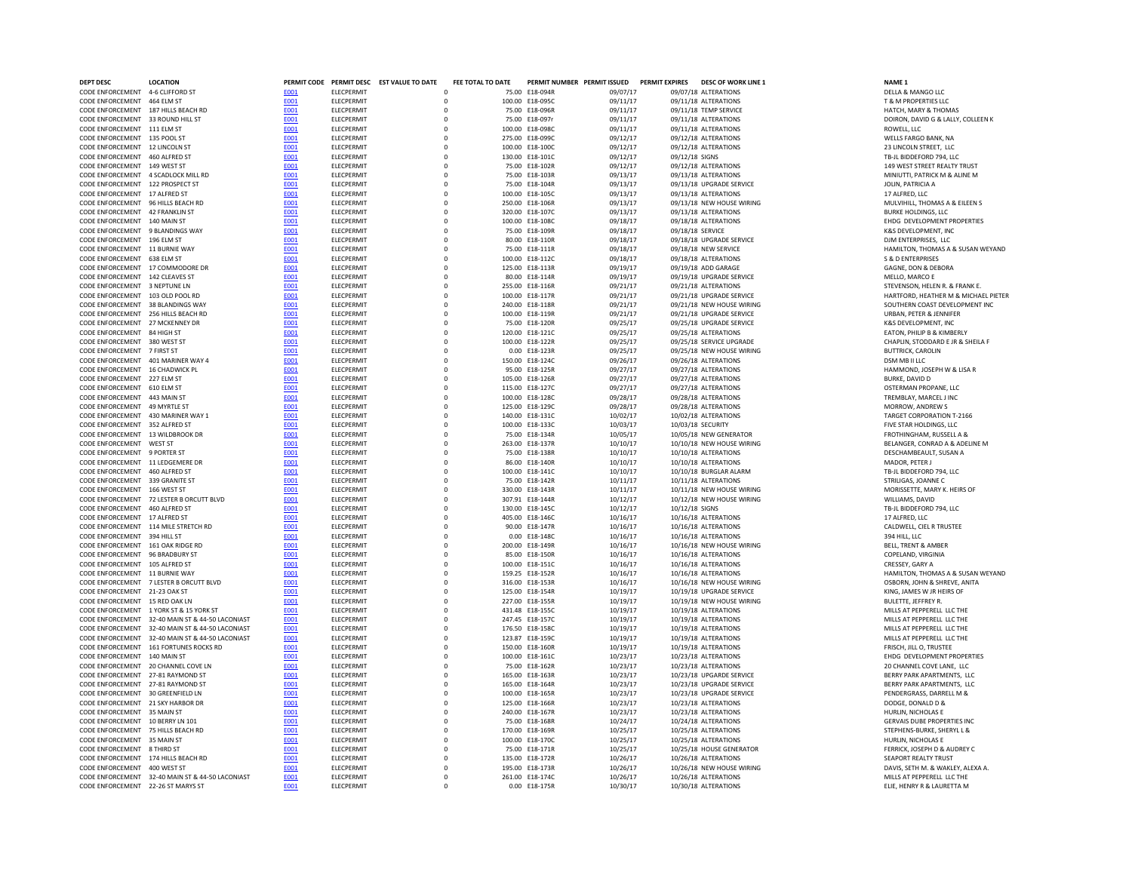| DEPT DESC                                                             | <b>LOCATION</b>                                  |                     |                          | PERMIT CODE PERMIT DESC EST VALUE TO DATE | FEE TOTAL TO DATE       |                                    | PERMIT NUMBER PERMIT ISSUED | PERMIT EXPIRES | <b>DESC OF WORK LINE 1</b>                        | NAME <sub>1</sub>                                           |
|-----------------------------------------------------------------------|--------------------------------------------------|---------------------|--------------------------|-------------------------------------------|-------------------------|------------------------------------|-----------------------------|----------------|---------------------------------------------------|-------------------------------------------------------------|
| CODE ENFORCEMENT 4-6 CLIFFORD ST                                      |                                                  | E001                | ELECPERMIT               |                                           | $\Omega$                | 75.00 E18-094R                     | 09/07/17                    |                | 09/07/18 ALTERATIONS                              | DELLA & MANGO LLC                                           |
| CODE ENFORCEMENT 464 ELM ST                                           |                                                  | E001                | ELECPERMIT               |                                           | $\Omega$                | 100.00 E18-095C                    | 09/11/17                    |                | 09/11/18 ALTERATIONS                              | T & M PROPERTIES LLC                                        |
| CODE ENFORCEMENT 187 HILLS BEACH RD                                   |                                                  | E001                | ELECPERMIT               |                                           | $\mathsf{O}$            | 75.00 E18-096R                     | 09/11/17                    |                | 09/11/18 TEMP SERVICE                             | HATCH, MARY & THOMAS                                        |
| CODE ENFORCEMENT 33 ROUND HILL ST                                     |                                                  | E001                | ELECPERMIT               |                                           | $\mathbf 0$             | 75.00 E18-097r                     | 09/11/17                    |                | 09/11/18 ALTERATIONS                              | DOIRON, DAVID G & LALLY, COLLE                              |
| CODE ENFORCEMENT 111 ELM ST                                           |                                                  | E001                | ELECPERMIT               |                                           | 0                       | 100.00 E18-098C                    | 09/11/17                    |                | 09/11/18 ALTERATIONS                              | ROWELL, LLC                                                 |
| CODE ENFORCEMENT 135 POOL ST                                          |                                                  | <b>E001</b>         | ELECPERMIT               |                                           | $\mathbf 0$             | 275.00 E18-099C                    | 09/12/17                    |                | 09/12/18 ALTERATIONS                              | WELLS FARGO BANK, NA                                        |
| CODE ENFORCEMENT 12 LINCOLN ST                                        |                                                  | <b>E001</b>         | ELECPERMIT               |                                           | $\mathbf 0$             | 100.00 E18-100C                    | 09/12/17                    |                | 09/12/18 ALTERATIONS                              | 23 LINCOLN STREET. LLC                                      |
| CODE ENFORCEMENT 460 ALFRED ST                                        |                                                  | E001                | ELECPERMIT               |                                           | $\mathbf 0$             | 130.00 E18-101C                    | 09/12/17                    | 09/12/18 SIGNS |                                                   | TB-JL BIDDEFORD 794, LLC                                    |
| CODE ENFORCEMENT 149 WEST ST                                          |                                                  | <b>F001</b>         | <b>FLECPERMIT</b>        |                                           | $\Omega$                | 75.00 F18-102R                     | 09/12/17                    |                | 09/12/18 ALTERATIONS                              | 149 WEST STREET REALTY TRUST                                |
| CODE ENFORCEMENT 4 SCADLOCK MILL RD                                   |                                                  | <b>F001</b>         | <b>FLECPERMIT</b>        |                                           | $\Omega$                | 75.00 F18-103R                     | 09/13/17                    |                | 09/13/18 ALTERATIONS                              | MINIUTTI, PATRICK M & ALINE M                               |
| CODE ENFORCEMENT 122 PROSPECT ST                                      |                                                  | E001                | ELECPERMIT               |                                           | $\mathbf 0$             | 75.00 E18-104R                     | 09/13/17                    |                | 09/13/18 UPGRADE SERVICE                          | JOLIN, PATRICIA A                                           |
| CODE ENFORCEMENT 17 ALFRED ST                                         |                                                  | E001                | ELECPERMIT               |                                           | $\mathbf 0$<br>$\Omega$ | 100.00 E18-105C                    | 09/13/17                    |                | 09/13/18 ALTERATIONS                              | 17 ALFRED, LLC                                              |
| CODE ENFORCEMENT 96 HILLS BEACH RD<br>CODE ENFORCEMENT 42 FRANKLIN ST |                                                  | <b>E001</b><br>E001 | ELECPERMIT<br>ELECPERMIT |                                           | $\circ$                 | 250.00 E18-106R<br>320.00 E18-107C | 09/13/17<br>09/13/17        |                | 09/13/18 NEW HOUSE WIRING<br>09/13/18 ALTERATIONS | MULVIHILL, THOMAS A & EILEEN:<br><b>BURKE HOLDINGS, LLC</b> |
| CODE ENFORCEMENT 140 MAIN ST                                          |                                                  | E001                | ELECPERMIT               |                                           | $\mathsf{O}\xspace$     | 100.00 E18-108C                    | 09/18/17                    |                | 09/18/18 ALTERATIONS                              | EHDG DEVELOPMENT PROPERTIE                                  |
| CODE ENFORCEMENT 9 BLANDINGS WAY                                      |                                                  | E001                | ELECPERMIT               |                                           | $\mathbf 0$             | 75.00 E18-109R                     | 09/18/17                    |                | 09/18/18 SERVICE                                  | K&S DEVELOPMENT, INC                                        |
| CODE ENFORCEMENT 196 ELM ST                                           |                                                  | <b>E001</b>         | ELECPERMIT               |                                           | $\mathbf 0$             | 80.00 F18-110R                     | 09/18/17                    |                | 09/18/18 UPGRADE SERVICE                          | DJM ENTERPRISES. LLC                                        |
| CODE ENFORCEMENT 11 BURNIE WAY                                        |                                                  | E001                | ELECPERMIT               |                                           | $\Omega$                | 75.00 F18-111R                     | 09/18/17                    |                | 09/18/18 NEW SERVICE                              | HAMILTON, THOMAS A & SUSAN                                  |
| CODE ENFORCEMENT 638 ELM ST                                           |                                                  | E001                | ELECPERMIT               |                                           | $\mathbf 0$             | 100.00 E18-112C                    | 09/18/17                    |                | 09/18/18 ALTERATIONS                              | <b>S &amp; D ENTERPRISES</b>                                |
| CODE ENFORCEMENT 17 COMMODORE DR                                      |                                                  | E001                | ELECPERMIT               |                                           | $\mathbf 0$             | 125.00 E18-113R                    | 09/19/17                    |                | 09/19/18 ADD GARAGE                               | GAGNE, DON & DEBORA                                         |
| CODE ENFORCEMENT 142 CLEAVES ST                                       |                                                  | E001                | ELECPERMIT               |                                           | $\circ$                 | 80.00 E18-114R                     | 09/19/17                    |                | 09/19/18 UPGRADE SERVICE                          | MELLO, MARCO E                                              |
| CODE ENFORCEMENT 3 NEPTUNE LN                                         |                                                  | E001                | <b>ELECPERMIT</b>        |                                           | $\mathbf 0$<br>255.00   | E18-116R                           | 09/21/17                    |                | 09/21/18 ALTERATIONS                              | STEVENSON, HELEN R. & FRANK E                               |
| CODE ENFORCEMENT 103 OLD POOL RD                                      |                                                  | E001                | ELECPERMIT               |                                           | $\mathsf{O}\xspace$     | 100.00 E18-117R                    | 09/21/17                    |                | 09/21/18 UPGRADE SERVICE                          | HARTFORD, HEATHER M & MICH/                                 |
| CODE ENFORCEMENT                                                      | 38 BLANDINGS WAY                                 | <b>E001</b>         | ELECPERMIT               |                                           | $\mathbf 0$             | 240.00 E18-118R                    | 09/21/17                    |                | 09/21/18 NEW HOUSE WIRING                         | SOUTHERN COAST DEVELOPMENT                                  |
| CODE ENFORCEMENT                                                      | 256 HILLS BEACH RD                               | E001                | <b>ELECPERMIT</b>        |                                           | $\mathbf 0$             | 100.00 E18-119R                    | 09/21/17                    |                | 09/21/18 UPGRADE SERVICE                          | URBAN, PETER & JENNIFER                                     |
| CODE ENFORCEMENT 27 MCKENNEY DR                                       |                                                  | E001                | <b>ELECPERMIT</b>        |                                           | $\mathbf 0$             | 75.00 E18-120R                     | 09/25/17                    |                | 09/25/18 UPGRADE SERVICE                          | K&S DEVELOPMENT. INC                                        |
| CODE ENFORCEMENT                                                      | 84 HIGH ST                                       | E001                | <b>FIFCPERMIT</b>        |                                           | $\Omega$                | 120.00 F18-121C                    | 09/25/17                    |                | 09/25/18 ALTERATIONS                              | FATON. PHILIP B & KIMBERLY                                  |
| CODE ENFORCEMENT                                                      | 380 WEST ST                                      | E001                | <b>FIFCPERMIT</b>        |                                           | $\Omega$                | 100.00 F18-122R                    | 09/25/17                    |                | 09/25/18 SERVICE UPGRADE                          | CHAPLIN, STODDARD F IR & SHEIL                              |
| CODE ENFORCEMENT 7 FIRST ST                                           |                                                  | E001                | ELECPERMIT               |                                           | $\mathbf 0$             | 0.00 E18-123R                      | 09/25/17                    |                | 09/25/18 NEW HOUSE WIRING                         | <b>BUTTRICK, CAROLIN</b>                                    |
| CODE ENFORCEMENT 401 MARINER WAY 4                                    |                                                  | E001                | ELECPERMIT               |                                           | $\mathbf 0$             | 150.00 E18-124C                    | 09/26/17                    |                | 09/26/18 ALTERATIONS                              | DSM MB II LLC                                               |
| CODE ENFORCEMENT 16 CHADWICK PL                                       |                                                  | <b>E001</b>         | <b>FIFCPERMIT</b>        |                                           | $\Omega$                | 95.00 E18-125R                     | 09/27/17                    |                | 09/27/18 ALTERATIONS                              | HAMMOND, JOSEPH W & LISA R                                  |
| CODE ENFORCEMENT 227 ELM ST                                           |                                                  | E001                | ELECPERMIT               |                                           | $\mathbf 0$             | 105.00 E18-126R                    | 09/27/17                    |                | 09/27/18 ALTERATIONS                              | BURKE, DAVID D                                              |
| CODE ENFORCEMENT 610 ELM ST                                           |                                                  | E001                | ELECPERMIT               |                                           | $\mathbf 0$             | 115.00 E18-127C                    | 09/27/17                    |                | 09/27/18 ALTERATIONS                              | OSTERMAN PROPANE, LLC                                       |
| CODE ENFORCEMENT 443 MAIN ST                                          |                                                  | E001                | ELECPERMIT               |                                           | $\mathbf 0$             | 100.00 E18-128C                    | 09/28/17                    |                | 09/28/18 ALTERATIONS                              | TREMBLAY, MARCEL J INC                                      |
| CODE ENFORCEMENT 49 MYRTLE ST                                         |                                                  | <b>E001</b>         | ELECPERMIT               |                                           | $\Omega$                | 125.00 E18-129C                    | 09/28/17                    |                | 09/28/18 ALTERATIONS                              | MORROW, ANDREW S                                            |
| CODE ENFORCEMENT 430 MARINER WAY 1                                    |                                                  | E001                | <b>FIFCPFRMIT</b>        |                                           | $\Omega$                | 140.00 F18-131C                    | 10/02/17                    |                | 10/02/18 ALTERATIONS                              | TARGET CORPORATION T-2166                                   |
| CODE ENFORCEMENT 352 ALFRED ST                                        |                                                  | E001                | ELECPERMIT               |                                           | $\mathbf 0$             | 100.00 E18-133C                    | 10/03/17                    |                | 10/03/18 SECURITY                                 | FIVE STAR HOLDINGS, LLC                                     |
| CODE ENFORCEMENT 13 WILDBROOK DR                                      |                                                  | E001                | ELECPERMIT               |                                           | $\mathbf 0$             | 75.00 E18-134R                     | 10/05/17                    |                | 10/05/18 NEW GENERATOR                            | FROTHINGHAM, RUSSELL A &                                    |
| CODE ENFORCEMENT WEST ST                                              |                                                  | E001                | ELECPERMIT               |                                           | $\circ$                 | 263.00 E18-137R                    | 10/10/17                    |                | 10/10/18 NEW HOUSE WIRING                         | BELANGER, CONRAD A & ADELINE                                |
| CODE ENFORCEMENT 9 PORTER ST                                          |                                                  | E001                | ELECPERMIT               |                                           | $\mathbf 0$             | 75.00 E18-138R                     | 10/10/17                    |                | 10/10/18 ALTERATIONS                              | DESCHAMBEAULT, SUSAN A                                      |
| CODE ENFORCEMENT 11 LEDGEMERE DR                                      |                                                  | E001                | ELECPERMIT               |                                           | 0                       | 86.00 E18-140R                     | 10/10/17                    |                | 10/10/18 ALTERATIONS                              | MADOR, PETER J                                              |
| CODE ENFORCEMENT 460 ALFRED ST                                        |                                                  | <b>E001</b>         | ELECPERMIT               |                                           | 0                       | 100.00 E18-141C                    | 10/10/17                    |                | 10/10/18 BURGLAR ALARM                            | TB-JL BIDDEFORD 794, LLC                                    |
| CODE ENFORCEMENT 339 GRANITE ST                                       |                                                  | E001                | ELECPERMIT               |                                           | $\mathbf 0$             | 75.00 E18-142R                     | 10/11/17                    |                | 10/11/18 ALTERATIONS                              | STRILIGAS, JOANNE C                                         |
| CODE ENFORCEMENT 166 WEST ST                                          |                                                  | E001                | ELECPERMIT               |                                           | $\mathbf 0$             | 330.00 E18-143R                    | 10/11/17                    |                | 10/11/18 NEW HOUSE WIRING                         | MORISSETTE, MARY K. HEIRS OF                                |
|                                                                       | CODE ENFORCEMENT 72 LESTER B ORCUTT BLVD         | <b>E001</b>         | ELECPERMIT               |                                           | $\mathbf 0$             | 307.91 E18-144R                    | 10/12/17                    |                | 10/12/18 NEW HOUSE WIRING                         | WILLIAMS, DAVID                                             |
| CODE ENFORCEMENT 460 ALERED ST                                        |                                                  | <b>F001</b>         | <b>FIFCPERMIT</b>        |                                           | $\Omega$                | 130.00 F18-145C                    | 10/12/17                    | 10/12/18 SIGNS |                                                   | TB-IL BIDDEFORD 794. LLC                                    |
| CODE ENFORCEMENT 17 ALFRED ST                                         |                                                  | E001                | ELECPERMIT               |                                           | $\mathbf 0$             | 405.00 E18-146C                    | 10/16/17                    |                | 10/16/18 ALTERATIONS                              | 17 ALFRED, LLC                                              |
|                                                                       | CODE ENFORCEMENT 114 MILE STRETCH RD             | E001                | ELECPERMIT               |                                           | $\mathbf 0$             | 90.00 E18-147R                     | 10/16/17                    |                | 10/16/18 ALTERATIONS                              | CALDWELL, CIEL R TRUSTEE                                    |
| CODE ENFORCEMENT 394 HILL ST<br>CODE ENFORCEMENT 161 OAK RIDGE RD     |                                                  | <b>E001</b>         | ELECPERMIT<br>ELECPERMIT |                                           | $\mathbf 0$<br>$\circ$  | 0.00 E18-148C<br>200.00 E18-149R   | 10/16/17<br>10/16/17        |                | 10/16/18 ALTERATIONS<br>10/16/18 NEW HOUSE WIRING | 394 HILL, LLC<br>BELL, TRENT & AMBER                        |
|                                                                       |                                                  | <b>E001</b>         |                          |                                           | $\mathbf 0$             |                                    |                             |                |                                                   |                                                             |
| CODE ENFORCEMENT 96 BRADBURY ST<br>CODE ENFORCEMENT 105 ALFRED ST     |                                                  | E001<br>E001        | ELECPERMIT<br>ELECPERMIT |                                           | $\mathbf 0$             | 85.00 E18-150R<br>100.00 E18-151C  | 10/16/17<br>10/16/17        |                | 10/16/18 ALTERATIONS<br>10/16/18 ALTERATIONS      | COPELAND, VIRGINIA<br>CRESSEY, GARY A                       |
| CODE ENFORCEMENT 11 BURNIE WAY                                        |                                                  | <b>E001</b>         | ELECPERMIT               |                                           | $\Omega$                | 159.25 F18-152R                    | 10/16/17                    |                | 10/16/18 ALTERATIONS                              | HAMILTON, THOMAS A & SUSAN                                  |
|                                                                       | CODE ENFORCEMENT 7 LESTER B ORCUTT BLVD          | E001                | ELECPERMIT               |                                           | $\Omega$                | 316.00 F18-153R                    | 10/16/17                    |                | 10/16/18 NEW HOUSE WIRING                         | OSBORN, JOHN & SHREVE, ANITA                                |
| CODE ENFORCEMENT 21-23 OAK ST                                         |                                                  | E001                | <b>ELECPERMIT</b>        |                                           | $\mathbf 0$             | 125.00 E18-154R                    | 10/19/17                    |                | 10/19/18 UPGRADE SERVICE                          | KING, JAMES W JR HEIRS OF                                   |
| CODE ENFORCEMENT 15 RED OAK LN                                        |                                                  | E001                | ELECPERMIT               |                                           | $\mathbf 0$             | 227.00 E18-155R                    | 10/19/17                    |                | 10/19/18 NEW HOUSE WIRING                         | BULETTE, JEFFREY R.                                         |
|                                                                       | CODE ENFORCEMENT 1 YORK ST & 15 YORK ST          | E001                | ELECPERMIT               |                                           | $\circ$                 | 431.48 E18-155C                    | 10/19/17                    |                | 10/19/18 ALTERATIONS                              | MILLS AT PEPPERELL LLC THE                                  |
| CODE ENFORCEMENT                                                      | 32-40 MAIN ST & 44-50 LACONIAST                  | E001                | <b>ELECPERMIT</b>        |                                           | $\mathbf 0$             | 247.45 E18-157C                    | 10/19/17                    |                | 10/19/18 ALTERATIONS                              | MILLS AT PEPPERELL LLC THE                                  |
| CODE ENFORCEMENT                                                      | 32-40 MAIN ST & 44-50 LACONIAST                  | E001                | ELECPERMIT               |                                           | $\mathsf{O}\xspace$     | 176.50 E18-158C                    | 10/19/17                    |                | 10/19/18 ALTERATIONS                              | MILLS AT PEPPERELL LLC THE                                  |
| CODE ENFORCEMENT                                                      | 32-40 MAIN ST & 44-50 LACONIAST                  | <b>E001</b>         | ELECPERMIT               |                                           | $\mathbf 0$             | 123.87 E18-159C                    | 10/19/17                    |                | 10/19/18 ALTERATIONS                              | MILLS AT PEPPERELL LLC THE                                  |
|                                                                       | CODE ENFORCEMENT 161 FORTUNES ROCKS RD           | E001                | <b>ELECPERMIT</b>        |                                           | $\mathbf 0$             | 150.00 E18-160R                    | 10/19/17                    |                | 10/19/18 ALTERATIONS                              | FRISCH. JILL O. TRUSTEE                                     |
| CODE ENFORCEMENT                                                      | 140 MAIN ST                                      | E001                | <b>ELECPERMIT</b>        |                                           | $\mathbf 0$             | 100.00 E18-161C                    | 10/23/17                    |                | 10/23/18 ALTERATIONS                              | EHDG DEVELOPMENT PROPERTIE                                  |
| CODE ENFORCEMENT 20 CHANNEL COVE LN                                   |                                                  | <b>E001</b>         | <b>ELECPERMIT</b>        |                                           | $\mathbf 0$             | 75.00 E18-162R                     | 10/23/17                    |                | 10/23/18 ALTERATIONS                              | 20 CHANNEL COVE LANE, LLC                                   |
| CODE ENFORCEMENT 27-81 RAYMOND ST                                     |                                                  | <b>E001</b>         | <b>FIFCPERMIT</b>        |                                           | $\Omega$                | 165.00 F18-163R                    | 10/23/17                    |                | 10/23/18 UPGARDE SERVICE                          | BERRY PARK APARTMENTS. LLC                                  |
| CODE ENFORCEMENT 27-81 RAYMOND ST                                     |                                                  | E001                | ELECPERMIT               |                                           | $\mathbf 0$             | 165.00 E18-164R                    | 10/23/17                    |                | 10/23/18 UPGRADE SERVICE                          | BERRY PARK APARTMENTS, LLC                                  |
| CODE ENFORCEMENT 30 GREENFIELD LN                                     |                                                  | E001                | ELECPERMIT               |                                           | $\mathbf 0$             | 100.00 E18-165R                    | 10/23/17                    |                | 10/23/18 UPGRADE SERVICE                          | PENDERGRASS, DARRELL M &                                    |
| CODE ENFORCEMENT 21 SKY HARBOR DR                                     |                                                  | E001                | ELECPERMIT               |                                           | $\mathbf 0$             | 125.00 E18-166R                    | 10/23/17                    |                | 10/23/18 ALTERATIONS                              | DODGE, DONALD D &                                           |
| CODE ENFORCEMENT 35 MAIN ST                                           |                                                  | <b>E001</b>         | ELECPERMIT               |                                           | $\mathbf 0$             | 240.00 E18-167R                    | 10/23/17                    |                | 10/23/18 ALTERATIONS                              | HURLIN, NICHOLAS E                                          |
| CODE ENFORCEMENT 10 BERRY LN 101                                      |                                                  | E001                | ELECPERMIT               |                                           | $\mathbf 0$             | 75.00 E18-168R                     | 10/24/17                    |                | 10/24/18 ALTERATIONS                              | GERVAIS DUBE PROPERTIES INC                                 |
| CODE ENFORCEMENT 75 HILLS BEACH RD                                    |                                                  | <b>E001</b>         | ELECPERMIT               |                                           | $\mathbf 0$             | 170.00 E18-169R                    | 10/25/17                    |                | 10/25/18 ALTERATIONS                              | STEPHENS-BURKE, SHERYL L &                                  |
| CODE ENFORCEMENT 35 MAIN ST                                           |                                                  | <b>E001</b>         | <b>FIFCPFRMIT</b>        |                                           | $\Omega$                | 100.00 E18-170C                    | 10/25/17                    |                | 10/25/18 ALTERATIONS                              | HURLIN, NICHOLAS E                                          |
| CODE ENFORCEMENT 8 THIRD ST                                           |                                                  | E001                | <b>FI FCPFRMIT</b>       |                                           | $\Omega$                | 75.00 F18-171R                     | 10/25/17                    |                | 10/25/18 HOUSE GENERATOR                          | FERRICK, JOSEPH D & AUDREY C                                |
| CODE ENFORCEMENT 174 HILLS BEACH RD                                   |                                                  | E001                | ELECPERMIT               |                                           | $\mathbf 0$             | 135.00 E18-172R                    | 10/26/17                    |                | 10/26/18 ALTERATIONS                              | <b>SEAPORT REALTY TRUST</b>                                 |
| CODE ENFORCEMENT 400 WEST ST                                          |                                                  | E001                | ELECPERMIT               |                                           | $\mathbf 0$             | 195.00 E18-173R                    | 10/26/17                    |                | 10/26/18 NEW HOUSE WIRING                         | DAVIS, SETH M. & WAKLEY, ALEXA                              |
|                                                                       | CODE ENFORCEMENT 32-40 MAIN ST & 44-50 LACONIAST | E001                | <b>FI FCPFRMIT</b>       |                                           | $\Omega$                | 261.00 E18-174C                    | 10/26/17                    |                | 10/26/18 ALTERATIONS                              | MILLS AT PEPPERELL LLC THE                                  |
| CODE ENFORCEMENT 22-26 ST MARYS ST                                    |                                                  | E001                | ELECPERMIT               |                                           |                         | 0.00 E18-175R                      | 10/30/17                    |                | 10/30/18 ALTERATIONS                              | ELIE, HENRY R & LAURETTA M                                  |

DOIRON, DAVID G & LALLY, COLLEEN K<br>ROWELL, LLC 149 WEST STREET REALTY TRUST MINIUTTI, PATRICK M & ALINE M<br>JOLIN, PATRICIA A MULVIHILL, THOMAS A & EILEEN S<br>BURKE HOLDINGS, LLC EHDG DEVELOPMENT PROPERTIES<br>K&S DEVELOPMENT, INC CONDENTIES HAVEN IN BURNIE WAS LIKED FOR SUSAN WEYAND<br>S & D ENTERPRISES CODE ENFORCEMENT 103 OLD POOL RD [E001](http://enterprisev3:55000/_layouts/15/DashboardMunisV6.3/PassThru.aspx?-E=fNfXFWjshhcIaeTV9OsFBiFKw5YGj3b9LhVRuetGY5s=&) ELECPERMIT 0 100.00 E18-117R 09/21/17 09/21/18 UPGRADE SERVICE HARTFORD, HEATHER M & MICHAEL PIETER SOUTHERN COAST DEVELOPMENT INC<br>URBAN. PETER & JENNIFER CHAPLIN, STODDARD E JR & SHEILA F<br>BUTTRICK, CAROLIN TARGET CORPORATION T-2166<br>FIVE STAR HOLDINGS, LLC BELANGER, CONRAD A & ADELINE M<br>DESCHAMBEAULT, SUSAN A MORISSETTE, MARY K. HEIRS OF<br>WILLIAMS, DAVID HAMILTON, THOMAS A & SUSAN WEYAND OSBORN, JOHN & SHREVE, ANITA<br>KING, JAMES W JR HEIRS OF CODE ENFORCEMENT 140 MAIN STEPS EN DEPERTIES<br>THE DEVELOPMENT PROPERTIES<br>20 CHANNEL COVE LANE. LLC GERVAIS DUBE PROPERTIES INC<br>STEPHENS-BURKE, SHERYL L & FERRICK, JOSEPH D & AUDREY C<br>SEAPORT REALTY TRUST DAVIS, SETH M. & WAKLEY, ALEXA A.<br>MILLS AT PEPPERELL LLC THE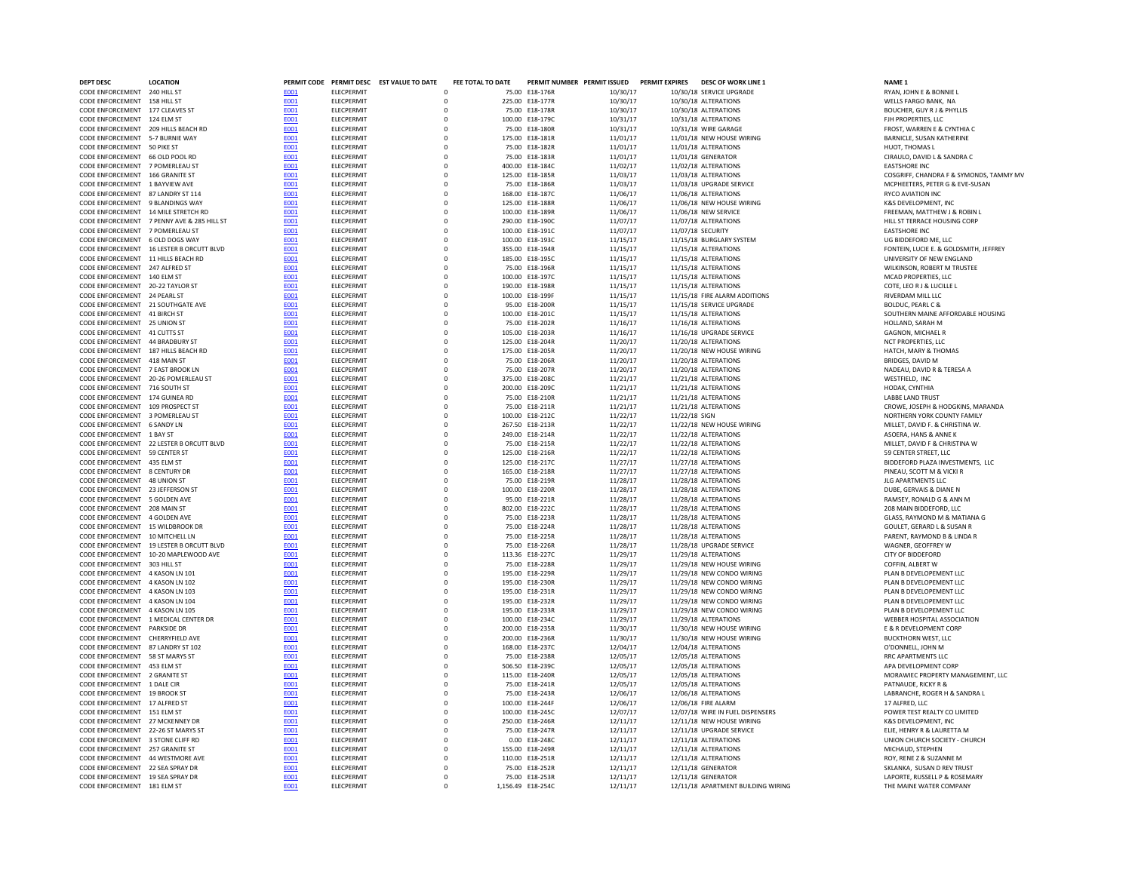| <b>DEPT DESC</b>                                                        | <b>LOCATION</b>                            |              |                                        | PERMIT CODE PERMIT DESC EST VALUE TO DATE | FEE TOTAL TO DATE |                                    | PERMIT NUMBER PERMIT ISSUED | <b>PERMIT EXPIRES</b> | <b>DESC OF WORK LINE 1</b>                        | <b>NAME 1</b>                                                |
|-------------------------------------------------------------------------|--------------------------------------------|--------------|----------------------------------------|-------------------------------------------|-------------------|------------------------------------|-----------------------------|-----------------------|---------------------------------------------------|--------------------------------------------------------------|
| CODE ENFORCEMENT 240 HILL ST                                            |                                            | E001         | <b>ELECPERMIT</b>                      |                                           |                   | 75.00 E18-176R                     | 10/30/17                    |                       | 10/30/18 SERVICE UPGRADE                          | RYAN, JOHN E & BONNIE L                                      |
| CODE ENFORCEMENT 158 HILL ST                                            |                                            | E001         | <b>ELECPERMIT</b>                      |                                           | $\Omega$          | 225.00 E18-177R                    | 10/30/17                    |                       | 10/30/18 ALTERATIONS                              | WELLS FARGO BANK. NA                                         |
| CODE ENFORCEMENT 177 CLEAVES ST                                         |                                            | <b>E001</b>  | <b>FLECPERMIT</b>                      |                                           | $\Omega$          | 75.00 F18-178R                     | 10/30/17                    |                       | 10/30/18 ALTERATIONS                              | BOUCHER, GUY R I & PHYLLIS                                   |
| CODE ENFORCEMENT 124 ELM ST                                             |                                            | E001         | ELECPERMIT                             |                                           | $\Omega$          | 100.00 E18-179C                    | 10/31/17                    |                       | 10/31/18 ALTERATIONS                              | FJH PROPERTIES, LLC                                          |
| CODE ENFORCEMENT 209 HILLS BEACH RD                                     |                                            | E001         | <b>ELECPERMIT</b>                      |                                           |                   | 75.00 E18-180R                     | 10/31/17                    |                       | 10/31/18 WIRE GARAGE                              | FROST, WARREN E & CYNTHIA C                                  |
| CODE ENFORCEMENT 5-7 BURNIE WAY                                         |                                            | E001         | <b>ELECPERMIT</b>                      |                                           |                   | 175.00 E18-181R                    | 11/01/17                    |                       | 11/01/18 NEW HOUSE WIRING                         | BARNICLE, SUSAN KATHERINE                                    |
| CODE ENFORCEMENT 50 PIKE ST                                             |                                            | <b>E001</b>  | ELECPERMIT                             |                                           |                   | 75.00 E18-182R                     | 11/01/17                    |                       | 11/01/18 ALTERATIONS                              | HUOT, THOMAS L                                               |
| CODE ENFORCEMENT 66 OLD POOL RD                                         |                                            | E001         | <b>ELECPERMIT</b>                      | $\Omega$                                  |                   | 75.00 E18-183R                     | 11/01/17                    |                       | 11/01/18 GENERATOR                                | CIRAULO, DAVID L & SANDRA C                                  |
| CODE ENFORCEMENT 7 POMERLEAU ST                                         |                                            | E001         | ELECPERMIT                             |                                           | $\Omega$          | 400.00 E18-184C                    | 11/02/17                    |                       | 11/02/18 ALTERATIONS                              | <b>EASTSHORE INC</b>                                         |
| CODE ENFORCEMENT 166 GRANITE ST                                         |                                            | E001         | <b>ELECPERMIT</b>                      |                                           | $\Omega$          | 125.00 E18-185R                    | 11/03/17                    |                       | 11/03/18 ALTERATIONS                              | COSGRIFF, CHANDRA F & SYMONI                                 |
| CODE ENFORCEMENT 1 BAYVIEW AVE                                          |                                            | E001         | <b>FLECPERMIT</b>                      | n                                         |                   | 75.00 F18-186R                     | 11/03/17                    |                       | 11/03/18 UPGRADE SERVICE                          | MCPHEETERS, PETER G & EVE-SUS                                |
| CODE ENFORCEMENT 87 LANDRY ST 114                                       |                                            | E001         | ELECPERMIT                             |                                           |                   | 168.00 E18-187C                    | 11/06/17                    |                       | 11/06/18 ALTERATIONS                              | <b>RYCO AVIATION INC</b>                                     |
| CODE ENFORCEMENT 9 BLANDINGS WAY<br>CODE ENFORCEMENT 14 MILE STRETCH RD |                                            | E001         | ELECPERMIT<br>ELECPERMIT               |                                           |                   | 125.00 E18-188R<br>100.00 E18-189R | 11/06/17                    |                       | 11/06/18 NEW HOUSE WIRING                         | K&S DEVELOPMENT, INC                                         |
|                                                                         | CODE ENFORCEMENT 7 PENNY AVE & 285 HILL ST | E001<br>E001 | ELECPERMIT                             |                                           |                   | 290.00 E18-190C                    | 11/06/17<br>11/07/17        |                       | 11/06/18 NEW SERVICE<br>11/07/18 ALTERATIONS      | FREEMAN, MATTHEW J & ROBIN L<br>HILL ST TERRACE HOUSING CORP |
| CODE ENFORCEMENT 7 POMERLEAU ST                                         |                                            | <b>E001</b>  | ELECPERMIT                             |                                           | $\Omega$          | 100.00 E18-191C                    | 11/07/17                    |                       | 11/07/18 SECURITY                                 | <b>EASTSHORE INC</b>                                         |
| CODE ENFORCEMENT 6 OLD DOGS WAY                                         |                                            | E001         | <b>ELECPERMIT</b>                      |                                           | $\Omega$          | 100.00 E18-193C                    | 11/15/17                    |                       | 11/15/18 BURGLARY SYSTEM                          | UG BIDDEFORD ME, LLC                                         |
|                                                                         | CODE ENFORCEMENT 16 LESTER B ORCUTT BLVD   | E001         | <b>ELECPERMIT</b>                      |                                           | $\Omega$          | 355.00 E18-194R                    | 11/15/17                    |                       | 11/15/18 ALTERATIONS                              | FONTEIN, LUCIE E. & GOLDSMITH,                               |
| CODE ENFORCEMENT 11 HILLS BEACH RD                                      |                                            | E001         | <b>ELECPERMIT</b>                      |                                           | $\Omega$          | 185.00 E18-195C                    | 11/15/17                    |                       | 11/15/18 ALTERATIONS                              | UNIVERSITY OF NEW ENGLAND                                    |
| CODE ENFORCEMENT 247 ALERED ST                                          |                                            | <b>E001</b>  | <b>FLECPERMIT</b>                      |                                           | $\Omega$          | 75.00 F18-196R                     | 11/15/17                    |                       | 11/15/18 ALTERATIONS                              | WILKINSON, ROBERT M TRUSTEE                                  |
| CODE ENFORCEMENT                                                        | 140 ELM ST                                 | E001         | <b>ELECPERMIT</b>                      |                                           | $\Omega$          | 100.00 E18-197C                    | 11/15/17                    |                       | 11/15/18 ALTERATIONS                              | MCAD PROPERTIES, LLC                                         |
| CODE ENFORCEMENT                                                        | 20-22 TAYLOR ST                            | E001         | <b>ELECPERMIT</b>                      |                                           | 190.00            | E18-198R                           | 11/15/17                    |                       | 11/15/18 ALTERATIONS                              | COTE, LEO R J & LUCILLE L                                    |
| CODE ENFORCEMENT 24 PEARL ST                                            |                                            | E001         | ELECPERMIT                             |                                           |                   | 100.00 E18-199F                    | 11/15/17                    |                       | 11/15/18 FIRE ALARM ADDITIONS                     | RIVERDAM MILL LLC                                            |
| CODE ENFORCEMENT 21 SOUTHGATE AVE                                       |                                            | <b>E001</b>  | ELECPERMIT                             |                                           | 95.00             | E18-200R                           | 11/15/17                    |                       | 11/15/18 SERVICE UPGRADE                          | <b>BOLDUC, PEARL C &amp;</b>                                 |
| CODE ENFORCEMENT 41 BIRCH ST                                            |                                            | E001         | ELECPERMIT                             |                                           | $\Omega$          | 100.00 E18-201C                    | 11/15/17                    |                       | 11/15/18 ALTERATIONS                              | SOUTHERN MAINE AFFORDABLE H                                  |
| CODE ENFORCEMENT 25 UNION ST                                            |                                            | E001         | ELECPERMIT                             |                                           | $\Omega$          | 75.00 E18-202R                     | 11/16/17                    |                       | 11/16/18 ALTERATIONS                              | HOLLAND, SARAH M                                             |
| CODE ENFORCEMENT 41 CUTTS ST                                            |                                            | E001         | ELECPERMIT                             |                                           | $\Omega$          | 105.00 E18-203R                    | 11/16/17                    |                       | 11/16/18 UPGRADE SERVICE                          | <b>GAGNON, MICHAEL R</b>                                     |
| CODE ENFORCEMENT 44 BRADBURY ST                                         |                                            | <b>E001</b>  | <b>FIFCPFRMIT</b>                      |                                           | $\Omega$          | 125.00 F18-204R                    | 11/20/17                    |                       | 11/20/18 ALTERATIONS                              | NCT PROPERTIES, LLC                                          |
| CODE ENFORCEMENT 187 HILLS BEACH RD                                     |                                            | E001         | ELECPERMIT                             |                                           |                   | 175.00 E18-205R                    | 11/20/17                    |                       | 11/20/18 NEW HOUSE WIRING                         | HATCH, MARY & THOMAS                                         |
| CODE ENFORCEMENT 418 MAIN ST                                            |                                            | E001         | <b>ELECPERMIT</b>                      |                                           |                   | 75.00 E18-206R                     | 11/20/17                    |                       | 11/20/18 ALTERATIONS                              | BRIDGES, DAVID M                                             |
| CODE ENFORCEMENT 7 EAST BROOK LN                                        |                                            | E001         | ELECPERMIT                             |                                           |                   | 75.00 E18-207R                     | 11/20/17                    |                       | 11/20/18 ALTERATIONS                              | NADEAU, DAVID R & TERESA A                                   |
| CODE ENFORCEMENT 20-26 POMERLEAU ST                                     |                                            | <b>E001</b>  | <b>ELECPERMIT</b>                      |                                           |                   | 375.00 E18-208C                    | 11/21/17                    |                       | 11/21/18 ALTERATIONS                              | WESTFIELD, INC                                               |
| CODE ENFORCEMENT 716 SOUTH ST                                           |                                            | E001         | <b>ELECPERMIT</b>                      |                                           | $\Omega$          | 200.00 E18-209C                    | 11/21/17                    |                       | 11/21/18 ALTERATIONS                              | HODAK, CYNTHIA                                               |
| CODE ENFORCEMENT 174 GUINEA RD                                          |                                            | E001         | <b>ELECPERMIT</b>                      |                                           | $\Omega$          | 75.00 E18-210R                     | 11/21/17                    |                       | 11/21/18 ALTERATIONS                              | <b>LABBE LAND TRUST</b>                                      |
| CODE ENFORCEMENT 109 PROSPECT ST                                        |                                            | E001         | <b>ELECPERMIT</b>                      |                                           | $\Omega$          | 75.00 E18-211R                     | 11/21/17                    |                       | 11/21/18 ALTERATIONS                              | CROWE, JOSEPH & HODGKINS, MA                                 |
| CODE ENFORCEMENT 3 POMERLEAU ST                                         |                                            | <b>F001</b>  | <b>FIFCPFRMIT</b>                      |                                           | $\Omega$          | 100.00 F18-212C                    | 11/22/17                    | 11/22/18 SIGN         |                                                   | NORTHERN YORK COUNTY FAMILY                                  |
| CODE ENFORCEMENT 6 SANDY LN                                             |                                            | E001         | <b>ELECPERMIT</b>                      |                                           | $\Omega$          | 267.50 E18-213R                    | 11/22/17                    |                       | 11/22/18 NEW HOUSE WIRING                         | MILLET, DAVID F. & CHRISTINA W.                              |
| CODE ENFORCEMENT 1 BAY ST                                               |                                            | E001         | <b>ELECPERMIT</b>                      |                                           | $\Omega$          | 249.00 E18-214R                    | 11/22/17                    |                       | 11/22/18 ALTERATIONS                              | ASOERA, HANS & ANNE K                                        |
|                                                                         | CODE ENFORCEMENT 22 LESTER B ORCUTT BLVD   | E001         | <b>ELECPERMIT</b>                      |                                           |                   | 75.00 E18-215R                     | 11/22/17                    |                       | 11/22/18 ALTERATIONS                              | MILLET, DAVID F & CHRISTINA W                                |
| CODE ENFORCEMENT 59 CENTER ST                                           |                                            | E001         | ELECPERMIT                             |                                           |                   | 125.00 E18-216R                    | 11/22/17                    |                       | 11/22/18 ALTERATIONS                              | 59 CENTER STREET, LLC                                        |
| CODE ENFORCEMENT 435 ELM ST                                             |                                            | <b>E001</b>  | <b>ELECPERMIT</b>                      |                                           |                   | 125.00 E18-217C                    | 11/27/17                    |                       | 11/27/18 ALTERATIONS                              | BIDDEFORD PLAZA INVESTMENTS,                                 |
| CODE ENFORCEMENT 8 CENTURY DF                                           |                                            | E001         | <b>ELECPERMIT</b>                      |                                           |                   | 165.00 E18-218R                    | 11/27/17                    |                       | 11/27/18 ALTERATIONS                              | PINEAU, SCOTT M & VICKI R                                    |
| CODE ENFORCEMENT 48 UNION ST                                            |                                            | E001         | <b>ELECPERMIT</b>                      | $\Omega$                                  |                   | 75.00 E18-219R                     | 11/28/17                    |                       | 11/28/18 ALTERATIONS                              | <b>JLG APARTMENTS LLC</b>                                    |
| CODE ENFORCEMENT 23 JEFFERSON ST                                        |                                            | E001         | <b>FLECPERMIT</b>                      |                                           |                   | 100.00 F18-220B                    | 11/28/17                    |                       | 11/28/18 ALTERATIONS                              | DUBE, GERVAIS & DIANE N                                      |
| CODE ENFORCEMENT 5 GOLDEN AVE                                           |                                            | <b>E001</b>  | <b>FLECPERMIT</b>                      |                                           | n                 | 95.00 F18-221R                     | 11/28/17                    |                       | 11/28/18 ALTERATIONS                              | RAMSEY, RONALD G & ANN M                                     |
| CODE ENFORCEMENT 208 MAIN ST                                            |                                            | E001         | ELECPERMIT                             |                                           |                   | 802.00 E18-222C                    | 11/28/17                    |                       | 11/28/18 ALTERATIONS                              | 208 MAIN BIDDEFORD, LLC                                      |
| CODE ENFORCEMENT 4 GOLDEN AVE                                           |                                            | E001         | ELECPERMIT                             |                                           |                   | 75.00 E18-223R                     | 11/28/17                    |                       | 11/28/18 ALTERATIONS                              | GLASS, RAYMOND M & MATIANA                                   |
| CODE ENFORCEMENT 15 WILDBROOK DR                                        |                                            | E001         | ELECPERMIT                             |                                           |                   | 75.00 E18-224R                     | 11/28/17                    |                       | 11/28/18 ALTERATIONS                              | GOULET, GERARD L & SUSAN R                                   |
| CODE ENFORCEMENT 10 MITCHELL LN                                         |                                            | <b>E001</b>  | ELECPERMIT                             |                                           | $\Omega$          | 75.00 E18-225R                     | 11/28/17                    |                       | 11/28/18 ALTERATIONS                              | PARENT, RAYMOND B & LINDA R                                  |
|                                                                         | CODE ENFORCEMENT 19 LESTER B ORCUTT BLVD   | E001<br>E001 | ELECPERMIT                             |                                           | $\Omega$          | 75.00 E18-226R<br>113.36 E18-227C  | 11/28/17                    |                       | 11/28/18 UPGRADE SERVICE                          | WAGNER, GEOFFREY W                                           |
| CODE ENFORCEMENT 303 HILL ST                                            | CODE ENFORCEMENT 10-20 MAPLEWOOD AVE       | E001         | <b>ELECPERMIT</b><br><b>ELECPERMIT</b> |                                           | $\Omega$          | 75.00 E18-228R                     | 11/29/17<br>11/29/17        |                       | 11/29/18 ALTERATIONS<br>11/29/18 NEW HOUSE WIRING | <b>CITY OF BIDDEFORD</b><br>COFFIN, ALBERT W                 |
| CODE ENFORCEMENT 4 KASON IN 101                                         |                                            | <b>E001</b>  | <b>FLECPERMIT</b>                      |                                           | $\Omega$          | 195.00 F18-229R                    | 11/29/17                    |                       | 11/29/18 NEW CONDO WIRING                         | PLAN B DEVELOPEMENT LLC.                                     |
| CODE ENFORCEMENT 4 KASON LN 102                                         |                                            | E001         | <b>ELECPERMIT</b>                      |                                           | $\Omega$          | 195.00 E18-230R                    | 11/29/17                    |                       | 11/29/18 NEW CONDO WIRING                         | PLAN B DEVELOPEMENT LLC                                      |
| CODE ENFORCEMENT 4 KASON LN 103                                         |                                            | E001         | <b>ELECPERMIT</b>                      |                                           | 195.00            | E18-231R                           | 11/29/17                    |                       | 11/29/18 NEW CONDO WIRING                         | PLAN B DEVELOPEMENT LLC                                      |
| CODE ENFORCEMENT 4 KASON LN 104                                         |                                            | E001         | <b>ELECPERMIT</b>                      |                                           | 195.00            | E18-232R                           | 11/29/17                    |                       | 11/29/18 NEW CONDO WIRING                         | PLAN B DEVELOPEMENT LLC                                      |
| CODE ENFORCEMENT 4 KASON LN 105                                         |                                            | <b>E001</b>  | ELECPERMIT                             |                                           | 195.00            | E18-233R                           | 11/29/17                    |                       | 11/29/18 NEW CONDO WIRING                         | PLAN B DEVELOPEMENT LLC                                      |
| CODE ENFORCEMENT 1 MEDICAL CENTER DR                                    |                                            | E001         | ELECPERMIT                             |                                           | $\Omega$          | 100.00 E18-234C                    | 11/29/17                    |                       | 11/29/18 ALTERATIONS                              | WEBBER HOSPITAL ASSOCIATION                                  |
| CODE ENFORCEMENT                                                        | <b>PARKSIDE DR</b>                         | E001         | ELECPERMIT                             |                                           | $\Omega$          | 200.00 E18-235R                    | 11/30/17                    |                       | 11/30/18 NEW HOUSE WIRING                         | E & R DEVELOPMENT CORP                                       |
| CODE ENFORCEMENT                                                        | CHERRYFIELD AVE                            | E001         | ELECPERMIT                             |                                           | $\Omega$          | 200.00 E18-236R                    | 11/30/17                    |                       | 11/30/18 NEW HOUSE WIRING                         | <b>BUCKTHORN WEST, LLC</b>                                   |
| CODE ENFORCEMENT 87 LANDRY ST 102                                       |                                            | E001         | ELECPERMIT                             |                                           | n                 | 168.00 F18-237C                    | 12/04/17                    |                       | 12/04/18 ALTERATIONS                              | O'DONNELL, JOHN M                                            |
| CODE ENFORCEMENT 58 ST MARYS ST                                         |                                            | E001         | ELECPERMIT                             | $\Omega$                                  |                   | 75.00 E18-238R                     | 12/05/17                    |                       | 12/05/18 ALTERATIONS                              | <b>RRC APARTMENTS LLC</b>                                    |
| CODE ENFORCEMENT 453 ELM ST                                             |                                            | E001         | ELECPERMIT                             |                                           |                   | 506.50 E18-239C                    | 12/05/17                    |                       | 12/05/18 ALTERATIONS                              | APA DEVELOPMENT CORP                                         |
| CODE ENFORCEMENT                                                        | 2 GRANITE ST                               | E001         | ELECPERMIT                             |                                           |                   | 115.00 E18-240R                    | 12/05/17                    |                       | 12/05/18 ALTERATIONS                              | MORAWIEC PROPERTY MANAGEN                                    |
| CODE ENFORCEMENT 1 DALE CIR                                             |                                            | E001         | <b>ELECPERMIT</b>                      |                                           |                   | 75.00 E18-241R                     | 12/05/17                    |                       | 12/05/18 ALTERATIONS                              | PATNAUDE, RICKY R &                                          |
| CODE ENFORCEMENT                                                        | <b>19 BROOK ST</b>                         | E001         | ELECPERMIT                             |                                           | $\Omega$          | 75.00 E18-243R                     | 12/06/17                    |                       | 12/06/18 ALTERATIONS                              | LABRANCHE, ROGER H & SANDRA                                  |
| CODE ENFORCEMENT 17 ALFRED ST                                           |                                            | E001         | <b>ELECPERMIT</b>                      |                                           | $\Omega$          | 100.00 E18-244F                    | 12/06/17                    |                       | 12/06/18 FIRE ALARM                               | 17 ALFRED, LLC                                               |
| CODE ENFORCEMENT 151 ELM ST                                             |                                            | E001         | <b>ELECPERMIT</b>                      |                                           | $\Omega$          | 100.00 E18-245C                    | 12/07/17                    |                       | 12/07/18 WIRE IN FUEL DISPENSERS                  | POWER TEST REALTY CO LIMITED                                 |
| CODE ENFORCEMENT 27 MCKENNEY DR                                         |                                            | E001         | <b>FIFCPFRMIT</b>                      |                                           | $\Omega$          | 250.00 F18-246R                    | 12/11/17                    |                       | 12/11/18 NEW HOUSE WIRING                         | <b>K&amp;S DEVELOPMENT. INC.</b>                             |
| CODE ENFORCEMENT 22-26 ST MARYS ST                                      |                                            | <b>E001</b>  | <b>FIFCPFRMIT</b>                      |                                           | $\Omega$          | 75.00 F18-247R                     | 12/11/17                    |                       | 12/11/18 UPGRADE SERVICE                          | FLIF. HENRY R & LAURETTA M                                   |
| CODE ENFORCEMENT 3 STONE CLIFF RD                                       |                                            | E001         | ELECPERMIT                             |                                           | $\Omega$          | 0.00 E18-248C                      | 12/11/17                    |                       | 12/11/18 ALTERATIONS                              | UNION CHURCH SOCIETY - CHURC                                 |
| CODE ENFORCEMENT 257 GRANITE ST                                         |                                            | E001         | <b>ELECPERMIT</b>                      |                                           |                   | 155.00 E18-249R                    | 12/11/17                    |                       | 12/11/18 ALTERATIONS                              | MICHAUD, STEPHEN                                             |
| CODE ENFORCEMENT 44 WESTMORE AVE                                        |                                            | E001         | ELECPERMIT                             |                                           |                   | 110.00 E18-251R                    | 12/11/17                    |                       | 12/11/18 ALTERATIONS                              | ROY, RENE Z & SUZANNE M                                      |
| CODE ENFORCEMENT 22 SEA SPRAY DR                                        |                                            | E001         | ELECPERMIT                             |                                           |                   | 75.00 E18-252R                     | 12/11/17                    |                       | 12/11/18 GENERATOR                                | SKLANKA. SUSAN D REV TRUST                                   |
| CODE ENFORCEMENT 19 SEA SPRAY DR                                        |                                            | E001         | ELECPERMIT                             |                                           |                   | 75.00 E18-253R                     | 12/11/17                    |                       | 12/11/18 GENERATOR                                | LAPORTE, RUSSELL P & ROSEMARY                                |
| CODE ENFORCEMENT 181 ELM ST                                             |                                            | <b>F001</b>  | ELECPERMIT                             |                                           |                   | 1,156.49 E18-254C                  | 12/11/17                    |                       | 12/11/18 APARTMENT BUILDING WIRING                | THE MAINE WATER COMPANY                                      |

CIRAULO, DAVID L & SANDRA C<br>EASTSHORE INC COSGRIFF, CHANDRA F & SYMONDS, TAMMY MV MCPHEETERS, PETER G & EVE-SUSAN<br>RYCO AVIATION INC FREEMAN, MATTHEW J & ROBIN L<br>HILL ST TERRACE HOUSING CORP FONTEIN, LUCIE E. & GOLDSMITH, JEFFREY WILKINSON, ROBERT M TRUSTEE<br>MCAD PROPERTIES, LLC SOUTHERN MAINE AFFORDABLE HOUSING<br>HOLLAND, SARAH M NADEAU, DAVID R & TERESA A<br>WESTFIELD, INC CROWE, JOSEPH & HODGKINS, MARANDA NORTHERN YORK COUNTY FAMILY MILLET, DAVID F. & CHRISTINA W.<br>ASOERA, HANS & ANNE K BIDDEFORD PLAZA INVESTMENTS, LLC<br>PINEAU, SCOTT M & VICKI R GLASS, RAYMOND M & MATIANA G GOULET, GERARD L & SUSAN R PARENT, RAYMOND B & LINDA R<br>WAGNER, GEOFFREY W WEBBER HOSPITAL ASSOCIATION<br>E & R DEVELOPMENT CORP CODE ENFORCEMENT 2 GRANITE ST [E001](http://enterprisev3:55000/_layouts/15/DashboardMunisV6.3/PassThru.aspx?-E=5g0AjlbrZcpq4hEliZqfJsWy4/rVswSzf27YiOLyGUE=&) ELECPERMIT 0 115.00 E18-240R 12/05/17 12/05/18 ALTERATIONS MORAWIEC PROPERTY MANAGEMENT, LLC LABRANCHE, ROGER H & SANDRA L<br>17 ALFRED, LLC UNION CHURCH SOCIETY - CHURCH<br>MICHAUD, STEPHEN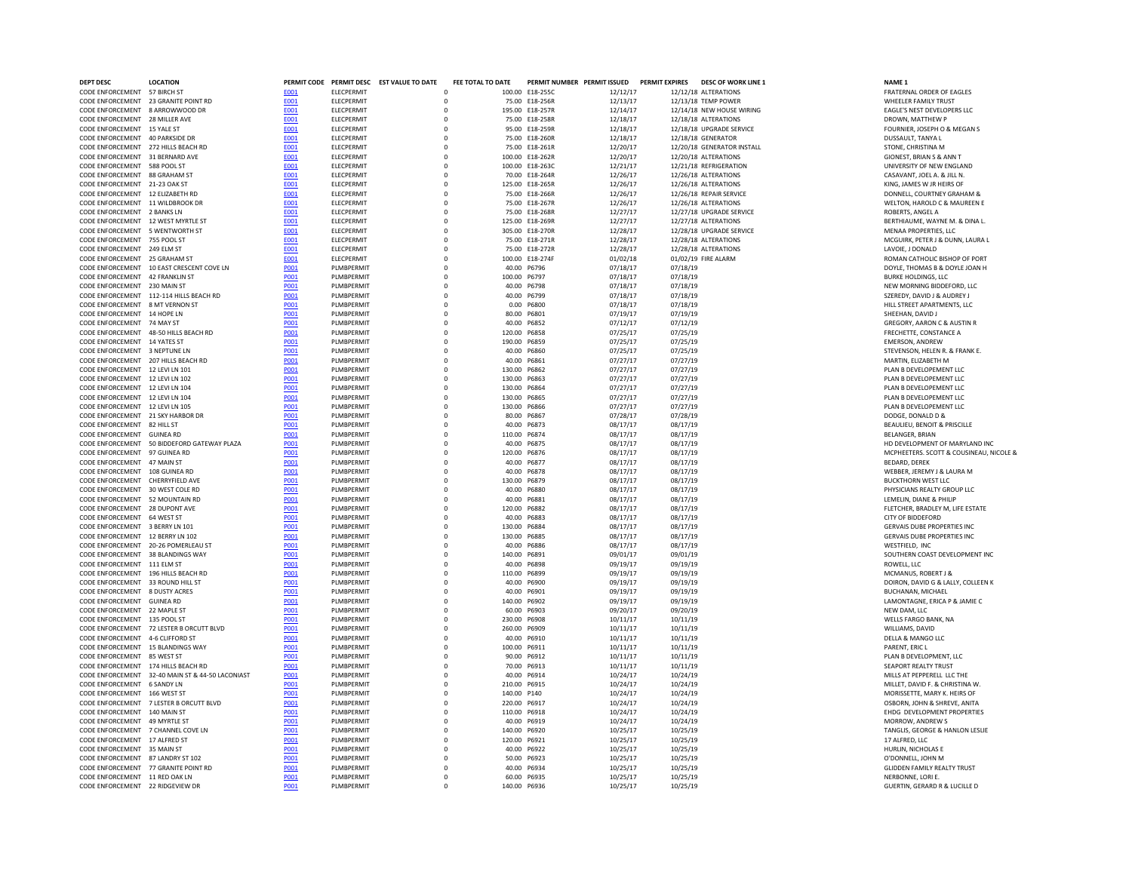| <b>DEPT DESC</b>                                                       | <b>LOCATION</b>                             |                     |                           | PERMIT CODE PERMIT DESC EST VALUE TO DATE | FEE TOTAL TO DATE          |                             | PERMIT NUMBER PERMIT ISSUED      |                      | <b>PERMIT EXPIRES</b> | <b>DESC OF WORK LINE 1</b>                       | NAME <sub>1</sub>                                       |
|------------------------------------------------------------------------|---------------------------------------------|---------------------|---------------------------|-------------------------------------------|----------------------------|-----------------------------|----------------------------------|----------------------|-----------------------|--------------------------------------------------|---------------------------------------------------------|
| CODE ENFORCEMENT 57 BIRCH ST                                           |                                             | E001                | <b>ELECPERMIT</b>         |                                           | $\mathbf 0$                |                             | 100.00 E18-255C                  | 12/12/17             |                       | 12/12/18 ALTERATIONS                             | FRATERNAL ORDER OF EAGLES                               |
| CODE ENFORCEMENT 23 GRANITE POINT RD                                   |                                             | E001                | ELECPERMIT                |                                           | $\Omega$                   |                             | 75.00 E18-256R                   | 12/13/17             |                       | 12/13/18 TEMP POWER                              | <b>WHEELER FAMILY TRUST</b>                             |
| CODE ENFORCEMENT 8 ARROWWOOD DR                                        |                                             | E001                | <b>ELECPERMIT</b>         |                                           | $\mathbf 0$                |                             | 195.00 E18-257R                  | 12/14/17             |                       | 12/14/18 NEW HOUSE WIRING                        | EAGLE'S NEST DEVELOPERS LLC                             |
| CODE ENFORCEMENT 28 MILLER AVE                                         |                                             | E001                | <b>FLECPERMIT</b>         |                                           | $\Omega$                   |                             | 75.00 F18-258R                   | 12/18/17             |                       | 12/18/18 ALTERATIONS                             | DROWN, MATTHEW P                                        |
| CODE ENFORCEMENT 15 YALE ST                                            |                                             | E001                | <b>ELECPERMIT</b>         |                                           | $\Omega$                   |                             | 95.00 E18-259R                   | 12/18/17             |                       | 12/18/18 UPGRADE SERVICE                         | FOURNIER, JOSEPH O & MEGAN S                            |
| CODE ENFORCEMENT 40 PARKSIDE DR<br>CODE ENFORCEMENT 272 HILLS BEACH RD |                                             | E001                | ELECPERMIT<br>ELECPERMIT  |                                           | $\circ$<br>$\mathbf 0$     |                             | 75.00 E18-260R<br>75.00 E18-261R | 12/18/17<br>12/20/17 |                       | 12/18/18 GENERATOR<br>12/20/18 GENERATOR INSTALL | DUSSAULT, TANYA L<br>STONE, CHRISTINA M                 |
| CODE ENFORCEMENT 31 BERNARD AVE                                        |                                             | <b>E001</b><br>E001 | ELECPERMIT                |                                           | 0                          |                             | 100.00 E18-262R                  | 12/20/17             |                       | 12/20/18 ALTERATIONS                             | GIONEST, BRIAN S & ANN T                                |
| CODE ENFORCEMENT 588 POOL ST                                           |                                             | <b>E001</b>         | <b>ELECPERMIT</b>         |                                           | $\mathbf 0$                |                             | 100.00 E18-263C                  | 12/21/17             |                       | 12/21/18 REFRIGERATION                           | UNIVERSITY OF NEW ENGLAND                               |
| CODE ENFORCEMENT 88 GRAHAM ST                                          |                                             | E001                | ELECPERMIT                |                                           | $\mathbf 0$                |                             | 70.00 E18-264R                   | 12/26/17             |                       | 12/26/18 ALTERATIONS                             | CASAVANT, JOEL A. & JILL N.                             |
| CODE ENFORCEMENT 21-23 OAK ST                                          |                                             | E001                | ELECPERMIT                |                                           | $\mathbf 0$                |                             | 125.00 E18-265R                  | 12/26/17             |                       | 12/26/18 ALTERATIONS                             | KING, JAMES W JR HEIRS OF                               |
| CODE ENFORCEMENT 12 ELIZABETH RD                                       |                                             | E001                | <b>ELECPERMIT</b>         |                                           | $\mathbf 0$                |                             | 75.00 E18-266R                   | 12/26/17             |                       | 12/26/18 REPAIR SERVICE                          | DONNELL, COURTNEY GRAHAM &                              |
| CODE ENFORCEMENT 11 WILDBROOK DR                                       |                                             | E001                | <b>ELECPERMIT</b>         |                                           | $\mathbf 0$                |                             | 75.00 E18-267R                   | 12/26/17             |                       | 12/26/18 ALTERATIONS                             | WELTON, HAROLD C & MAUREEN E                            |
| CODE ENFORCEMENT 2 BANKS LN                                            |                                             | <b>E001</b>         | <b>FLECPERMIT</b>         |                                           | $\Omega$                   |                             | 75.00 E18-268R                   | 12/27/17             |                       | 12/27/18 UPGRADE SERVICE                         | ROBERTS, ANGEL A                                        |
| CODE ENFORCEMENT 12 WEST MYRTLE ST                                     |                                             | E001                | ELECPERMIT                |                                           | $\circ$                    |                             | 125.00 E18-269R                  | 12/27/17             |                       | 12/27/18 ALTERATIONS                             | BERTHIAUME, WAYNE M. & DINA L.                          |
| CODE ENFORCEMENT 5 WENTWORTH ST                                        |                                             | E001                | ELECPERMIT                |                                           | $\mathbf 0$                |                             | 305.00 E18-270R                  | 12/28/17             |                       | 12/28/18 UPGRADE SERVICE                         | MENAA PROPERTIES, LLC                                   |
| CODE ENFORCEMENT 755 POOL ST                                           |                                             | <b>E001</b>         | ELECPERMIT                |                                           | $\mathbf 0$                |                             | 75.00 E18-271R                   | 12/28/17             |                       | 12/28/18 ALTERATIONS                             | MCGUIRK, PETER J & DUNN, LAURA L                        |
| CODE ENFORCEMENT 249 ELM ST                                            |                                             | E001                | ELECPERMIT                |                                           | $\mathbf 0$                |                             | 75.00 E18-272R                   | 12/28/17             |                       | 12/28/18 ALTERATIONS                             | LAVOIE, J DONALD                                        |
| CODE ENFORCEMENT 25 GRAHAM ST                                          |                                             | E001                | <b>ELECPERMIT</b>         |                                           | $\Omega$                   |                             | 100.00 F18-274F                  | 01/02/18             |                       | 01/02/19 FIRE ALARM                              | ROMAN CATHOLIC BISHOP OF PORT                           |
|                                                                        | CODE ENFORCEMENT 10 FAST CRESCENT COVE IN   | <b>P001</b>         | PI MBPFRMIT               |                                           | $\Omega$                   | 40.00 P6796                 |                                  | 07/18/17             | 07/18/19              |                                                  | DOYLE, THOMAS B & DOYLE JOAN H                          |
| CODE ENFORCEMENT 42 FRANKLIN ST                                        |                                             | <b>PO01</b>         | PLMBPERMIT                |                                           | $\mathbf 0$                | 100.00 P6797                |                                  | 07/18/17             | 07/18/19              |                                                  | <b>BURKE HOLDINGS, LLC</b>                              |
| CODE ENFORCEMENT 230 MAIN ST                                           |                                             | P001                | PLMBPERMIT                |                                           | $\mathbf 0$                | 40.00                       | P6798                            | 07/18/17             | 07/18/19              |                                                  | NEW MORNING BIDDEFORD, LLC                              |
|                                                                        | CODE ENFORCEMENT 112-114 HILLS BEACH RD     | P001                | PLMBPERMIT                |                                           | 0                          | 40.00                       | P6799                            | 07/18/17             | 07/18/19              |                                                  | SZEREDY, DAVID J & AUDREY J                             |
| CODE ENFORCEMENT                                                       | 8 MT VERNON ST                              | P001                | PLMBPERMIT                |                                           | $\mathbf 0$                | 0.00                        | P6800                            | 07/18/17             | 07/18/19              |                                                  | HILL STREET APARTMENTS, LLC                             |
| CODE ENFORCEMENT 14 HOPE LN<br>CODE ENFORCEMENT 74 MAY ST              |                                             | P001                | PLMBPERMIT<br>PLMBPERMIT  |                                           | $\mathbf 0$<br>$\mathbf 0$ | 80.00<br>40.00              | P6801<br>P6852                   | 07/19/17             | 07/19/19<br>07/12/19  |                                                  | SHEEHAN, DAVID J                                        |
| CODE ENFORCEMENT 48-50 HILLS BEACH RD                                  |                                             | P001<br>P001        | PLMBPERMIT                |                                           | $\mathbf 0$                | 120.00 P6858                |                                  | 07/12/17<br>07/25/17 | 07/25/19              |                                                  | GREGORY, AARON C & AUSTIN R<br>FRECHETTE, CONSTANCE A   |
| CODE ENFORCEMENT 14 YATES ST                                           |                                             | P001                | PLMBPERMIT                |                                           | $\mathbf 0$                | 190.00 P6859                |                                  | 07/25/17             | 07/25/19              |                                                  | <b>EMERSON, ANDREW</b>                                  |
| CODE ENFORCEMENT 3 NEPTUNE LN                                          |                                             | P001                | PLMBPERMIT                |                                           | $\Omega$                   | 40.00 P6860                 |                                  | 07/25/17             | 07/25/19              |                                                  | STEVENSON, HELEN R. & FRANK E.                          |
| CODE ENFORCEMENT 207 HILLS BEACH RD                                    |                                             | <b>PO01</b>         | PLMBPERMIT                |                                           | $\circ$                    | 40.00                       | P6861                            | 07/27/17             | 07/27/19              |                                                  | MARTIN, ELIZABETH M                                     |
| CODE ENFORCEMENT 12 LEVI LN 101                                        |                                             | P001                | PLMBPERMIT                |                                           | $\circ$                    | 130.00                      | P6862                            | 07/27/17             | 07/27/19              |                                                  | PLAN B DEVELOPEMENT LLC                                 |
| CODE ENFORCEMENT 12 LEVI LN 102                                        |                                             | P001                | PLMBPERMIT                |                                           | $\mathbf 0$                | 130.00                      | P6863                            | 07/27/17             | 07/27/19              |                                                  | PLAN B DEVELOPEMENT LLC                                 |
| CODE ENFORCEMENT 12 LEVI LN 104                                        |                                             | P001                | PLMBPERMIT                |                                           | $\Omega$                   | 130.00                      | P6864                            | 07/27/17             | 07/27/19              |                                                  | PLAN B DEVELOPEMENT LLC                                 |
| CODE ENFORCEMENT 12 LEVI LN 104                                        |                                             | P001                | PI MBPFRMIT               |                                           | $\Omega$<br>130.00         |                             | P6865                            | 07/27/17             | 07/27/19              |                                                  | PLAN B DEVELOPEMENT LLC                                 |
| CODE ENFORCEMENT 12 LEVI LN 105                                        |                                             | <b>P001</b>         | PI MBPFRMIT               |                                           | $\Omega$<br>130.00         |                             | <b>P6866</b>                     | 07/27/17             | 07/27/19              |                                                  | PLAN B DEVELOPEMENT LLC                                 |
| CODE ENFORCEMENT 21 SKY HARBOR DR                                      |                                             | <b>P001</b>         | PLMBPERMIT                |                                           | $\mathbf 0$                | 80.00                       | P6867                            | 07/28/17             | 07/28/19              |                                                  | DODGE, DONALD D &                                       |
| CODE ENFORCEMENT 82 HILL ST                                            |                                             | P001                | PLMBPERMIT                |                                           | $\mathbf 0$                | 40.00                       | P6873                            | 08/17/17             | 08/17/19              |                                                  | BEAULIEU, BENOIT & PRISCILLE                            |
| CODE ENFORCEMENT GUINEA RD                                             |                                             | P001                | PI MBPFRMIT               |                                           | $\Omega$                   | 110.00                      | P6874                            | 08/17/17             | 08/17/19              |                                                  | <b>BELANGER, BRIAN</b>                                  |
|                                                                        | CODE ENFORCEMENT 50 BIDDEFORD GATEWAY PLAZA | <b>PO01</b>         | PLMBPERMIT                |                                           | $\mathbf 0$                | 40.00                       | P6875                            | 08/17/17             | 08/17/19              |                                                  | HD DEVELOPMENT OF MARYLAND IN                           |
| CODE ENFORCEMENT 97 GUINEA RD                                          |                                             | P001                | PLMBPERMIT                |                                           | $\mathbf 0$                | 120.00 P6876                |                                  | 08/17/17             | 08/17/19              |                                                  | MCPHEETERS. SCOTT & COUSINEAU, I                        |
| CODE ENFORCEMENT 47 MAIN ST                                            |                                             | P001                | PLMBPERMIT                |                                           | $\mathbf 0$                | 40.00                       | P6877                            | 08/17/17             | 08/17/19              |                                                  | <b>BEDARD, DEREK</b>                                    |
| CODE ENFORCEMENT 108 GUINEA RD<br>CODE ENFORCEMENT CHERRYFIELD AVE     |                                             | P001<br><b>P001</b> | PLMBPERMIT<br>PI MBPFRMIT |                                           | $\mathbf 0$<br>$\Omega$    | 40.00 P6878<br>130.00 P6879 |                                  | 08/17/17             | 08/17/19              |                                                  | WEBBER, JEREMY J & LAURA M<br><b>BUCKTHORN WEST LLC</b> |
| CODE ENFORCEMENT 30 WEST COLE RD                                       |                                             | P001                | PLMBPERMIT                |                                           | $\Omega$                   | 40.00 P6880                 |                                  | 08/17/17<br>08/17/17 | 08/17/19<br>08/17/19  |                                                  | PHYSICIANS REALTY GROUP LLC                             |
| CODE ENFORCEMENT 52 MOUNTAIN RD                                        |                                             | P001                | PLMBPERMIT                |                                           | $\mathbf 0$                | 40.00 P6881                 |                                  | 08/17/17             | 08/17/19              |                                                  | LEMELIN, DIANE & PHILIP                                 |
| CODE ENFORCEMENT 28 DUPONT AVE                                         |                                             | P001                | PLMBPERMIT                |                                           | $\circ$                    | 120.00 P6882                |                                  | 08/17/17             | 08/17/19              |                                                  | FLETCHER, BRADLEY M, LIFE ESTATE                        |
| CODE ENFORCEMENT 64 WEST ST                                            |                                             | P001                | PLMBPERMIT                |                                           | 0                          | 40.00                       | P6883                            | 08/17/17             | 08/17/19              |                                                  | CITY OF BIDDEFORD                                       |
| CODE ENFORCEMENT 3 BERRY LN 101                                        |                                             | P001                | PLMBPERMIT                |                                           | $\mathbf 0$                | 130.00                      | P6884                            | 08/17/17             | 08/17/19              |                                                  | GERVAIS DUBE PROPERTIES INC                             |
| CODE ENFORCEMENT 12 BERRY LN 102                                       |                                             | P001                | PLMBPERMIT                |                                           | $\mathbf 0$                | 130.00 P6885                |                                  | 08/17/17             | 08/17/19              |                                                  | <b>GERVAIS DUBE PROPERTIES INC</b>                      |
| CODE ENFORCEMENT 20-26 POMERLEAU ST                                    |                                             | P001                | PI MBPFRMIT               |                                           | $\Omega$                   | 40.00                       | <b>P6886</b>                     | 08/17/17             | 08/17/19              |                                                  | WESTFIELD. INC                                          |
| CODE ENFORCEMENT 38 BLANDINGS WAY                                      |                                             | <b>PO01</b>         | PLMBPERMIT                |                                           | $\mathbf 0$                | 140.00                      | P6891                            | 09/01/17             | 09/01/19              |                                                  | SOUTHERN COAST DEVELOPMENT IN                           |
| CODE ENFORCEMENT 111 ELM ST                                            |                                             | P001                | PI MBPFRMIT               |                                           | $\Omega$                   | 40.00                       | <b>P6898</b>                     | 09/19/17             | 09/19/19              |                                                  | ROWFIL.IIC                                              |
| CODE ENFORCEMENT                                                       | 196 HILLS BEACH RD                          | P001                | PLMBPERMIT                |                                           | $\circ$                    | 110.00                      | P6899                            | 09/19/17             | 09/19/19              |                                                  | MCMANUS, ROBERT J &                                     |
| CODE ENFORCEMENT                                                       | 33 ROUND HILL ST                            | P001                | PLMBPERMIT                |                                           | $\mathbf 0$                | 40.00                       | P6900                            | 09/19/17             | 09/19/19              |                                                  | DOIRON, DAVID G & LALLY, COLLEEN I                      |
| CODE ENFORCEMENT                                                       | 8 DUSTY ACRES                               | P001                | PLMBPERMIT                |                                           | 0                          | 40.00                       | P6901                            | 09/19/17             | 09/19/19              |                                                  | BUCHANAN, MICHAEL                                       |
| CODE ENFORCEMENT                                                       | <b>GUINEA RD</b>                            | P001                | PLMBPERMIT                |                                           | $\mathsf{O}$               | 140.00                      | P6902                            | 09/19/17             | 09/19/19              |                                                  | LAMONTAGNE, ERICA P & JAMIE C                           |
| CODE ENFORCEMENT 22 MAPLE ST                                           |                                             | P001                | PLMBPERMIT                |                                           | $\mathbf 0$                | 60.00                       | P6903                            | 09/20/17             | 09/20/19              |                                                  | NEW DAM, LLC                                            |
| CODE ENFORCEMENT 135 POOL ST                                           |                                             | P001                | PI MBPFRMIT               |                                           | $\Omega$                   | 230.00 P6908                |                                  | 10/11/17             | 10/11/19              |                                                  | WELLS FARGO BANK, NA                                    |
|                                                                        | CODE ENFORCEMENT 72 LESTER B ORCUTT BLVD    | P001                | PLMBPERMIT                |                                           | $\mathbf 0$                | 260.00 P6909                |                                  | 10/11/17             | 10/11/19              |                                                  | WILLIAMS, DAVID                                         |
| CODE ENFORCEMENT 4-6 CLIFFORD ST<br>CODE ENFORCEMENT 15 BLANDINGS WAY  |                                             | <b>P001</b>         | PLMBPERMIT<br>PLMBPERMIT  |                                           | $\mathbf 0$                | 40.00 P6910                 |                                  | 10/11/17             | 10/11/19              |                                                  | DELLA & MANGO LLC                                       |
| CODE ENFORCEMENT                                                       | 85 WEST ST                                  | P001<br>P001        | PLMBPERMIT                |                                           | $\mathbf 0$<br>0           | 100.00 P6911<br>90.00       | P6912                            | 10/11/17<br>10/11/17 | 10/11/19<br>10/11/19  |                                                  | PARENT, ERIC L<br>PLAN B DEVELOPMENT, LLC               |
| CODE ENFORCEMENT                                                       | 174 HILLS BEACH RD                          | <b>P001</b>         | PLMBPERMIT                |                                           | $\mathbf 0$                | 70.00                       | P6913                            | 10/11/17             | 10/11/19              |                                                  | SEAPORT REALTY TRUST                                    |
| CODE ENFORCEMENT                                                       | 32-40 MAIN ST & 44-50 LACONIAST             | P001                | PLMBPERMIT                |                                           | $\mathbf 0$                | 40.00                       | P6914                            | 10/24/17             | 10/24/19              |                                                  | MILLS AT PEPPERELL LLC THE                              |
| CODE ENFORCEMENT                                                       | 6 SANDY LN                                  | P001                | <b>PI MBPFRMIT</b>        |                                           | $\Omega$                   | 210.00 P6915                |                                  | 10/24/17             | 10/24/19              |                                                  | MILLET, DAVID F. & CHRISTINA W.                         |
| CODE ENFORCEMENT 166 WEST ST                                           |                                             | <b>PO01</b>         | PLMBPERMIT                |                                           | $\mathbf 0$                | 140.00 P140                 |                                  | 10/24/17             | 10/24/19              |                                                  | MORISSETTE, MARY K. HEIRS OF                            |
|                                                                        | CODE ENFORCEMENT 7 LESTER B ORCUTT BLVD     | <b>P001</b>         | PI MBPFRMIT               |                                           | $\Omega$                   | 220.00 P6917                |                                  | 10/24/17             | 10/24/19              |                                                  | OSBORN, JOHN & SHREVE, ANITA                            |
| CODE ENFORCEMENT 140 MAIN ST                                           |                                             | P001                | PLMBPERMIT                |                                           | $\Omega$                   | 110.00 P6918                |                                  | 10/24/17             | 10/24/19              |                                                  | EHDG DEVELOPMENT PROPERTIES                             |
| CODE ENFORCEMENT 49 MYRTLE S'                                          |                                             | P001                | PLMBPERMIT                |                                           | $\mathbf 0$                | 40.00                       | P6919                            | 10/24/17             | 10/24/19              |                                                  | <b>MORROW, ANDREWS</b>                                  |
| CODE ENFORCEMENT 7 CHANNEL COVE LN                                     |                                             | P001                | PLMBPERMIT                |                                           | $\mathbf 0$                | 140.00                      | P6920                            | 10/25/17             | 10/25/19              |                                                  | TANGLIS, GEORGE & HANLON LESLIE                         |
| CODE ENFORCEMENT 17 ALFRED ST                                          |                                             | P001                | PLMBPERMIT                |                                           | 0                          | 120.00 P6921                |                                  | 10/25/17             | 10/25/19              |                                                  | 17 ALFRED, LLC                                          |
| CODE ENFORCEMENT 35 MAIN ST                                            |                                             | P001                | PLMBPERMIT                |                                           | $\Omega$                   | 40.00 P6922                 |                                  | 10/25/17             | 10/25/19              |                                                  | HURLIN, NICHOLAS E                                      |
| CODE ENFORCEMENT 87 LANDRY ST 102                                      |                                             | P001                | PLMBPERMIT                |                                           | $\Omega$                   | 50.00 P6923                 |                                  | 10/25/17             | 10/25/19              |                                                  | O'DONNELL, JOHN M                                       |
| CODE ENFORCEMENT 77 GRANITE POINT RD                                   |                                             | <b>PO01</b>         | PLMBPERMIT                |                                           | $\Omega$                   | 40.00 P6934                 |                                  | 10/25/17             | 10/25/19              |                                                  | <b>GLIDDEN FAMILY REALTY TRUST</b>                      |
| CODE ENFORCEMENT 11 RED OAK LN                                         |                                             | <b>P001</b>         | PLMBPERMIT                |                                           | $\Omega$                   | 60.00 P6935                 |                                  | 10/25/17             | 10/25/19              |                                                  | NERBONNE, LORI E.                                       |
| CODE ENFORCEMENT 22 RIDGEVIEW DR                                       |                                             | P001                | PLMBPERMIT                |                                           |                            | 140.00 P6936                |                                  | 10/25/17             | 10/25/19              |                                                  | GUERTIN, GERARD R & LUCILLE D                           |

FOURNIER, JOSEPH O & MEGAN S<br>DUSSAULT, TANYA I UNIVERSITY OF NEW ENGLAND<br>CASAVANT, JOEL A. & JILL N. DONNELL, COURTNEY GRAHAM & WELTON, HAROLD C & MAUREEN E<br>ROBERTS, ANGEL A BERTHIAUME, WAYNE M. & DINA L.<br>MENAA PROPERTIES, LLC MENTORCEMENT 755<br>MCGUIRK, PETER J & DUNN, LAURA L<br>LAVOIE, J DONALD ROMAN CATHOLIC BISHOP OF PORT DOYLE, THOMAS B & DOYLE JOAN H<br>BURKE HOLDINGS, LLC HILL STREET APARTMENTS, LLC<br>SHEEHAN, DAVID J GREGORY, AARON C & AUSTIN R<br>FRECHETTE, CONSTANCE A STEVENSON, HELEN R. & FRANK E. BEAULIEU, BENOIT & PRISCILLE<br>BELANGER, BRIAN HD DEVELOPMENT OF MARYLAND INC MCPHEETERS. SCOTT & COUSINEAU, NICOLE & WEBBER, JEREMY J & LAURA M<br>BUCKTHORN WEST LLC PHYSICIANS REALTY GROUP LLC<br>LEMELIN, DIANE & PHILIP FLETCHER, BRADLEY M, LIFE ESTATE GERVAIS DUBE PROPERTIES INC<br>GERVAIS DUBE PROPERTIES INC DOIRON, DAVID G & LALLY, COLLEEN K<br>BUCHANAN, MICHAEL MILLET, DAVID F. & CHRISTINA W. MORISSETTE, MARY K. HEIRS OF<br>OSBORN, JOHN & SHREVE, ANITA TANGLIS, GEORGE & HANLON LESLIE<br>17 ALFRED, LLC